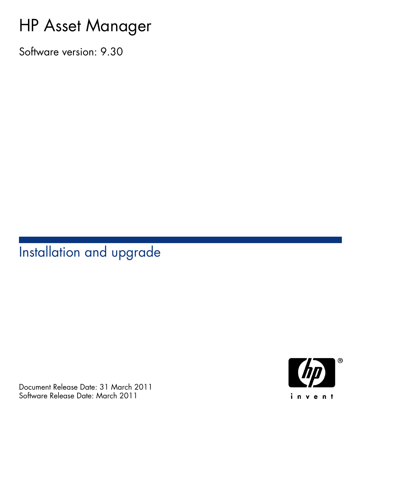# HP Asset Manager

Software version: 9.30

Installation and upgrade

Document Release Date: 31 March 2011 Software Release Date: March 2011

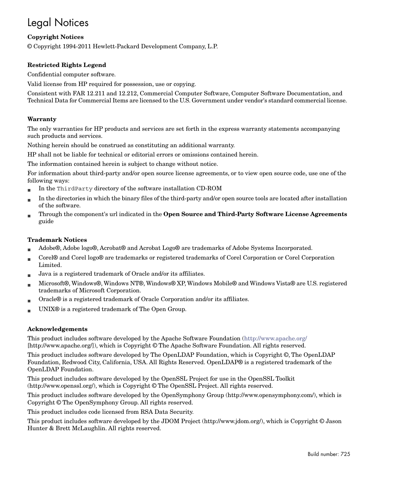# Legal Notices

#### **Copyright Notices**

© Copyright 1994-2011 Hewlett-Packard Development Company, L.P.

#### **Restricted Rights Legend**

Confidential computer software.

Valid license from HP required for possession, use or copying.

Consistent with FAR 12.211 and 12.212, Commercial Computer Software, Computer Software Documentation, and Technical Data for Commercial Items are licensed to the U.S. Government under vendor's standard commercial license.

#### **Warranty**

The only warranties for HP products and services are set forth in the express warranty statements accompanying such products and services.

Nothing herein should be construed as constituting an additional warranty.

HP shall not be liable for technical or editorial errors or omissions contained herein.

The information contained herein is subject to change without notice.

For information about third-party and/or open source license agreements, or to view open source code, use one of the following ways:

- <sup>n</sup> In the ThirdParty directory of the software installation CD-ROM
- n In the directories in which the binary files of the third-party and/or open source tools are located after installation of the software.
- n Through the component's url indicated in the **Open Source and Third-Party Software License Agreements** guide

#### **Trademark Notices**

- n Adobe®, Adobe logo®, Acrobat® and Acrobat Logo® are trademarks of Adobe Systems Incorporated.
- n Corel® and Corel logo® are trademarks or registered trademarks of Corel Corporation or Corel Corporation Limited.
- Java is a registered trademark of Oracle and/or its affiliates.
- n Microsoft®, Windows®, Windows NT®, Windows® XP, Windows Mobile® and Windows Vista® are U.S. registered trademarks of Microsoft Corporation.
- Oracle<sup>®</sup> is a registered trademark of Oracle Corporation and/or its affiliates.
- UNIX<sup>®</sup> is a registered trademark of The Open Group.

#### **Acknowledgements**

This product includes software developed by the Apache Software Foundation [\(http://www.apache.org/](http://www.apache.org/) [http://www.apache.org/]), which is Copyright © The Apache Software Foundation. All rights reserved.

This product includes software developed by The OpenLDAP Foundation, which is Copyright ©, The OpenLDAP Foundation, Redwood City, California, USA. All Rights Reserved. OpenLDAP® is a registered trademark of the OpenLDAP Foundation.

This product includes software developed by the OpenSSL Project for use in the OpenSSL Toolkit (http://www.openssl.org/), which is Copyright © The OpenSSL Project. All rights reserved.

This product includes software developed by the OpenSymphony Group (http://www.opensymphony.com/), which is Copyright © The OpenSymphony Group. All rights reserved.

This product includes code licensed from RSA Data Security.

This product includes software developed by the JDOM Project (http://www.jdom.org/), which is Copyright © Jason Hunter & Brett McLaughlin. All rights reserved.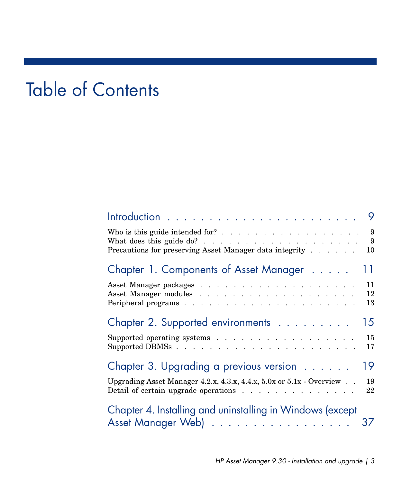# Table of Contents

| Introduction $\ldots \ldots \ldots \ldots \ldots \ldots \ldots \ldots$                                                  | 9              |
|-------------------------------------------------------------------------------------------------------------------------|----------------|
| Precautions for preserving Asset Manager data integrity                                                                 | 9<br>10        |
| Chapter 1. Components of Asset Manager                                                                                  | 11             |
|                                                                                                                         | 11<br>12<br>13 |
| Chapter 2. Supported environments                                                                                       | 15             |
|                                                                                                                         | 15<br>17       |
| Chapter 3. Upgrading a previous version                                                                                 | 19             |
| Upgrading Asset Manager 4.2.x, 4.3.x, 4.4.x, 5.0x or $5.1x$ - Overview $\ldots$<br>Detail of certain upgrade operations | 19<br>22       |
| Chapter 4. Installing and uninstalling in Windows (except<br>Asset Manager Web) 37                                      |                |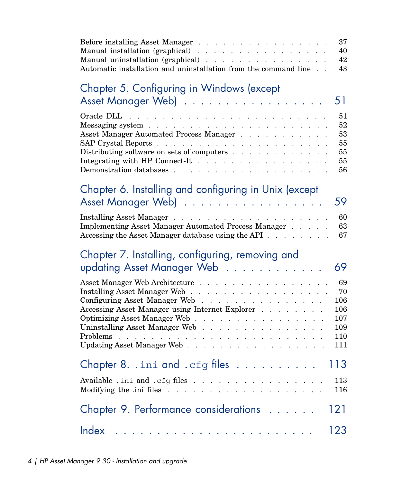| Before installing Asset Manager<br>37<br>Manual installation (graphical)<br>40<br>Manual uninstallation (graphical)<br>42<br>Automatic installation and uninstallation from the command line<br>43                                                                        |
|---------------------------------------------------------------------------------------------------------------------------------------------------------------------------------------------------------------------------------------------------------------------------|
| Chapter 5. Configuring in Windows (except<br>51<br>Asset Manager Web                                                                                                                                                                                                      |
| 51<br>52<br>Asset Manager Automated Process Manager<br>53<br>55<br>Distributing software on sets of computers $\ldots$<br>55<br>Integrating with HP Connect-It $\ldots$<br>55<br>56                                                                                       |
| Chapter 6. Installing and configuring in Unix (except<br>Asset Manager Web)<br>59                                                                                                                                                                                         |
| 60<br>Implementing Asset Manager Automated Process Manager<br>63<br>Accessing the Asset Manager database using the API<br>67                                                                                                                                              |
| Chapter 7. Installing, configuring, removing and<br>updating Asset Manager Web<br>69                                                                                                                                                                                      |
| Asset Manager Web Architecture<br>69<br>70<br>Configuring Asset Manager Web<br>106<br>Accessing Asset Manager using Internet Explorer<br>106<br>Optimizing Asset Manager Web.<br>107<br>Uninstalling Asset Manager Web<br>109<br>110<br>Updating Asset Manager Web<br>111 |
| 113<br>Chapter 8. . ini and . cfg files                                                                                                                                                                                                                                   |
| Available .ini and .cfg files<br>113<br>Modifying the .ini files $\ldots$<br>116                                                                                                                                                                                          |
| Chapter 9. Performance considerations<br>121                                                                                                                                                                                                                              |
| Index<br>123<br>the contract of the contract of                                                                                                                                                                                                                           |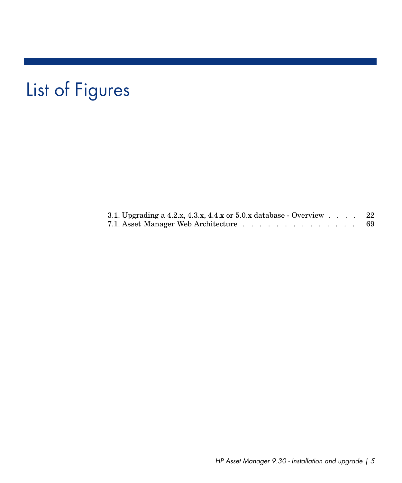# List of Figures

| 3.1. Upgrading a $4.2.x$ , $4.3.x$ , $4.4.x$ or $5.0.x$ database - Overview $\ldots$ |  |  | 22 |
|--------------------------------------------------------------------------------------|--|--|----|
| 7.1. Asset Manager Web Architecture                                                  |  |  | 69 |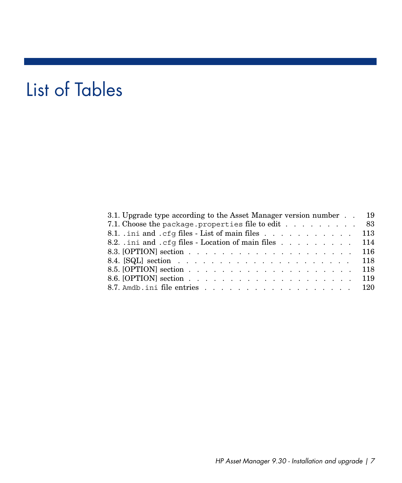# List of Tables

| 3.1. Upgrade type according to the Asset Manager version number 19 |  |
|--------------------------------------------------------------------|--|
| 7.1. Choose the package properties file to edit 83                 |  |
| 8.1. ini and .cfg files - List of main files 113                   |  |
| 8.2. ini and .cfg files - Location of main files 114               |  |
|                                                                    |  |
|                                                                    |  |
|                                                                    |  |
|                                                                    |  |
| 8.7. Amdb. ini file entries 120                                    |  |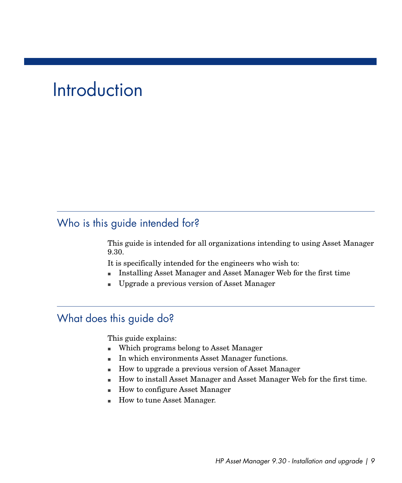# **Introduction**

## <span id="page-8-0"></span>Who is this guide intended for?

This guide is intended for all organizations intending to using Asset Manager 9.30.

<span id="page-8-1"></span>It is specifically intended for the engineers who wish to:

- n Installing Asset Manager and Asset Manager Web for the first time
- <sup>n</sup> Upgrade a previous version of Asset Manager

## What does this guide do?

This guide explains:

- <sup>n</sup> Which programs belong to Asset Manager
- n In which environments Asset Manager functions.
- How to upgrade a previous version of Asset Manager
- <sup>n</sup> How to install Asset Manager and Asset Manager Web for the first time.
- <sup>n</sup> How to configure Asset Manager
- How to tune Asset Manager.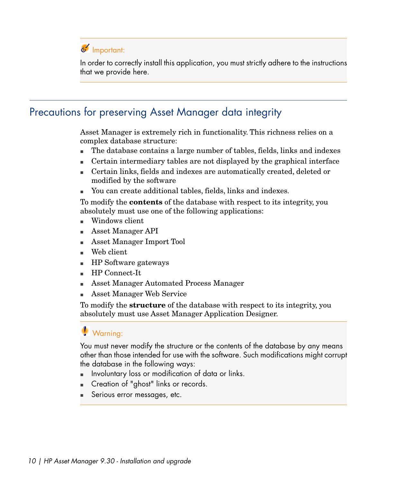## Important:

<span id="page-9-0"></span>In order to correctly install this application, you must strictly adhere to the instructions that we provide here.

# Precautions for preserving Asset Manager data integrity

Asset Manager is extremely rich in functionality. This richness relies on a complex database structure:

- n The database contains a large number of tables, fields, links and indexes
- <sup>n</sup> Certain intermediary tables are not displayed by the graphical interface
- <sup>n</sup> Certain links, fields and indexes are automatically created, deleted or modified by the software
- You can create additional tables, fields, links and indexes.

To modify the **contents** of the database with respect to its integrity, you absolutely must use one of the following applications:

- Windows client.
- <sup>n</sup> Asset Manager API
- <sup>n</sup> Asset Manager Import Tool
- Web client
- <sup>n</sup> HP Software gateways
- HP Connect-It
- <sup>n</sup> Asset Manager Automated Process Manager
- <sup>n</sup> Asset Manager Web Service

To modify the **structure** of the database with respect to its integrity, you absolutely must use Asset Manager Application Designer.

## Warning:

You must never modify the structure or the contents of the database by any means other than those intended for use with the software. Such modifications might corrupt the database in the following ways:

- Involuntary loss or modification of data or links.
- <sup>n</sup> Creation of "ghost" links or records.
- Serious error messages, etc.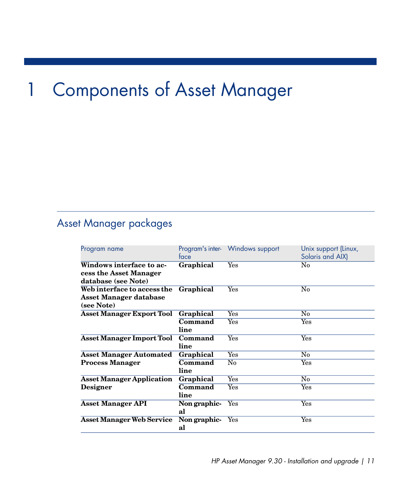# 1 Components of Asset Manager

# <span id="page-10-0"></span>Asset Manager packages

| Program name                                                              | face                         | Program's inter- Windows support | Unix support (Linux,<br>Solaris and AIX) |
|---------------------------------------------------------------------------|------------------------------|----------------------------------|------------------------------------------|
| Windows interface to ac-<br>cess the Asset Manager<br>database (see Note) | Graphical                    | Yes                              | $\rm No$                                 |
| Web interface to access the<br>Asset Manager database<br>(see Note)       | Graphical                    | Yes                              | $\rm No$                                 |
| <b>Asset Manager Export Tool</b>                                          | Graphical<br>Command<br>line | Yes<br>Yes                       | $\rm No$<br>$\operatorname{Yes}$         |
| <b>Asset Manager Import Tool</b>                                          | Command<br>line              | Yes                              | Yes                                      |
| <b>Asset Manager Automated</b><br><b>Process Manager</b>                  | Graphical<br>Command<br>line | Yes<br>No                        | $\rm No$<br>$\operatorname{Yes}$         |
| <b>Asset Manager Application</b><br>Designer                              | Graphical<br>Command<br>line | Yes<br>Yes                       | No<br>Yes                                |
| <b>Asset Manager API</b>                                                  | Non graphic-<br>al           | $\operatorname{Yes}$             | Yes                                      |
| <b>Asset Manager Web Service</b>                                          | Non graphic-<br>al           | $\operatorname{Yes}$             | Yes                                      |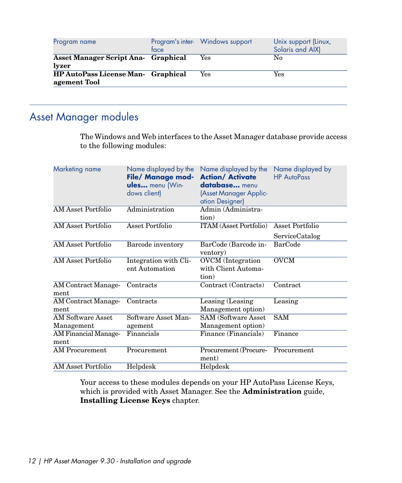| Program name                                               | tace | Program's inter- Windows support | Unix support (Linux,<br>Solaris and AIX) |
|------------------------------------------------------------|------|----------------------------------|------------------------------------------|
| <b>Asset Manager Script Ana- Graphical</b><br><i>lyzer</i> |      | Yes                              | No                                       |
| HP AutoPass License Man- Graphical<br>agement Tool         |      | Yes                              | Yes                                      |
|                                                            |      |                                  |                                          |

# Asset Manager modules

<span id="page-11-0"></span>The Windows and Web interfaces to the Asset Manager database provide access to the following modules:

| Marketing name               | Name displayed by the<br>File/ Manage mod-<br><b>ules</b> menu (Win-<br>dows client) | Name displayed by the<br><b>Action/Activate</b><br>database menu<br>(Asset Manager Applic-<br>ation Designer) | Name displayed by<br><b>HP AutoPass</b> |
|------------------------------|--------------------------------------------------------------------------------------|---------------------------------------------------------------------------------------------------------------|-----------------------------------------|
| AM Asset Portfolio           | Administration                                                                       | Admin (Administra-<br>tion)                                                                                   |                                         |
| AM Asset Portfolio           | Asset Portfolio                                                                      | <b>ITAM</b> (Asset Portfolio)                                                                                 | Asset Portfolio                         |
|                              |                                                                                      |                                                                                                               | ServiceCatalog                          |
| <b>AM</b> Asset Portfolio    | Barcode inventory                                                                    | BarCode (Barcode in-<br>ventory)                                                                              | <b>BarCode</b>                          |
| AM Asset Portfolio           | Integration with Cli-<br>ent Automation                                              | <b>OVCM</b> (Integration<br>with Client Automa-<br>tion)                                                      | <b>OVCM</b>                             |
| AM Contract Manage-<br>ment  | Contracts                                                                            | Contract (Contracts)                                                                                          | Contract                                |
| AM Contract Manage-<br>ment  | Contracts                                                                            | Leasing (Leasing<br>Management option)                                                                        | Leasing                                 |
| AM Software Asset            | Software Asset Man-                                                                  | <b>SAM (Software Asset)</b>                                                                                   | <b>SAM</b>                              |
| Management                   | agement                                                                              | Management option)                                                                                            |                                         |
| AM Financial Manage-<br>ment | Financials                                                                           | Finance (Financials)                                                                                          | Finance                                 |
| <b>AM Procurement</b>        | Procurement                                                                          | Procurement (Procure-<br>ment)                                                                                | Procurement                             |
| <b>AM Asset Portfolio</b>    | Helpdesk                                                                             | Helpdesk                                                                                                      |                                         |

Your access to these modules depends on your HP AutoPass License Keys, which is provided with Asset Manager. See the **Administration** guide, **Installing License Keys** chapter.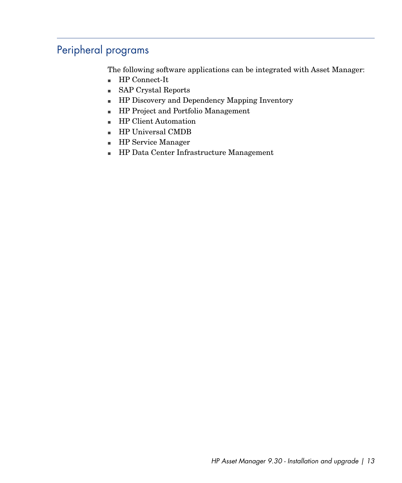# Peripheral programs

<span id="page-12-0"></span>The following software applications can be integrated with Asset Manager:

- $\quad \blacksquare$  <br>HP Connect-It
- <sup>n</sup> SAP Crystal Reports
- **n** HP Discovery and Dependency Mapping Inventory
- **HP Project and Portfolio Management**
- <sup>n</sup> HP Client Automation
- **HP Universal CMDB**
- <sup>n</sup> HP Service Manager
- <sup>n</sup> HP Data Center Infrastructure Management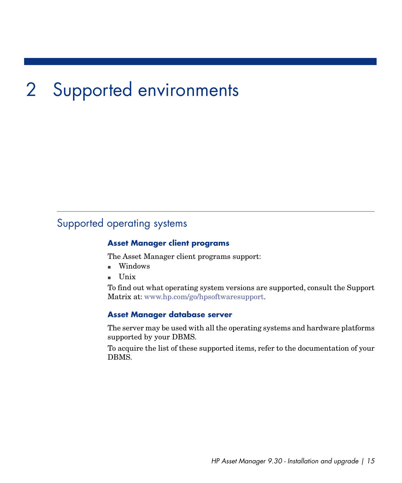# 2 Supported environments

# <span id="page-14-0"></span>Supported operating systems

#### **Asset Manager client programs**

The Asset Manager client programs support:

- $\blacksquare$  Windows
- Unix

To find out what operating system versions are supported, consult the Support Matrix at: <www.hp.com/go/hpsoftwaresupport>.

#### **Asset Manager database server**

The server may be used with all the operating systems and hardware platforms supported by your DBMS.

To acquire the list of these supported items, refer to the documentation of your DBMS.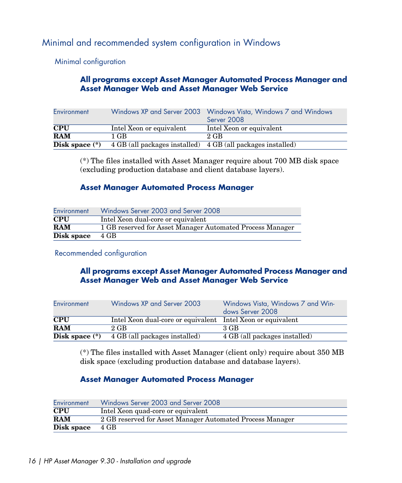## Minimal and recommended system configuration in Windows

Minimal configuration

#### **All programs except Asset Manager Automated Process Manager and Asset Manager Web and Asset Manager Web Service**

| Environment      |                                                             | Windows XP and Server 2003 Windows Vista, Windows 7 and Windows<br>Server 2008 |
|------------------|-------------------------------------------------------------|--------------------------------------------------------------------------------|
| <b>CPU</b>       | Intel Xeon or equivalent                                    | Intel Xeon or equivalent                                                       |
| <b>RAM</b>       | 1 GB                                                        | 2 GB                                                                           |
| Disk space $(*)$ | 4 GB (all packages installed) 4 GB (all packages installed) |                                                                                |

(\*) The files installed with Asset Manager require about 700 MB disk space (excluding production database and client database layers).

### **Asset Manager Automated Process Manager**

| Environment             | Windows Server 2003 and Server 2008                       |
|-------------------------|-----------------------------------------------------------|
| <b>CPU</b>              | Intel Xeon dual-core or equivalent                        |
| $\overline{\text{RAM}}$ | 1 GB reserved for Asset Manager Automated Process Manager |
| Disk space              | 4 GB                                                      |

Recommended configuration

#### **All programs except Asset Manager Automated Process Manager and Asset Manager Web and Asset Manager Web Service**

| Environment      | Windows XP and Server 2003                                  | Windows Vista, Windows 7 and Win-<br>dows Server 2008 |
|------------------|-------------------------------------------------------------|-------------------------------------------------------|
| <b>CPU</b>       | Intel Xeon dual-core or equivalent Intel Xeon or equivalent |                                                       |
| <b>RAM</b>       | 2 GB                                                        | 3 GB                                                  |
| Disk space $(*)$ | 4 GB (all packages installed)                               | 4 GB (all packages installed)                         |

(\*) The files installed with Asset Manager (client only) require about 350 MB disk space (excluding production database and database layers).

### **Asset Manager Automated Process Manager**

| Environment | Windows Server 2003 and Server 2008                       |
|-------------|-----------------------------------------------------------|
| <b>CPU</b>  | Intel Xeon quad-core or equivalent                        |
| <b>RAM</b>  | 2 GB reserved for Asset Manager Automated Process Manager |
| Disk space  | 4 GB                                                      |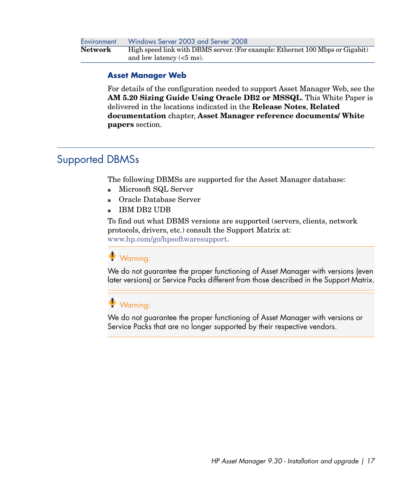| Environment | Windows Server 2003 and Server 2008                                           |
|-------------|-------------------------------------------------------------------------------|
| Network     | High speed link with DBMS server. (For example: Ethernet 100 Mbps or Gigabit) |
|             | and low latency $(<5$ ms).                                                    |

#### **Asset Manager Web**

<span id="page-16-0"></span>For details of the configuration needed to support Asset Manager Web, see the **AM 5.20 Sizing Guide Using Oracle DB2 or MSSQL**. This White Paper is delivered in the locations indicated in the **Release Notes**, **Related documentation** chapter, **Asset Manager reference documents/ White papers** section.

## Supported DBMSs

The following DBMSs are supported for the Asset Manager database:

- Microsoft SQL Server
- Oracle Database Server
- IBM DB2 UDB

To find out what DBMS versions are supported (servers, clients, network protocols, drivers, etc.) consult the Support Matrix at: [www.hp.com/go/hpsoftwaresupport.](www.hp.com/go/hpsoftwaresupport)

# Warning:

We do not guarantee the proper functioning of Asset Manager with versions (even later versions) or Service Packs different from those described in the Support Matrix.

# Warning:

We do not guarantee the proper functioning of Asset Manager with versions or Service Packs that are no longer supported by their respective vendors.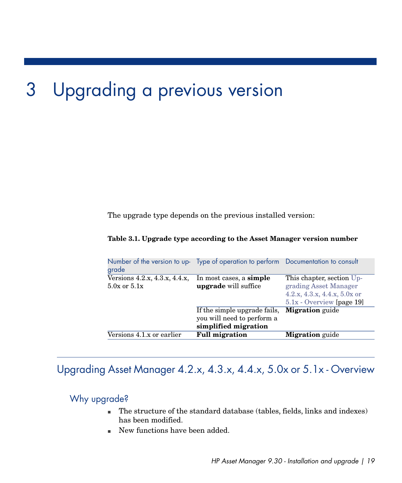# 3 Upgrading a previous version

<span id="page-18-2"></span><span id="page-18-0"></span>The upgrade type depends on the previous installed version:

#### **Table 3.1. Upgrade type according to the Asset Manager version number**

<span id="page-18-1"></span>

| grade                                                          | Number of the version to up- Type of operation to perform Documentation to consult |                              |
|----------------------------------------------------------------|------------------------------------------------------------------------------------|------------------------------|
| Versions $4.2.x$ , $4.3.x$ , $4.4.x$ , In most cases, a simple |                                                                                    | This chapter, section Up-    |
| $5.0x$ or $5.1x$                                               | <b>upgrade</b> will suffice                                                        | grading Asset Manager        |
|                                                                |                                                                                    | 4.2.x, 4.3.x, 4.4.x, 5.0x or |
|                                                                |                                                                                    | $5.1x$ - Overview [page 19]  |
|                                                                | If the simple upgrade fails,                                                       | <b>Migration</b> guide       |
|                                                                | you will need to perform a                                                         |                              |
|                                                                | simplified migration                                                               |                              |
| Versions 4.1.x or earlier                                      | <b>Full migration</b>                                                              | <b>Migration</b> guide       |

## Upgrading Asset Manager 4.2.x, 4.3.x, 4.4.x, 5.0x or 5.1x - Overview

## Why upgrade?

- n The structure of the standard database (tables, fields, links and indexes) has been modified.
- New functions have been added.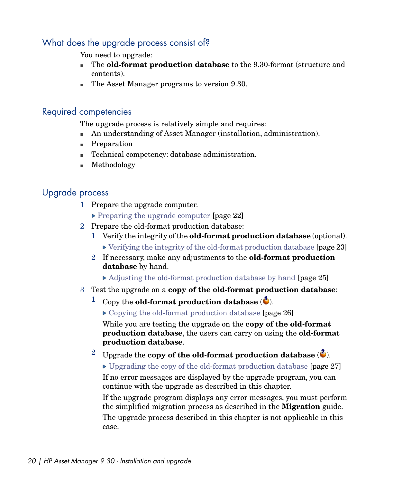## What does the upgrade process consist of?

You need to upgrade:

- n The **old-format production database** to the 9.30-format (structure and contents).
- n The Asset Manager programs to version 9.30.

## Required competencies

The upgrade process is relatively simple and requires:

- n An understanding of Asset Manager (installation, administration).
- **n** Preparation
- Technical competency: database administration.
- **n** Methodology

## Upgrade process

- 1 Prepare the upgrade computer.
	- **[Preparing the upgrade computer](#page-21-2) [page 22]**
- 2 Prepare the old-format production database:
	- 1 Verify the integrity of the **old-format production database** (optional).
		- [Verifying the integrity of the old-format production database](#page-22-0) [page 23]
	- 2 If necessary, make any adjustments to the **old-format production database** by hand.
		- ▶ [Adjusting the old-format production database by hand](#page-24-0) [page 25]
- 3 Test the upgrade on a **copy of the old-format production database**:
	- <sup>1</sup> Copy the **old-format production database**  $(\bullet)$ .
		- ▶ [Copying the old-format production database](#page-25-0) [page 26]

While you are testing the upgrade on the **copy of the old-format production database**, the users can carry on using the **old-format production database**.

- <sup>2</sup> Upgrade the **copy of the old-format production database**  $(\vec{\bullet})$ .
	- ► [Upgrading the copy of the old-format production database](#page-26-0) [page 27]

If no error messages are displayed by the upgrade program, you can continue with the upgrade as described in this chapter.

If the upgrade program displays any error messages, you must perform the simplified migration process as described in the **Migration** guide. The upgrade process described in this chapter is not applicable in this case.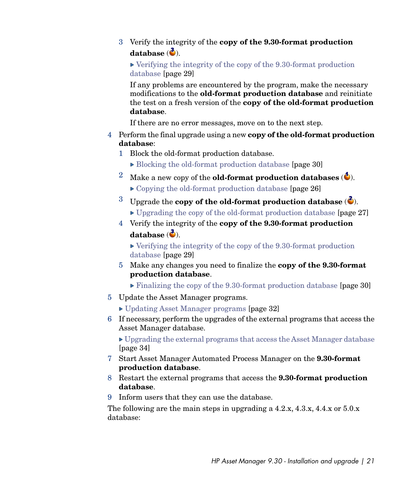3 Verify the integrity of the **copy of the 9.30-format production database** ( ).

 $\triangleright$  [Verifying the integrity of the copy of the 9.30-format production](#page-28-0) [database](#page-28-0) [page 29]

If any problems are encountered by the program, make the necessary modifications to the **old-format production database** and reinitiate the test on a fresh version of the **copy of the old-format production database**.

If there are no error messages, move on to the next step.

- 4 Perform the final upgrade using a new **copy of the old-format production database**:
	- 1 Block the old-format production database.
		- ▶ [Blocking the old-format production database](#page-29-0) [page 30]
	- <sup>2</sup> Make a new copy of the **old-format production databases**  $(\bigcirc$ .
		- ▶ [Copying the old-format production database](#page-25-0) [page 26]
	- <sup>3</sup> Upgrade the **copy of the old-format production database**  $(\lambda)$ .
		- $\triangleright$  [Upgrading the copy of the old-format production database](#page-26-0) [page 27]
	- 4 Verify the integrity of the **copy of the 9.30-format production** database  $(\frac{3}{2})$ .

[Verifying the integrity of the copy of the 9.30-format production](#page-28-0) [database](#page-28-0) [page 29]

- 5 Make any changes you need to finalize the **copy of the 9.30-format production database**.
	- [Finalizing the copy of the 9.30-format production database](#page-29-1) [page 30]
- 5 Update the Asset Manager programs.
	- ▶ [Updating Asset Manager programs](#page-31-0) [page 32]
- 6 If necessary, perform the upgrades of the external programs that access the Asset Manager database.

[Upgrading the external programs that access the Asset Manager database](#page-33-0) [page 34]

- 7 Start Asset Manager Automated Process Manager on the **9.30-format production database**.
- 8 Restart the external programs that access the **9.30-format production database**.
- 9 Inform users that they can use the database.

The following are the main steps in upgrading a  $4.2$ , x,  $4.3$ , x,  $4.4$ , x or  $5.0$ , x database: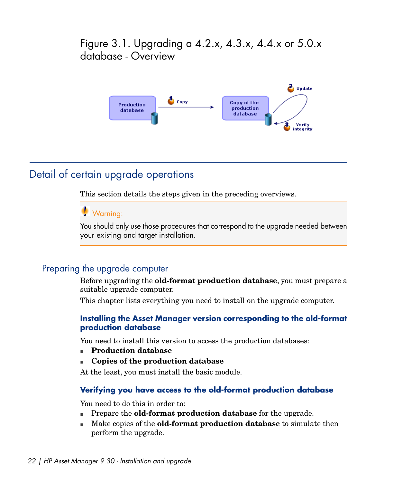# <span id="page-21-1"></span>Figure 3.1. Upgrading a 4.2.x, 4.3.x, 4.4.x or 5.0.x database - Overview



# Detail of certain upgrade operations

<span id="page-21-0"></span>This section details the steps given in the preceding overviews.

Warning:

<span id="page-21-2"></span>You should only use those procedures that correspond to the upgrade needed between your existing and target installation.

## Preparing the upgrade computer

Before upgrading the **old-format production database**, you must prepare a suitable upgrade computer.

This chapter lists everything you need to install on the upgrade computer.

#### **Installing the Asset Manager version corresponding to the old-format production database**

You need to install this version to access the production databases:

- **n Production database**
- <sup>n</sup> **Copies of the production database**

At the least, you must install the basic module.

#### **Verifying you have access to the old-format production database**

You need to do this in order to:

- <sup>n</sup> Prepare the **old-format production database** for the upgrade.
- <sup>n</sup> Make copies of the **old-format production database** to simulate then perform the upgrade.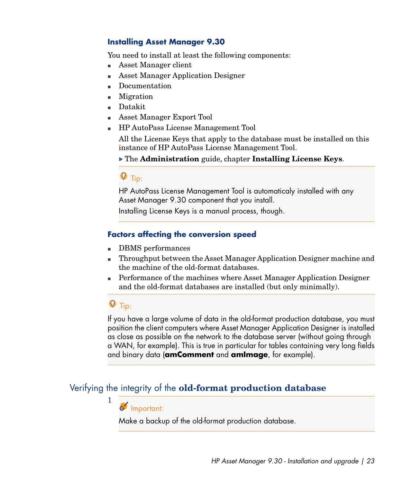### **Installing Asset Manager 9.30**

You need to install at least the following components:

- Asset Manager client
- <sup>n</sup> Asset Manager Application Designer
- **Documentation**
- **Migration**
- **Datakit**
- <sup>n</sup> Asset Manager Export Tool
- <sup>n</sup> HP AutoPass License Management Tool

All the License Keys that apply to the database must be installed on this instance of HP AutoPass License Management Tool.

The **Administration** guide, chapter **Installing License Keys**.

## $Q$  Tip:

HP AutoPass License Management Tool is automaticaly installed with any Asset Manager 9.30 component that you install.

Installing License Keys is a manual process, though.

## **Factors affecting the conversion speed**

- <sup>n</sup> DBMS performances
- <sup>n</sup> Throughput between the Asset Manager Application Designer machine and the machine of the old-format databases.
- <sup>n</sup> Performance of the machines where Asset Manager Application Designer and the old-format databases are installed (but only minimally).

# **Q** Tip:

1

<span id="page-22-0"></span>If you have a large volume of data in the old-format production database, you must position the client computers where Asset Manager Application Designer is installed as close as possible on the network to the database server (without going through a WAN, for example). This is true in particular for tables containing very long fields and binary data (**amComment** and **amImage**, for example).

## Verifying the integrity of the **old-format production database**

## Important:

Make a backup of the old-format production database.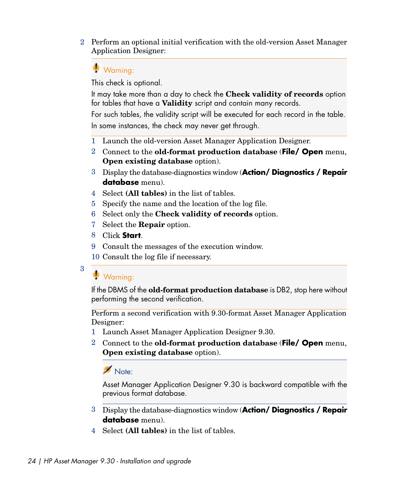2 Perform an optional initial verification with the old-version Asset Manager Application Designer:

Warning:

This check is optional.

It may take more than a day to check the **Check validity of records** option for tables that have a **Validity** script and contain many records.

For such tables, the validity script will be executed for each record in the table. In some instances, the check may never get through.

- 1 Launch the old-version Asset Manager Application Designer.
- 2 Connect to the **old-format production database** (**File/ Open** menu, **Open existing database** option).
- 3 Display the database-diagnostics window (**Action/ Diagnostics / Repair database** menu).
- 4 Select **(All tables)** in the list of tables.
- 5 Specify the name and the location of the log file.
- 6 Select only the **Check validity of records** option.
- 7 Select the **Repair** option.
- 8 Click **Start**.
- 9 Consult the messages of the execution window.
- 10 Consult the log file if necessary.

3

## Warning:

If the DBMS of the **old-format production database** is DB2, stop here without performing the second verification.

Perform a second verification with 9.30-format Asset Manager Application Designer:

- 1 Launch Asset Manager Application Designer 9.30.
- 2 Connect to the **old-format production database** (**File/ Open** menu, **Open existing database** option).

## Note:

Asset Manager Application Designer 9.30 is backward compatible with the previous format database.

- 3 Display the database-diagnostics window (**Action/ Diagnostics / Repair database** menu).
- 4 Select **(All tables)** in the list of tables.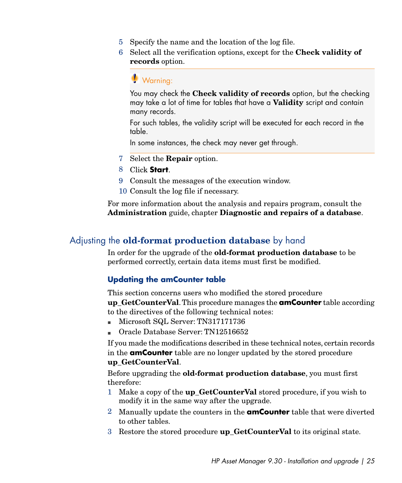- 5 Specify the name and the location of the log file.
- 6 Select all the verification options, except for the **Check validity of records** option.

## Warning:

You may check the **Check validity of records** option, but the checking may take a lot of time for tables that have a **Validity** script and contain many records.

For such tables, the validity script will be executed for each record in the table.

In some instances, the check may never get through.

- 7 Select the **Repair** option.
- 8 Click **Start**.
- 9 Consult the messages of the execution window.
- 10 Consult the log file if necessary.

<span id="page-24-0"></span>For more information about the analysis and repairs program, consult the **Administration** guide, chapter **Diagnostic and repairs of a database**.

## Adjusting the **old-format production database** by hand

In order for the upgrade of the **old-format production database** to be performed correctly, certain data items must first be modified.

#### **Updating the amCounter table**

This section concerns users who modified the stored procedure **up\_GetCounterVal**.This procedure manages the **amCounter** table according to the directives of the following technical notes:

- n Microsoft SQL Server: TN317171736
- <sup>n</sup> Oracle Database Server: TN12516652

If you made the modifications described in these technical notes, certain records in the **amCounter** table are no longer updated by the stored procedure **up\_GetCounterVal**.

Before upgrading the **old-format production database**, you must first therefore:

- 1 Make a copy of the **up\_GetCounterVal** stored procedure, if you wish to modify it in the same way after the upgrade.
- 2 Manually update the counters in the **amCounter** table that were diverted to other tables.
- 3 Restore the stored procedure **up\_GetCounterVal** to its original state.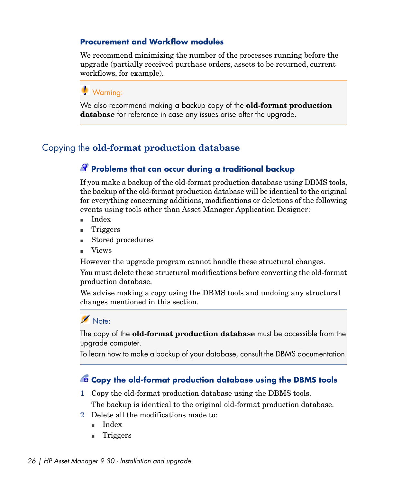### **Procurement and Workflow modules**

We recommend minimizing the number of the processes running before the upgrade (partially received purchase orders, assets to be returned, current workflows, for example).

## Warning:

<span id="page-25-0"></span>We also recommend making a backup copy of the **old-format production database** for reference in case any issues arise after the upgrade.

## Copying the **old-format production database**

## **Problems that can occur during a traditional backup**

If you make a backup of the old-format production database using DBMS tools, the backup of the old-format production database will be identical to the original for everything concerning additions, modifications or deletions of the following events using tools other than Asset Manager Application Designer:

- $\blacksquare$  Index
- **Triggers**
- Stored procedures
- **Views**

However the upgrade program cannot handle these structural changes.

You must delete these structural modifications before converting the old-format production database.

We advise making a copy using the DBMS tools and undoing any structural changes mentioned in this section.

## Note:

The copy of the **old-format production database** must be accessible from the upgrade computer.

To learn how to make a backup of your database, consult the DBMS documentation.

## **Copy the old-format production database using the DBMS tools**

1 Copy the old-format production database using the DBMS tools.

The backup is identical to the original old-format production database.

- 2 Delete all the modifications made to:
	- $\blacksquare$  Index
	- **n** Triggers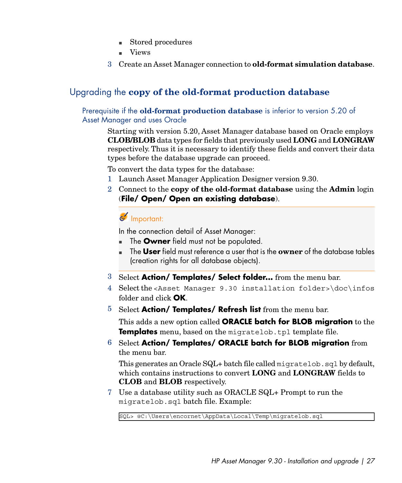- <sup>n</sup> Stored procedures
- $\blacksquare$  Views
- <span id="page-26-0"></span>3 Create an Asset Manager connection to **old-format simulation database**.

## Upgrading the **copy of the old-format production database**

Prerequisite if the **old-format production database** is inferior to version 5.20 of Asset Manager and uses Oracle

Starting with version 5.20, Asset Manager database based on Oracle employs **CLOB/BLOB** data types for fields that previously used **LONG** and **LONGRAW** respectively. Thus it is necessary to identify these fields and convert their data types before the database upgrade can proceed.

To convert the data types for the database:

- 1 Launch Asset Manager Application Designer version 9.30.
- 2 Connect to the **copy of the old-format database** using the **Admin** login (**File/ Open/ Open an existing database**).

## Important:

In the connection detail of Asset Manager:

- **n** The **Owner** field must not be populated.
- <sup>n</sup> The **User** field must reference a user that is the **owner** of the database tables (creation rights for all database objects).
- 3 Select **Action/ Templates/ Select folder...** from the menu bar.
- 4 Select the <Asset Manager 9.30 installation folder>\doc\infos folder and click **OK**.
- 5 Select **Action/ Templates/ Refresh list** from the menu bar.

This adds a new option called **ORACLE batch for BLOB migration** to the **Templates** menu, based on the migratelob.tpl template file.

6 Select **Action/ Templates/ ORACLE batch for BLOB migration** from the menu bar.

This generates an Oracle SQL+ batch file called migratelob.sql by default, which contains instructions to convert **LONG** and **LONGRAW** fields to **CLOB** and **BLOB** respectively.

7 Use a database utility such as ORACLE SQL+ Prompt to run the migratelob.sql batch file. Example:

SQL> @C:\Users\encornet\AppData\Local\Temp\migratelob.sql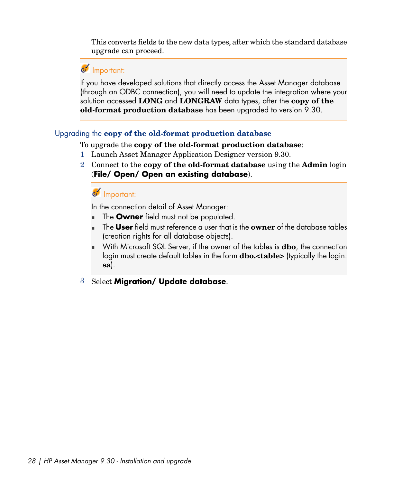This converts fields to the new data types, after which the standard database upgrade can proceed.

## Important:

If you have developed solutions that directly access the Asset Manager database (through an ODBC connection), you will need to update the integration where your solution accessed **LONG** and **LONGRAW** data types, after the **copy of the old-format production database** has been upgraded to version 9.30.

### Upgrading the **copy of the old-format production database**

To upgrade the **copy of the old-format production database**:

- 1 Launch Asset Manager Application Designer version 9.30.
- 2 Connect to the **copy of the old-format database** using the **Admin** login (**File/ Open/ Open an existing database**).

## Important:

In the connection detail of Asset Manager:

- **n** The **Owner** field must not be populated.
- <sup>n</sup> The **User** field must reference a user that is the **owner** of the database tables (creation rights for all database objects).
- **Number 1** With Microsoft SQL Server, if the owner of the tables is **dbo**, the connection login must create default tables in the form **dbo.<table>** (typically the login: **sa**).
- 3 Select **Migration/ Update database**.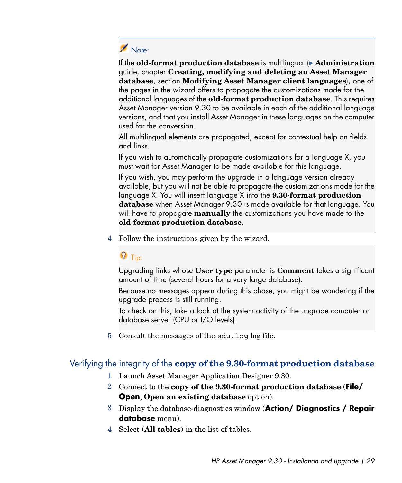

If the **old-format production database** is multilingual ( **Administration** guide, chapter **Creating, modifying and deleting an Asset Manager database**, section **Modifying Asset Manager client languages**), one of the pages in the wizard offers to propagate the customizations made for the additional languages of the **old-format production database**. This requires Asset Manager version 9.30 to be available in each of the additional language versions, and that you install Asset Manager in these languages on the computer used for the conversion.

All multilingual elements are propagated, except for contextual help on fields and links.

If you wish to automatically propagate customizations for a language X, you must wait for Asset Manager to be made available for this language.

If you wish, you may perform the upgrade in a language version already available, but you will not be able to propagate the customizations made for the language X. You will insert language X into the **9.30-format production database** when Asset Manager 9.30 is made available for that language. You will have to propagate **manually** the customizations you have made to the **old-format production database**.

4 Follow the instructions given by the wizard.

## $Q$  Tip:

Upgrading links whose **User type** parameter is **Comment** takes a significant amount of time (several hours for a very large database).

Because no messages appear during this phase, you might be wondering if the upgrade process is still running.

<span id="page-28-0"></span>To check on this, take a look at the system activity of the upgrade computer or database server (CPU or I/O levels).

5 Consult the messages of the sdu.log log file.

## Verifying the integrity of the **copy of the 9.30-format production database**

- 1 Launch Asset Manager Application Designer 9.30.
- 2 Connect to the **copy of the 9.30-format production database** (**File/ Open**, **Open an existing database** option).
- 3 Display the database-diagnostics window (**Action/ Diagnostics / Repair database** menu).
- 4 Select **(All tables)** in the list of tables.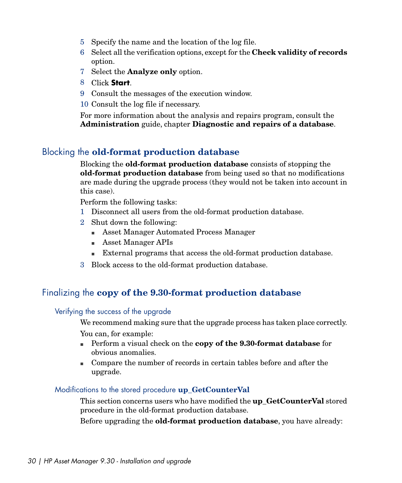- 5 Specify the name and the location of the log file.
- 6 Select all the verification options, except for the **Check validity of records** option.
- 7 Select the **Analyze only** option.
- 8 Click **Start**.
- 9 Consult the messages of the execution window.
- 10 Consult the log file if necessary.

<span id="page-29-0"></span>For more information about the analysis and repairs program, consult the **Administration** guide, chapter **Diagnostic and repairs of a database**.

## Blocking the **old-format production database**

Blocking the **old-format production database** consists of stopping the **old-format production database** from being used so that no modifications are made during the upgrade process (they would not be taken into account in this case).

Perform the following tasks:

- 1 Disconnect all users from the old-format production database.
- 2 Shut down the following:
	- <sup>n</sup> Asset Manager Automated Process Manager
	- **n** Asset Manager APIs
	- <sup>n</sup> External programs that access the old-format production database.
- <span id="page-29-1"></span>3 Block access to the old-format production database.

## Finalizing the **copy of the 9.30-format production database**

#### Verifying the success of the upgrade

We recommend making sure that the upgrade process has taken place correctly. You can, for example:

- <sup>n</sup> Perform a visual check on the **copy of the 9.30-format database** for obvious anomalies.
- <sup>n</sup> Compare the number of records in certain tables before and after the upgrade.

#### Modifications to the stored procedure **up\_GetCounterVal**

This section concerns users who have modified the **up\_GetCounterVal** stored procedure in the old-format production database.

Before upgrading the **old-format production database**, you have already: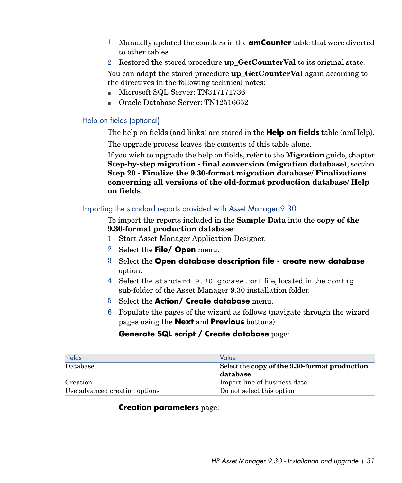- 1 Manually updated the counters in the **amCounter** table that were diverted to other tables.
- 2 Restored the stored procedure **up\_GetCounterVal** to its original state.

You can adapt the stored procedure **up\_GetCounterVal** again according to the directives in the following technical notes:

- **Nicrosoft SQL Server: TN317171736**
- n Oracle Database Server: TN12516652

#### Help on fields (optional)

The help on fields (and links) are stored in the **Help on fields** table (amHelp).

The upgrade process leaves the contents of this table alone.

If you wish to upgrade the help on fields, refer to the **Migration** guide, chapter **Step-by-step migration - final conversion (migration database)**, section **Step 20 - Finalize the 9.30-format migration database**/ **Finalizations concerning all versions of the old-format production database**/ **Help on fields**.

#### Importing the standard reports provided with Asset Manager 9.30

To import the reports included in the **Sample Data** into the **copy of the 9.30-format production database**:

- 1 Start Asset Manager Application Designer.
- 2 Select the **File/ Open** menu.
- 3 Select the **Open database description file create new database** option.
- 4 Select the standard 9.30 gbbase.xml file, located in the config sub-folder of the Asset Manager 9.30 installation folder.
- 5 Select the **Action/ Create database** menu.
- 6 Populate the pages of the wizard as follows (navigate through the wizard pages using the **Next** and **Previous** buttons):

### **Generate SQL script / Create database** page:

| <b>Fields</b>                 | Value                                         |
|-------------------------------|-----------------------------------------------|
| Database                      | Select the copy of the 9.30-format production |
|                               | database.                                     |
| Creation                      | Import line-of-business data.                 |
| Use advanced creation options | Do not select this option                     |

#### **Creation parameters** page: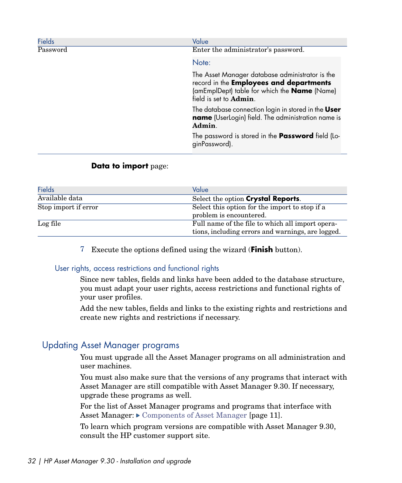| <b>Fields</b> | Value                                                                                                                                                                                      |
|---------------|--------------------------------------------------------------------------------------------------------------------------------------------------------------------------------------------|
| Password      | Enter the administrator's password.                                                                                                                                                        |
|               | Note:                                                                                                                                                                                      |
|               | The Asset Manager database administrator is the<br>record in the <b>Employees and departments</b><br>(amEmplDept) table for which the <b>Name</b> (Name)<br>field is set to <b>Admin</b> . |
|               | The database connection login in stored in the <b>User</b><br>name (UserLogin) field. The administration name is<br>Admin.                                                                 |
|               | The password is stored in the <b>Password</b> field (Lo-<br>ginPassword).                                                                                                                  |

#### **Data to import** page:

| Fields               | Value                                                                                                 |
|----------------------|-------------------------------------------------------------------------------------------------------|
| Available data       | Select the option Crystal Reports.                                                                    |
| Stop import if error | Select this option for the import to stop if a<br>problem is encountered.                             |
| Log file             | Full name of the file to which all import opera-<br>tions, including errors and warnings, are logged. |

7 Execute the options defined using the wizard (**Finish** button).

#### User rights, access restrictions and functional rights

Since new tables, fields and links have been added to the database structure, you must adapt your user rights, access restrictions and functional rights of your user profiles.

<span id="page-31-0"></span>Add the new tables, fields and links to the existing rights and restrictions and create new rights and restrictions if necessary.

### Updating Asset Manager programs

You must upgrade all the Asset Manager programs on all administration and user machines.

You must also make sure that the versions of any programs that interact with Asset Manager are still compatible with Asset Manager 9.30. If necessary, upgrade these programs as well.

For the list of Asset Manager programs and programs that interface with Asset Manager: ▶ [Components of Asset Manager](#page-10-0) [page 11].

To learn which program versions are compatible with Asset Manager 9.30, consult the HP customer support site.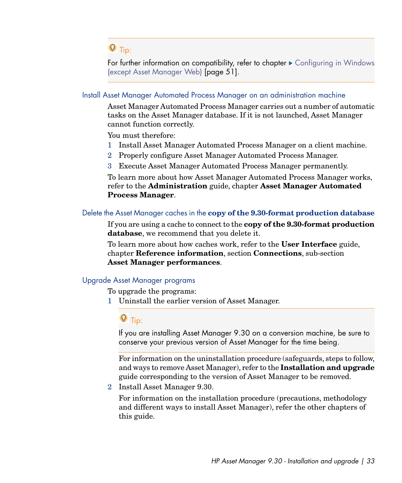# $\overline{Q}$  Tip:

For further information on compatibility, refer to chapter  $\blacktriangleright$  [Configuring in Windows](#page-50-0) [\(except Asset Manager Web\)](#page-50-0) [page 51].

#### Install Asset Manager Automated Process Manager on an administration machine

Asset Manager Automated Process Manager carries out a number of automatic tasks on the Asset Manager database. If it is not launched, Asset Manager cannot function correctly.

You must therefore:

- 1 Install Asset Manager Automated Process Manager on a client machine.
- 2 Properly configure Asset Manager Automated Process Manager.
- 3 Execute Asset Manager Automated Process Manager permanently.

To learn more about how Asset Manager Automated Process Manager works, refer to the **Administration** guide, chapter **Asset Manager Automated Process Manager**.

#### Delete the Asset Manager caches in the **copy of the 9.30-format production database**

If you are using a cache to connect to the **copy of the 9.30-format production database**, we recommend that you delete it.

To learn more about how caches work, refer to the **User Interface** guide, chapter **Reference information**, section **Connections**, sub-section **Asset Manager performances**.

#### Upgrade Asset Manager programs

To upgrade the programs:

1 Uninstall the earlier version of Asset Manager.

# $Q$  Tip:

If you are installing Asset Manager 9.30 on a conversion machine, be sure to conserve your previous version of Asset Manager for the time being.

For information on the uninstallation procedure (safeguards, steps to follow, and ways to remove Asset Manager), refer to the **Installation and upgrade** guide corresponding to the version of Asset Manager to be removed.

2 Install Asset Manager 9.30.

For information on the installation procedure (precautions, methodology and different ways to install Asset Manager), refer the other chapters of this guide.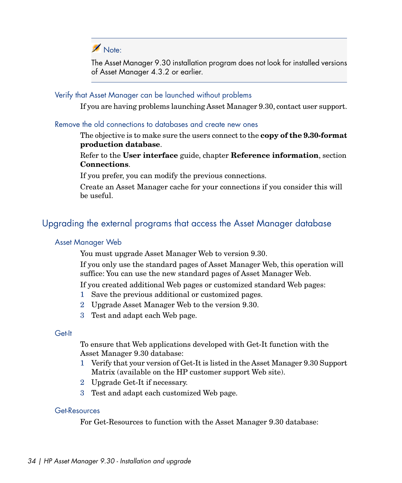## Note:

The Asset Manager 9.30 installation program does not look for installed versions of Asset Manager 4.3.2 or earlier.

### Verify that Asset Manager can be launched without problems

If you are having problems launching Asset Manager 9.30, contact user support.

#### Remove the old connections to databases and create new ones

The objective is to make sure the users connect to the **copy of the 9.30-format production database**.

Refer to the **User interface** guide, chapter **Reference information**, section **Connections**.

If you prefer, you can modify the previous connections.

<span id="page-33-0"></span>Create an Asset Manager cache for your connections if you consider this will be useful.

## Upgrading the external programs that access the Asset Manager database

#### Asset Manager Web

You must upgrade Asset Manager Web to version 9.30.

If you only use the standard pages of Asset Manager Web, this operation will suffice: You can use the new standard pages of Asset Manager Web.

If you created additional Web pages or customized standard Web pages:

- 1 Save the previous additional or customized pages.
- 2 Upgrade Asset Manager Web to the version 9.30.
- 3 Test and adapt each Web page.

#### Get-It

To ensure that Web applications developed with Get-It function with the Asset Manager 9.30 database:

- 1 Verify that your version of Get-It is listed in the Asset Manager 9.30 Support Matrix (available on the HP customer support Web site).
- 2 Upgrade Get-It if necessary.
- 3 Test and adapt each customized Web page.

#### Get-Resources

For Get-Resources to function with the Asset Manager 9.30 database: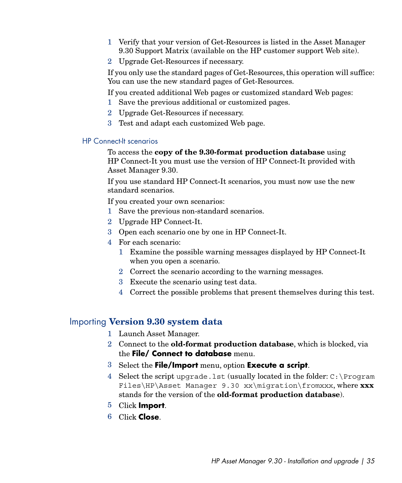- 1 Verify that your version of Get-Resources is listed in the Asset Manager 9.30 Support Matrix (available on the HP customer support Web site).
- 2 Upgrade Get-Resources if necessary.

If you only use the standard pages of Get-Resources, this operation will suffice: You can use the new standard pages of Get-Resources.

If you created additional Web pages or customized standard Web pages:

- 1 Save the previous additional or customized pages.
- 2 Upgrade Get-Resources if necessary.
- 3 Test and adapt each customized Web page.

#### HP Connect-It scenarios

To access the **copy of the 9.30-format production database** using HP Connect-It you must use the version of HP Connect-It provided with Asset Manager 9.30.

If you use standard HP Connect-It scenarios, you must now use the new standard scenarios.

If you created your own scenarios:

- 1 Save the previous non-standard scenarios.
- 2 Upgrade HP Connect-It.
- 3 Open each scenario one by one in HP Connect-It.
- 4 For each scenario:
	- 1 Examine the possible warning messages displayed by HP Connect-It when you open a scenario.
	- 2 Correct the scenario according to the warning messages.
	- 3 Execute the scenario using test data.
	- 4 Correct the possible problems that present themselves during this test.

## Importing **Version 9.30 system data**

- 1 Launch Asset Manager.
- 2 Connect to the **old-format production database**, which is blocked, via the **File/ Connect to database** menu.
- 3 Select the **File/Import** menu, option **Execute a script**.
- 4 Select the script upgrade. Lst (usually located in the folder:  $C:\Per\gamma$ Files\HP\Asset Manager 9.30 xx\migration\fromxxx, where **xxx** stands for the version of the **old-format production database**).
- 5 Click **Import**.
- 6 Click **Close**.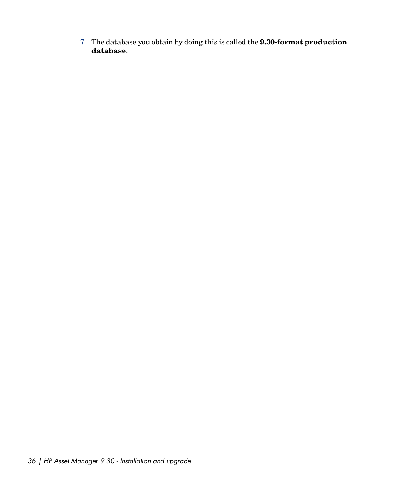7 The database you obtain by doing this is called the **9.30-format production database**.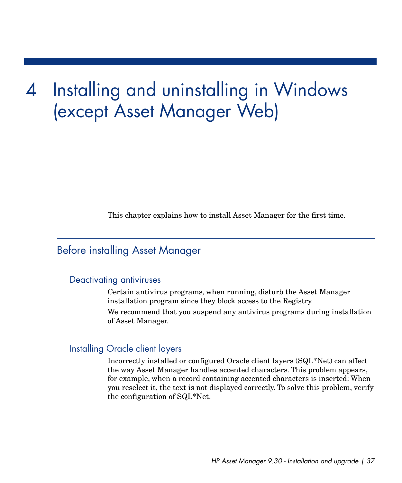# Installing and uninstalling in Windows (except Asset Manager Web) 4

<span id="page-36-0"></span>This chapter explains how to install Asset Manager for the first time.

# Before installing Asset Manager

#### Deactivating antiviruses

Certain antivirus programs, when running, disturb the Asset Manager installation program since they block access to the Registry.

We recommend that you suspend any antivirus programs during installation of Asset Manager.

#### Installing Oracle client layers

Incorrectly installed or configured Oracle client layers (SQL\*Net) can affect the way Asset Manager handles accented characters. This problem appears, for example, when a record containing accented characters is inserted: When you reselect it, the text is not displayed correctly. To solve this problem, verify the configuration of SQL\*Net.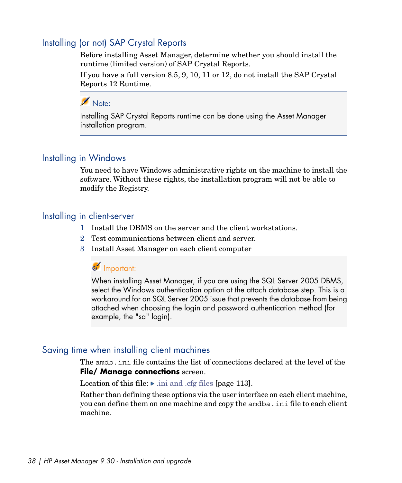### Installing (or not) SAP Crystal Reports

Before installing Asset Manager, determine whether you should install the runtime (limited version) of SAP Crystal Reports.

If you have a full version 8.5, 9, 10, 11 or 12, do not install the SAP Crystal Reports 12 Runtime.

### Note:

Installing SAP Crystal Reports runtime can be done using the Asset Manager installation program.

#### Installing in Windows

You need to have Windows administrative rights on the machine to install the software. Without these rights, the installation program will not be able to modify the Registry.

#### Installing in client-server

- 1 Install the DBMS on the server and the client workstations.
- 2 Test communications between client and server.
- 3 Install Asset Manager on each client computer

### Important:

When installing Asset Manager, if you are using the SQL Server 2005 DBMS, select the Windows authentication option at the attach database step. This is a workaround for an SQL Server 2005 issue that prevents the database from being attached when choosing the login and password authentication method (for example, the "sa" login).

#### Saving time when installing client machines

The amdb.ini file contains the list of connections declared at the level of the **File/ Manage connections** screen.

Location of this file:  $\triangleright$  ini and .cfg files [page 113].

Rather than defining these options via the user interface on each client machine, you can define them on one machine and copy the amdba.ini file to each client machine.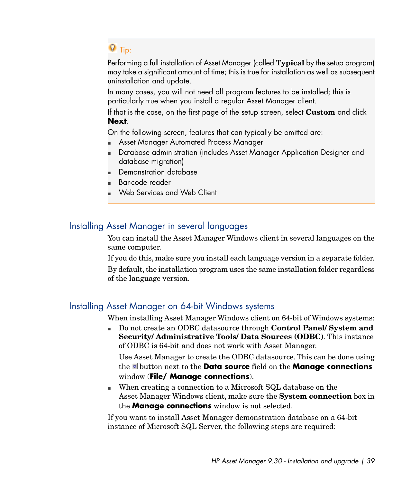# $\overline{Q}$  Tip:

Performing a full installation of Asset Manager (called **Typical** by the setup program) may take a significant amount of time; this is true for installation as well as subsequent uninstallation and update.

In many cases, you will not need all program features to be installed; this is particularly true when you install a regular Asset Manager client.

If that is the case, on the first page of the setup screen, select **Custom** and click **Next**.

On the following screen, features that can typically be omitted are:

- **Asset Manager Automated Process Manager**
- <sup>n</sup> Database administration (includes Asset Manager Application Designer and database migration)
- **n** Demonstration database
- Bar-code reader
- <sup>n</sup> Web Services and Web Client

### Installing Asset Manager in several languages

You can install the Asset Manager Windows client in several languages on the same computer.

If you do this, make sure you install each language version in a separate folder. By default, the installation program uses the same installation folder regardless of the language version.

### Installing Asset Manager on 64-bit Windows systems

When installing Asset Manager Windows client on 64-bit of Windows systems:

<sup>n</sup> Do not create an ODBC datasource through **Control Panel/ System and Security/ Administrative Tools/ Data Sources (ODBC)**. This instance of ODBC is 64-bit and does not work with Asset Manager.

Use Asset Manager to create the ODBC datasource. This can be done using the button next to the **Data source** field on the **Manage connections** window (**File/ Manage connections**).

<sup>n</sup> When creating a connection to a Microsoft SQL database on the Asset Manager Windows client, make sure the **System connection** box in the **Manage connections** window is not selected.

If you want to install Asset Manager demonstration database on a 64-bit instance of Microsoft SQL Server, the following steps are required: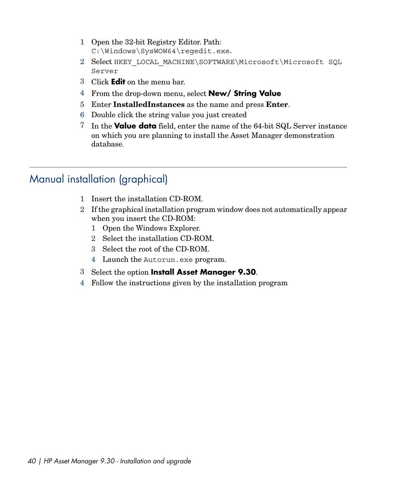- Open the 32-bit Registry Editor. Path: C:\Windows\SysWOW64\regedit.exe.
- Select HKEY\_LOCAL\_MACHINE\SOFTWARE\Microsoft\Microsoft SQL Server
- Click **Edit** on the menu bar.
- From the drop-down menu, select **New/ String Value**
- Enter **InstalledInstances** as the name and press **Enter**.
- Double click the string value you just created
- <span id="page-39-0"></span> In the **Value data** field, enter the name of the 64-bit SQL Server instance on which you are planning to install the Asset Manager demonstration database.

# Manual installation (graphical)

- Insert the installation CD-ROM.
- If the graphical installation program window does not automatically appear when you insert the CD-ROM:
	- Open the Windows Explorer.
	- Select the installation CD-ROM.
	- Select the root of the CD-ROM.
	- 4 Launch the Autorun.exe program.
- Select the option **Install Asset Manager 9.30**.
- Follow the instructions given by the installation program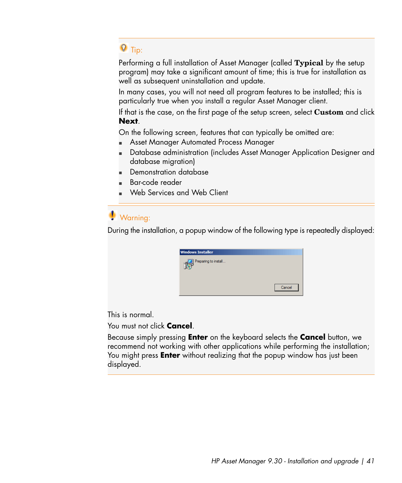# $\overline{Q}$  Tip:

Performing a full installation of Asset Manager (called **Typical** by the setup program) may take a significant amount of time; this is true for installation as well as subsequent uninstallation and update.

In many cases, you will not need all program features to be installed; this is particularly true when you install a regular Asset Manager client.

If that is the case, on the first page of the setup screen, select **Custom** and click **Next**.

On the following screen, features that can typically be omitted are:

- **Asset Manager Automated Process Manager**
- **n** Database administration (includes Asset Manager Application Designer and database migration)
- <sup>n</sup> Demonstration database
- Bar-code reader
- <sup>n</sup> Web Services and Web Client

# **Warning:**

During the installation, a popup window of the following type is repeatedly displayed:

| <b>Windows Installer</b> |        |
|--------------------------|--------|
| Preparing to install     |        |
|                          | Cancel |

This is normal.

You must not click **Cancel**.

Because simply pressing **Enter** on the keyboard selects the **Cancel** button, we recommend not working with other applications while performing the installation; You might press **Enter** without realizing that the popup window has just been displayed.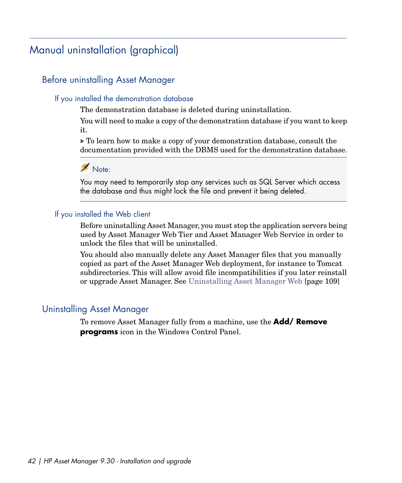# Manual uninstallation (graphical)

### Before uninstalling Asset Manager

#### If you installed the demonstration database

The demonstration database is deleted during uninstallation.

You will need to make a copy of the demonstration database if you want to keep it.

 $\triangleright$  To learn how to make a copy of your demonstration database, consult the documentation provided with the DBMS used for the demonstration database.



You may need to temporarily stop any services such as SQL Server which access the database and thus might lock the file and prevent it being deleted.

#### If you installed the Web client

Before uninstalling Asset Manager, you must stop the application servers being used by Asset Manager Web Tier and Asset Manager Web Service in order to unlock the files that will be uninstalled.

You should also manually delete any Asset Manager files that you manually copied as part of the Asset Manager Web deployment, for instance to Tomcat subdirectories. This will allow avoid file incompatibilities if you later reinstall or upgrade Asset Manager. See [Uninstalling Asset Manager Web](#page-108-0) [page 109]

#### Uninstalling Asset Manager

To remove Asset Manager fully from a machine, use the **Add/ Remove programs** icon in the Windows Control Panel.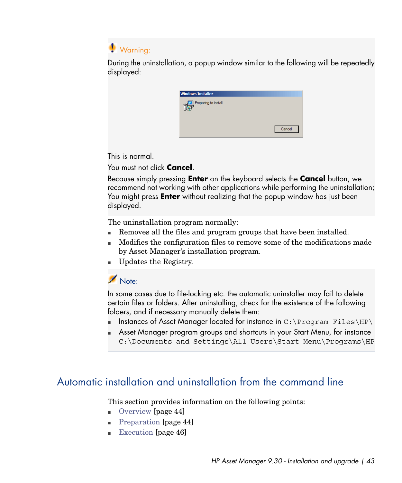Warning:

During the uninstallation, a popup window similar to the following will be repeatedly displayed:

| <b>Windows Installer</b> |        |
|--------------------------|--------|
| Preparing to install     |        |
|                          | Cancel |

This is normal.

You must not click **Cancel**.

Because simply pressing **Enter** on the keyboard selects the **Cancel** button, we recommend not working with other applications while performing the uninstallation; You might press **Enter** without realizing that the popup window has just been displayed.

The uninstallation program normally:

- Removes all the files and program groups that have been installed.
- <sup>n</sup> Modifies the configuration files to remove some of the modifications made by Asset Manager's installation program.
- <sup>n</sup> Updates the Registry.

Note:

In some cases due to file-locking etc. the automatic uninstaller may fail to delete certain files or folders. After uninstalling, check for the existence of the following folders, and if necessary manually delete them:

- **n** Instances of Asset Manager located for instance in C:\Program Files\HP\
- <sup>n</sup> Asset Manager program groups and shortcuts in your Start Menu, for instance C:\Documents and Settings\All Users\Start Menu\Programs\HP

# Automatic installation and uninstallation from the command line

This section provides information on the following points:

- **n** [Overview](#page-43-0) [page 44]
- **[Preparation](#page-43-1) [page 44]**
- [Execution](#page-45-0) [page 46]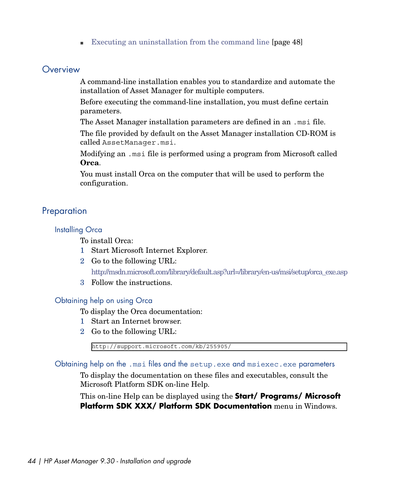<span id="page-43-0"></span>■ [Executing an uninstallation from the command line](#page-47-0) [page 48]

#### **Overview**

A command-line installation enables you to standardize and automate the installation of Asset Manager for multiple computers.

Before executing the command-line installation, you must define certain parameters.

The Asset Manager installation parameters are defined in an .msi file.

The file provided by default on the Asset Manager installation CD-ROM is called AssetManager.msi.

Modifying an .msi file is performed using a program from Microsoft called **Orca**.

<span id="page-43-1"></span>You must install Orca on the computer that will be used to perform the configuration.

### Preparation

#### Installing Orca

To install Orca:

- 1 Start Microsoft Internet Explorer.
- 2 Go to the following URL:

[http://msdn.microsoft.com/library/default.asp?url=/library/en-us/msi/setup/orca\\_exe.asp](http://msdn.microsoft.com/library/default.asp?url=/library/en-us/msi/setup/orca_exe.asp)

3 Follow the instructions.

#### Obtaining help on using Orca

To display the Orca documentation:

- 1 Start an Internet browser.
- 2 Go to the following URL:

http://support.microsoft.com/kb/255905/

Obtaining help on the .msi files and the setup.exe and msiexec.exe parameters

To display the documentation on these files and executables, consult the Microsoft Platform SDK on-line Help.

This on-line Help can be displayed using the **Start/ Programs/ Microsoft Platform SDK XXX/ Platform SDK Documentation** menu in Windows.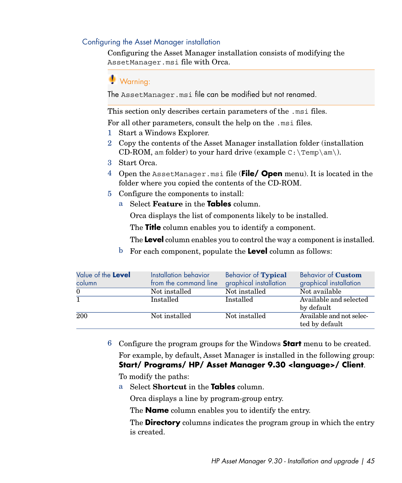#### Configuring the Asset Manager installation

Configuring the Asset Manager installation consists of modifying the AssetManager.msi file with Orca.

# Warning:

The AssetManager.msi file can be modified but not renamed.

This section only describes certain parameters of the .msi files.

For all other parameters, consult the help on the .msi files.

- 1 Start a Windows Explorer.
- 2 Copy the contents of the Asset Manager installation folder (installation CD-ROM, am folder) to your hard drive (example  $C:\T$ emp $\amalg$ am $\ldots$
- 3 Start Orca.
- 4 Open the AssetManager.msi file (**File/ Open** menu). It is located in the folder where you copied the contents of the CD-ROM.
- 5 Configure the components to install:
	- a Select **Feature** in the **Tables** column.

Orca displays the list of components likely to be installed.

The **Title** column enables you to identify a component.

The **Level** column enables you to control the way a component is installed.

b For each component, populate the **Level** column as follows:

| Value of the Level<br>column | Installation behavior<br>from the command line | Behavior of Typical<br>graphical installation | Behavior of <b>Custom</b><br>graphical installation |
|------------------------------|------------------------------------------------|-----------------------------------------------|-----------------------------------------------------|
| $\theta$                     | Not installed                                  | Not installed                                 | Not available                                       |
|                              | Installed                                      | Installed                                     | Available and selected<br>by default                |
| 200                          | Not installed                                  | Not installed                                 | Available and not selec-<br>ted by default          |

6 Configure the program groups for the Windows **Start** menu to be created. For example, by default, Asset Manager is installed in the following group: **Start/ Programs/ HP/ Asset Manager 9.30 <language>/ Client**.

To modify the paths:

a Select **Shortcut** in the **Tables** column.

Orca displays a line by program-group entry.

The **Name** column enables you to identify the entry.

The **Directory** columns indicates the program group in which the entry is created.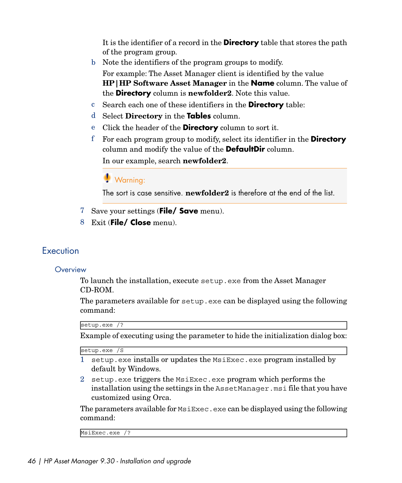It is the identifier of a record in the **Directory** table that stores the path of the program group.

b Note the identifiers of the program groups to modify.

For example: The Asset Manager client is identified by the value **HP|HP Software Asset Manager** in the **Name** column. The value of the **Directory** column is **newfolder2**. Note this value.

- c Search each one of these identifiers in the **Directory** table:
- d Select **Directory** in the **Tables** column.
- e Click the header of the **Directory** column to sort it.
- f For each program group to modify, select its identifier in the **Directory** column and modify the value of the **DefaultDir** column. In our example, search **newfolder2**.

### Warning:

The sort is case sensitive. **newfolder2** is therefore at the end of the list.

- <span id="page-45-0"></span>7 Save your settings (**File/ Save** menu).
- 8 Exit (**File/ Close** menu).

### **Execution**

#### **Overview**

To launch the installation, execute setup.exe from the Asset Manager CD-ROM.

The parameters available for setup.exe can be displayed using the following command:

setup.exe /?

Example of executing using the parameter to hide the initialization dialog box:

setup.exe /S

- 1 setup.exe installs or updates the MsiExec.exe program installed by default by Windows.
- 2 setup.exe triggers the MsiExec.exe program which performs the installation using the settings in the AssetManager.msi file that you have customized using Orca.

The parameters available for MsiExec.exe can be displayed using the following command:

MsiExec.exe /?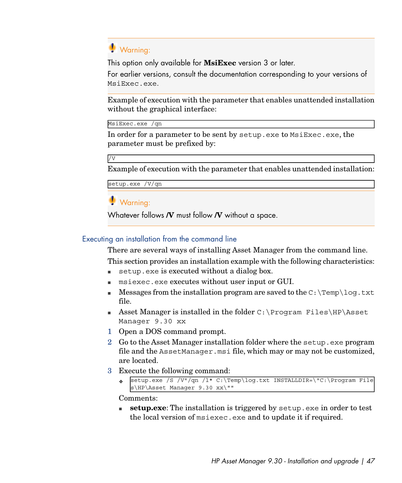# Warning:

This option only available for **MsiExec** version 3 or later.

For earlier versions, consult the documentation corresponding to your versions of MsiExec.exe.

Example of execution with the parameter that enables unattended installation without the graphical interface:

MsiExec.exe /qn

In order for a parameter to be sent by setup.exe to MsiExec.exe, the parameter must be prefixed by:

/V

Example of execution with the parameter that enables unattended installation:

setup.exe /V/qn

Warning:

<span id="page-46-0"></span>Whatever follows **/V** must follow **/V** without a space.

#### Executing an installation from the command line

There are several ways of installing Asset Manager from the command line. This section provides an installation example with the following characteristics:

- setup.exe is executed without a dialog box.
- <sup>n</sup> msiexec.exe executes without user input or GUI.
- Exercise Messages from the installation program are saved to the C:  $\Temp\log.txt$ file.
- **Asset Manager is installed in the folder** C:  $\angle$ Program Files $\angle$ HP $\angle$ Asset Manager 9.30 xx
- 1 Open a DOS command prompt.
- 2 Go to the Asset Manager installation folder where the setup.exe program file and the AssetManager.msi file, which may or may not be customized, are located.
- 3 Execute the following command:
	- u setup.exe /S /V"/qn /l\* C:\Temp\log.txt INSTALLDIR=\"C:\Program File s\HP\Asset Manager 9.30 xx\""

Comments:

**setup.exe**: The installation is triggered by setup.exe in order to test the local version of msiexec.exe and to update it if required.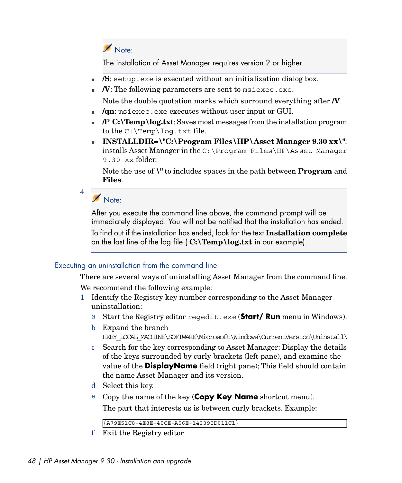# Note:

The installation of Asset Manager requires version 2 or higher.

- **S**: setup.exe is executed without an initialization dialog box.
- $\blacksquare$  **/V**: The following parameters are sent to msiexec.exe. Note the double quotation marks which surround everything after **/V**.
- **n** *l***qn**: msiexec.exe executes without user input or GUI.
- $\blacksquare$  **/l\* C:\Temp\log.txt**: Saves most messages from the installation program to the  $C:\Temp\log.txt$  file.
- **n INSTALLDIR=\"C:\Program Files\HP\Asset Manager 9.30 xx\":** installs Asset Manager in the C:\Program Files\HP\Asset Manager 9.30 xx folder.

Note the use of **\"** to includes spaces in the path between **Program** and **Files**.

# Note:

4

After you execute the command line above, the command prompt will be immediately displayed. You will not be notified that the installation has ended.

<span id="page-47-0"></span>To find out if the installation has ended, look for the text **Installation complete** on the last line of the log file ( **C:\Temp\log.txt** in our example).

#### Executing an uninstallation from the command line

There are several ways of uninstalling Asset Manager from the command line.

We recommend the following example:

- 1 Identify the Registry key number corresponding to the Asset Manager uninstallation:
	- a Start the Registry editor regedit.exe (**Start/ Run** menu in Windows).
	- b Expand the branch HKEY\_LOCAL\_MACHINE\SOFTWARE\Microsoft\Windows\CurrentVersion\Uninstall\
	- c Search for the key corresponding to Asset Manager: Display the details of the keys surrounded by curly brackets (left pane), and examine the value of the **DisplayName** field (right pane); This field should contain the name Asset Manager and its version.
	- d Select this key.
	- e Copy the name of the key (**Copy Key Name** shortcut menu). The part that interests us is between curly brackets. Example:

```
{A79E51C8-4E8E-40CE-A56E-143395D011C1}
```
f Exit the Registry editor.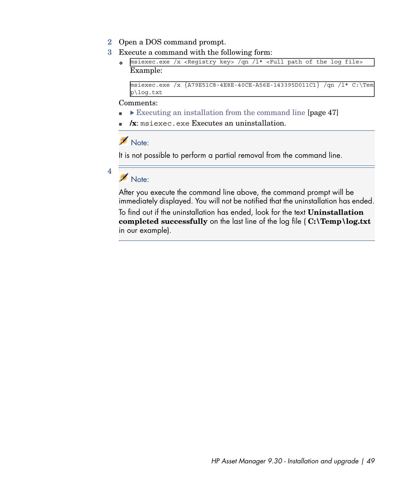- 2 Open a DOS command prompt.
- 3 Execute a command with the following form:
	- w msiexec.exe /x <Registry key> /qn /l\* <Full path of the log file> Example:

```
msiexec.exe /x {A79E51C8-4E8E-40CE-A56E-143395D011C1} /qn /l* C:\Tem
p\log.txt
```
#### Comments:

- $\blacktriangleright$  [Executing an installation from the command line](#page-46-0) [page 47]
- **/x**: msiexec.exe Executes an uninstallation.

# Note:

It is not possible to perform a partial removal from the command line.

# Note:

4

After you execute the command line above, the command prompt will be immediately displayed. You will not be notified that the uninstallation has ended.

To find out if the uninstallation has ended, look for the text **Uninstallation completed successfully** on the last line of the log file ( **C:\Temp\log.txt** in our example).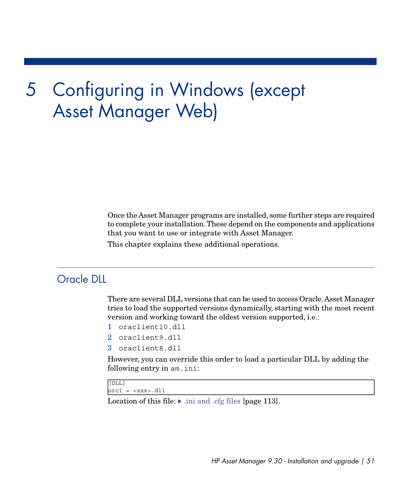# Configuring in Windows (except 5Asset Manager Web)

Once the Asset Manager programs are installed, some further steps are required to complete your installation.These depend on the components and applications that you want to use or integrate with Asset Manager.

This chapter explains these additional operations.

# Oracle DLL

There are several DLL versions that can be used to access Oracle.Asset Manager tries to load the supported versions dynamically, starting with the most recent version and working toward the oldest version supported, i.e.:

- 1 oraclient10.dll
- 2 oraclient9.dll
- 3 oraclient8.dll

However, you can override this order to load a particular DLL by adding the following entry in am.ini:

[DLL]  $\text{ord} = \text{xxxx}.\text{dl}$ 

Location of this file:  $\triangleright$  ini and .cfg files [page 113].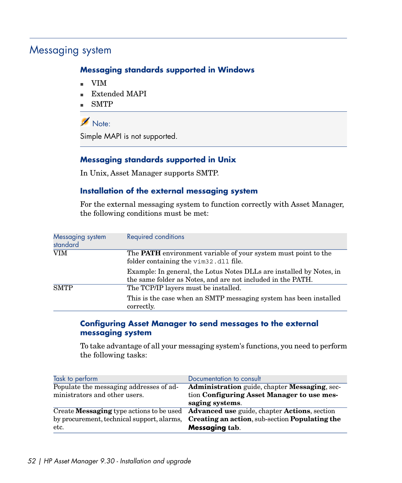# Messaging system

#### **Messaging standards supported in Windows**

- <sup>n</sup> VIM
- Extended MAPI
- **SMTP**

Note:

Simple MAPI is not supported.

#### **Messaging standards supported in Unix**

In Unix, Asset Manager supports SMTP.

#### **Installation of the external messaging system**

For the external messaging system to function correctly with Asset Manager, the following conditions must be met:

| Messaging system<br>standard | <b>Required conditions</b>                                                                                                          |
|------------------------------|-------------------------------------------------------------------------------------------------------------------------------------|
| <b>VIM</b>                   | The <b>PATH</b> environment variable of your system must point to the<br>folder containing the vim <sub>32</sub> .dll file.         |
|                              | Example: In general, the Lotus Notes DLLs are installed by Notes, in<br>the same folder as Notes, and are not included in the PATH. |
| <b>SMTP</b>                  | The TCP/IP layers must be installed.                                                                                                |
|                              | This is the case when an SMTP messaging system has been installed<br>correctly.                                                     |

#### **Configuring Asset Manager to send messages to the external messaging system**

To take advantage of all your messaging system's functions, you need to perform the following tasks:

| Task to perform                            | Documentation to consult                                                              |
|--------------------------------------------|---------------------------------------------------------------------------------------|
| Populate the messaging addresses of ad-    | Administration guide, chapter Messaging, sec-                                         |
| ministrators and other users.              | tion Configuring Asset Manager to use mes-                                            |
|                                            | saging systems.                                                                       |
|                                            | Create Messaging type actions to be used Advanced use guide, chapter Actions, section |
| by procurement, technical support, alarms, | Creating an action, sub-section Populating the                                        |
| etc.                                       | Messaging tab.                                                                        |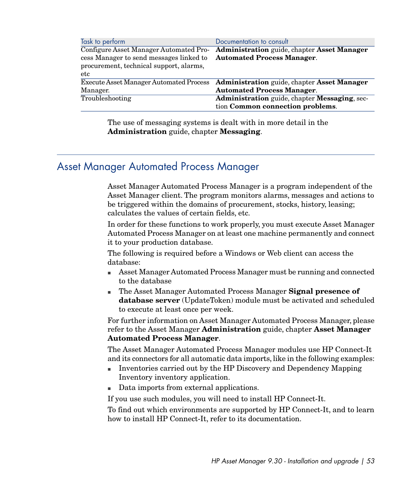| Task to perform                         | Documentation to consult                                  |
|-----------------------------------------|-----------------------------------------------------------|
| Configure Asset Manager Automated Pro-  | <b>Administration</b> guide, chapter <b>Asset Manager</b> |
| cess Manager to send messages linked to | <b>Automated Process Manager.</b>                         |
| procurement, technical support, alarms, |                                                           |
| etc                                     |                                                           |
| Execute Asset Manager Automated Process | <b>Administration</b> guide, chapter <b>Asset Manager</b> |
| Manager.                                | <b>Automated Process Manager.</b>                         |
| Troubleshooting                         | Administration guide, chapter Messaging, sec-             |
|                                         | tion Common connection problems.                          |

The use of messaging systems is dealt with in more detail in the **Administration** guide, chapter **Messaging**.

## Asset Manager Automated Process Manager

Asset Manager Automated Process Manager is a program independent of the Asset Manager client. The program monitors alarms, messages and actions to be triggered within the domains of procurement, stocks, history, leasing; calculates the values of certain fields, etc.

In order for these functions to work properly, you must execute Asset Manager Automated Process Manager on at least one machine permanently and connect it to your production database.

The following is required before a Windows or Web client can access the database:

- <sup>n</sup> Asset Manager Automated Process Manager must be running and connected to the database
- <sup>n</sup> The Asset Manager Automated Process Manager **Signal presence of database server** (UpdateToken) module must be activated and scheduled to execute at least once per week.

For further information on Asset Manager Automated Process Manager, please refer to the Asset Manager **Administration** guide, chapter **Asset Manager Automated Process Manager**.

The Asset Manager Automated Process Manager modules use HP Connect-It and its connectors for all automatic data imports, like in the following examples:

- n Inventories carried out by the HP Discovery and Dependency Mapping Inventory inventory application.
- Data imports from external applications.

If you use such modules, you will need to install HP Connect-It.

To find out which environments are supported by HP Connect-It, and to learn how to install HP Connect-It, refer to its documentation.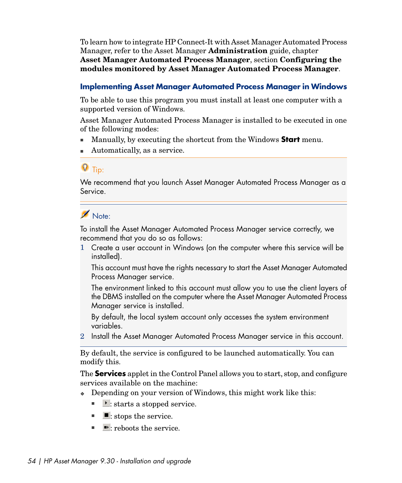To learn how to integrate HP Connect-It with Asset Manager Automated Process Manager, refer to the Asset Manager **Administration** guide, chapter **Asset Manager Automated Process Manager**, section **Configuring the modules monitored by Asset Manager Automated Process Manager**.

#### **Implementing Asset Manager Automated Process Manager in Windows**

To be able to use this program you must install at least one computer with a supported version of Windows.

Asset Manager Automated Process Manager is installed to be executed in one of the following modes:

- **n** Manually, by executing the shortcut from the Windows **Start** menu.
- Automatically, as a service.

## $\overline{Q}$  Tip:

We recommend that you launch Asset Manager Automated Process Manager as a Service.

# Note:

To install the Asset Manager Automated Process Manager service correctly, we recommend that you do so as follows:

1 Create a user account in Windows (on the computer where this service will be installed).

This account must have the rights necessary to start the Asset Manager Automated Process Manager service.

The environment linked to this account must allow you to use the client layers of the DBMS installed on the computer where the Asset Manager Automated Process Manager service is installed.

By default, the local system account only accesses the system environment variables.

2 Install the Asset Manager Automated Process Manager service in this account.

By default, the service is configured to be launched automatically. You can modify this.

The **Services** applet in the Control Panel allows you to start, stop, and configure services available on the machine:

- $\bullet$  Depending on your version of Windows, this might work like this:
	- $\blacksquare$ : starts a stopped service.
	- $\blacksquare$ : stops the service.
	- $\blacksquare$  : reboots the service.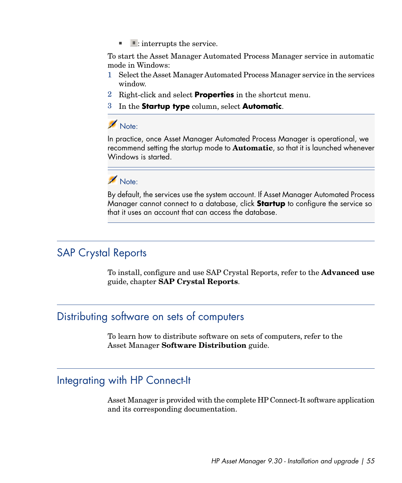$\blacksquare$  : interrupts the service.

To start the Asset Manager Automated Process Manager service in automatic mode in Windows:

- 1 Select the Asset Manager Automated Process Manager service in the services window.
- 2 Right-click and select **Properties** in the shortcut menu.
- 3 In the **Startup type** column, select **Automatic**.

## $N$ Note:

In practice, once Asset Manager Automated Process Manager is operational, we recommend setting the startup mode to **Automatic**, so that it is launched whenever Windows is started.

# Note:

By default, the services use the system account. If Asset Manager Automated Process Manager cannot connect to a database, click **Startup** to configure the service so that it uses an account that can access the database.

# SAP Crystal Reports

To install, configure and use SAP Crystal Reports, refer to the **Advanced use** guide, chapter **SAP Crystal Reports**.

# Distributing software on sets of computers

To learn how to distribute software on sets of computers, refer to the Asset Manager **Software Distribution** guide.

### Integrating with HP Connect-It

Asset Manager is provided with the complete HP Connect-It software application and its corresponding documentation.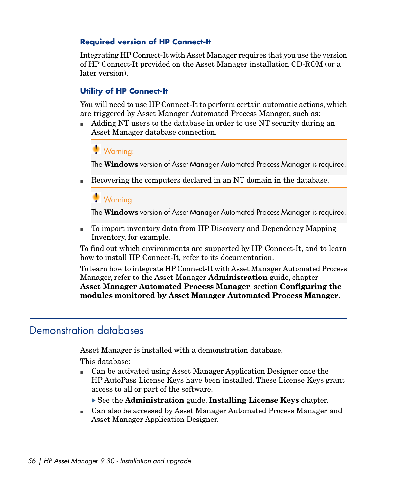#### **Required version of HP Connect-It**

Integrating HP Connect-It with Asset Manager requires that you use the version of HP Connect-It provided on the Asset Manager installation CD-ROM (or a later version).

#### **Utility of HP Connect-It**

You will need to use HP Connect-It to perform certain automatic actions, which are triggered by Asset Manager Automated Process Manager, such as:

<sup>n</sup> Adding NT users to the database in order to use NT security during an Asset Manager database connection.

Warning:

The **Windows** version of Asset Manager Automated Process Manager is required.

<sup>n</sup> Recovering the computers declared in an NT domain in the database.

Warning:

The **Windows** version of Asset Manager Automated Process Manager is required.

<sup>n</sup> To import inventory data from HP Discovery and Dependency Mapping Inventory, for example.

To find out which environments are supported by HP Connect-It, and to learn how to install HP Connect-It, refer to its documentation.

To learn how to integrate HP Connect-It with Asset Manager Automated Process Manager, refer to the Asset Manager **Administration** guide, chapter **Asset Manager Automated Process Manager**, section **Configuring the modules monitored by Asset Manager Automated Process Manager**.

# Demonstration databases

Asset Manager is installed with a demonstration database.

This database:

- n Can be activated using Asset Manager Application Designer once the HP AutoPass License Keys have been installed. These License Keys grant access to all or part of the software.
	- See the **Administration** guide, **Installing License Keys** chapter.
- <sup>n</sup> Can also be accessed by Asset Manager Automated Process Manager and Asset Manager Application Designer.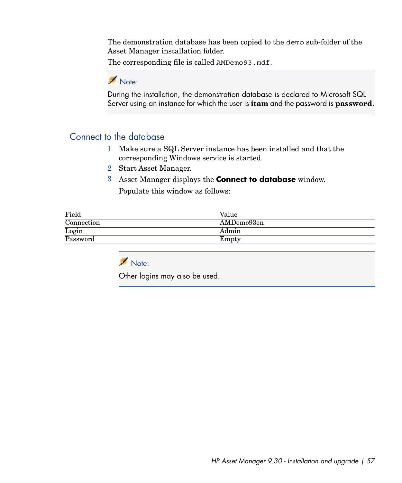The demonstration database has been copied to the demo sub-folder of the Asset Manager installation folder.

The corresponding file is called AMDemo93.mdf.

### Note:

During the installation, the demonstration database is declared to Microsoft SQL Server using an instance for which the user is **itam** and the password is **password**.

#### Connect to the database

- 1 Make sure a SQL Server instance has been installed and that the corresponding Windows service is started.
- 2 Start Asset Manager.
- 3 Asset Manager displays the **Connect to database** window. Populate this window as follows:

| Field      | Value      |
|------------|------------|
| Connection | AMDemo93en |
| Login      | Admin      |
| Password   | Empty      |
|            |            |



Other logins may also be used.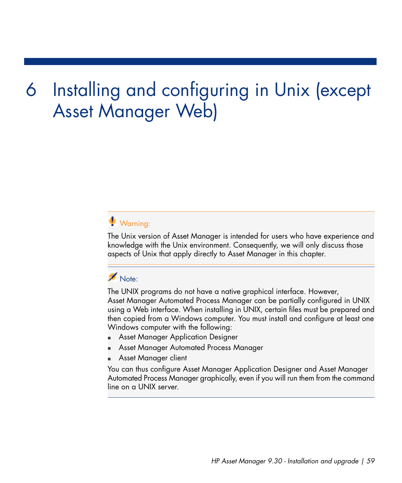# 6 Installing and configuring in Unix (except Asset Manager Web)

# Warning:

The Unix version of Asset Manager is intended for users who have experience and knowledge with the Unix environment. Consequently, we will only discuss those aspects of Unix that apply directly to Asset Manager in this chapter.

# Note:

The UNIX programs do not have a native graphical interface. However, Asset Manager Automated Process Manager can be partially configured in UNIX using a Web interface. When installing in UNIX, certain files must be prepared and then copied from a Windows computer. You must install and configure at least one Windows computer with the following:

- Asset Manager Application Designer
- <sup>n</sup> Asset Manager Automated Process Manager
- <sup>n</sup> Asset Manager client

You can thus configure Asset Manager Application Designer and Asset Manager Automated Process Manager graphically, even if you will run them from the command line on a UNIX server.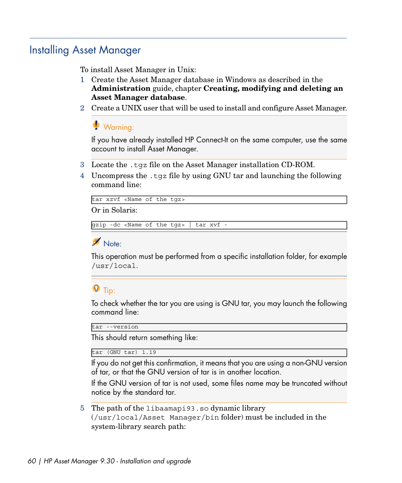# Installing Asset Manager

To install Asset Manager in Unix:

- 1 Create the Asset Manager database in Windows as described in the **Administration** guide, chapter **Creating, modifying and deleting an Asset Manager database**.
- 2 Create a UNIX user that will be used to install and configure Asset Manager.

# Warning:

If you have already installed HP Connect-It on the same computer, use the same account to install Asset Manager.

- 3 Locate the .tgz file on the Asset Manager installation CD-ROM.
- 4 Uncompress the .tgz file by using GNU tar and launching the following command line:

```
tar xzvf <Name of the tgz>
```
Or in Solaris:

gzip -dc <Name of the tgz> | tar xvf -

### Note:

This operation must be performed from a specific installation folder, for example /usr/local.

# **Q** Tip:

To check whether the tar you are using is GNU tar, you may launch the following command line:

tar --version

This should return something like:

tar (GNU tar) 1.19

If you do not get this confirmation, it means that you are using a non-GNU version of tar, or that the GNU version of tar is in another location.

If the GNU version of tar is not used, some files name may be truncated without notice by the standard tar.

5 The path of the libaamapi93.so dynamic library (/usr/local/Asset Manager/bin folder) must be included in the system-library search path: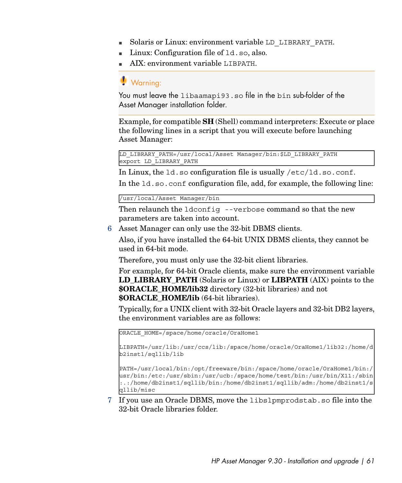- <sup>n</sup> Solaris or Linux: environment variable LD\_LIBRARY\_PATH.
- Einux: Configuration file of  $1d$ .so, also.
- **NIX: environment variable LIBPATH.**

#### Warning:

You must leave the libaamapi93.so file in the bin sub-folder of the Asset Manager installation folder.

Example, for compatible **SH** (Shell) command interpreters: Execute or place the following lines in a script that you will execute before launching Asset Manager:

```
LD_LIBRARY_PATH=/usr/local/Asset Manager/bin:$LD_LIBRARY_PATH
export LD LIBRARY PATH
```
In Linux, the ld.so configuration file is usually /etc/ld.so.conf.

In the ld.so.conf configuration file, add, for example, the following line:

/usr/local/Asset Manager/bin

Then relaunch the ldconfig --verbose command so that the new parameters are taken into account.

6 Asset Manager can only use the 32-bit DBMS clients.

Also, if you have installed the 64-bit UNIX DBMS clients, they cannot be used in 64-bit mode.

Therefore, you must only use the 32-bit client libraries.

For example, for 64-bit Oracle clients, make sure the environment variable **LD\_LIBRARY\_PATH** (Solaris or Linux) or **LIBPATH** (AIX) points to the **\$ORACLE\_HOME/lib32** directory (32-bit libraries) and not **\$ORACLE\_HOME/lib** (64-bit libraries).

Typically, for a UNIX client with 32-bit Oracle layers and 32-bit DB2 layers, the environment variables are as follows:

ORACLE\_HOME=/space/home/oracle/OraHome1

```
LIBPATH=/usr/lib:/usr/ccs/lib:/space/home/oracle/OraHome1/lib32:/home/d
b2inst1/sqllib/lib
```

```
PATH=/usr/local/bin:/opt/freeware/bin:/space/home/oracle/OraHome1/bin:/
usr/bin:/etc:/usr/sbin:/usr/ucb:/space/home/test/bin:/usr/bin/X11:/sbin
:.:/home/db2inst1/sqllib/bin:/home/db2inst1/sqllib/adm:/home/db2inst1/s
qllib/misc
```
7 If you use an Oracle DBMS, move the libslpmprodstab.so file into the 32-bit Oracle libraries folder.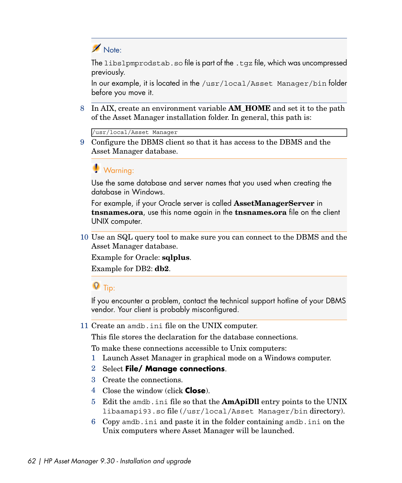# Note:

The libslpmprodstab.so file is part of the .tgz file, which was uncompressed previously.

In our example, it is located in the /usr/local/Asset Manager/bin folder before you move it.

8 In AIX, create an environment variable **AM\_HOME** and set it to the path of the Asset Manager installation folder. In general, this path is:

/usr/local/Asset Manager

9 Configure the DBMS client so that it has access to the DBMS and the Asset Manager database.

# Warning:

Use the same database and server names that you used when creating the database in Windows.

For example, if your Oracle server is called **AssetManagerServer** in **tnsnames.ora**, use this name again in the **tnsnames.ora** file on the client UNIX computer.

10 Use an SQL query tool to make sure you can connect to the DBMS and the Asset Manager database.

Example for Oracle: **sqlplus**.

Example for DB2: **db2**.

# $Q$  Tip:

If you encounter a problem, contact the technical support hotline of your DBMS vendor. Your client is probably misconfigured.

11 Create an amdb.ini file on the UNIX computer.

This file stores the declaration for the database connections.

To make these connections accessible to Unix computers:

- 1 Launch Asset Manager in graphical mode on a Windows computer.
- 2 Select **File/ Manage connections**.
- 3 Create the connections.
- 4 Close the window (click **Close**).
- 5 Edit the amdb.ini file so that the **AmApiDll** entry points to the UNIX libaamapi93.so file (/usr/local/Asset Manager/bin directory).
- 6 Copy amdb.ini and paste it in the folder containing amdb.ini on the Unix computers where Asset Manager will be launched.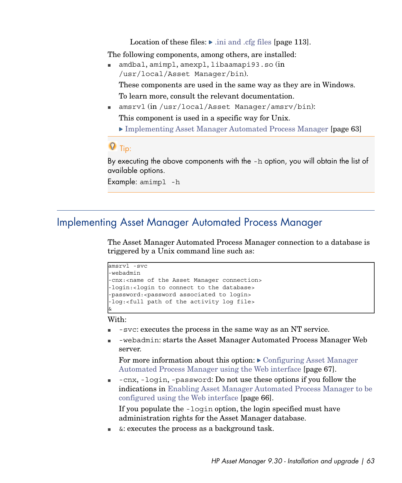Location of these files:  $\blacktriangleright$  ini and .cfg files [page 113].

The following components, among others, are installed:

 $l$  amdbal, amimpl, amexpl, libaamapi93.so (in /usr/local/Asset Manager/bin).

These components are used in the same way as they are in Windows. To learn more, consult the relevant documentation.

- $\Box$  amsrvl (in /usr/local/Asset Manager/amsrv/bin):
	- This component is used in a specific way for Unix.
	- [Implementing Asset Manager Automated Process Manager](#page-62-0) [page 63]

# $Q$  Tip:

By executing the above components with the -h option, you will obtain the list of available options.

<span id="page-62-0"></span>Example: amimpl -h

## Implementing Asset Manager Automated Process Manager

The Asset Manager Automated Process Manager connection to a database is triggered by a Unix command line such as:

```
amsrvl -svc
-webadmin
-cnx:<name of the Asset Manager connection>
-login:<login to connect to the database>
-password:<password associated to login>
-log:<full path of the activity log file>
&
```
With:

- <sup>n</sup> -svc: executes the process in the same way as an NT service.
- <sup>n</sup> -webadmin: starts the Asset Manager Automated Process Manager Web server.

For more information about this option:  $\triangleright$  [Configuring Asset Manager](#page-66-0) [Automated Process Manager using the Web interface](#page-66-0) [page 67].

n  $-\text{cnx}$ ,  $-\text{login}$ ,  $-\text{password}$ : Do not use these options if you follow the indications in [Enabling Asset Manager Automated Process Manager to be](#page-65-0) [configured using the Web interface](#page-65-0) [page 66].

If you populate the -login option, the login specified must have administration rights for the Asset Manager database.

 $\bullet$ : executes the process as a background task.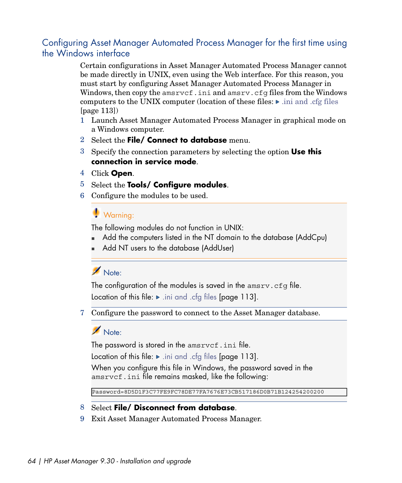### Configuring Asset Manager Automated Process Manager for the first time using the Windows interface

Certain configurations in Asset Manager Automated Process Manager cannot be made directly in UNIX, even using the Web interface. For this reason, you must start by configuring Asset Manager Automated Process Manager in Windows, then copy the amsrvcf.ini and amsrv.cfg files from the Windows computers to the UNIX computer (location of these files:  $\triangleright$  ini and .cfg files [page 113])

- 1 Launch Asset Manager Automated Process Manager in graphical mode on a Windows computer.
- 2 Select the **File/ Connect to database** menu.
- 3 Specify the connection parameters by selecting the option **Use this connection in service mode**.
- 4 Click **Open**.
- 5 Select the **Tools/ Configure modules**.
- 6 Configure the modules to be used.

# **Warning:**

The following modules do not function in UNIX:

- Add the computers listed in the NT domain to the database (AddCpu)
- Add NT users to the database (AddUser)

# Note:

The configuration of the modules is saved in the amsrv.cfg file. Location of this file:  $\blacktriangleright$  [.ini and .cfg files](#page-112-0) [page 113].

7 Configure the password to connect to the Asset Manager database.

## Note:

The password is stored in the amsrvcf.ini file.

Location of this file:  $\blacktriangleright$  [.ini and .cfg files](#page-112-0) [page 113].

When you configure this file in Windows, the password saved in the amsrvcf.ini file remains masked, like the following:

Password=8D5D1F3C77FE9FC78DE77FA7676E73CB517186D0B71B124254200200

#### 8 Select **File/ Disconnect from database**.

9 Exit Asset Manager Automated Process Manager.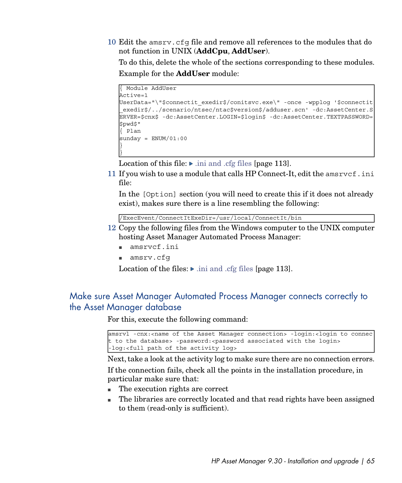10 Edit the amsrv.cfg file and remove all references to the modules that do not function in UNIX (**AddCpu**, **AddUser**).

To do this, delete the whole of the sections corresponding to these modules. Example for the **AddUser** module:

```
{ Module AddUser
Active=1
UserData="\"$connectit_exedir$/conitsvc.exe\" -once -wpplog '$connectit
_exedir$/../scenario/ntsec/ntac$version$/adduser.scn' -dc:AssetCenter.S
ERVER=$cnx$ -dc:AssetCenter.LOGIN=$login$ -dc:AssetCenter.TEXTPASSWORD=
$pwd$"
{ Plan
sunday = ENUM/01:00}
}
```
Location of this file:  $\triangleright$  ini and .cfg files [page 113].

11 If you wish to use a module that calls HP Connect-It, edit the amsrvcf.ini file:

In the [Option] section (you will need to create this if it does not already exist), makes sure there is a line resembling the following:

/ExecEvent/ConnectItExeDir=/usr/local/ConnectIt/bin

- 12 Copy the following files from the Windows computer to the UNIX computer hosting Asset Manager Automated Process Manager:
	- s amsrvcf.ini
	- amsrv.cfq

Location of the files:  $\triangleright$  ini and .cfg files [page 113].

#### Make sure Asset Manager Automated Process Manager connects correctly to the Asset Manager database

For this, execute the following command:

```
amsrvl -cnx:<name of the Asset Manager connection> -login:<login to connec
t to the database> -password:<password associated with the login>
-log:<full path of the activity log>
```
Next, take a look at the activity log to make sure there are no connection errors.

If the connection fails, check all the points in the installation procedure, in particular make sure that:

- n The execution rights are correct
- n The libraries are correctly located and that read rights have been assigned to them (read-only is sufficient).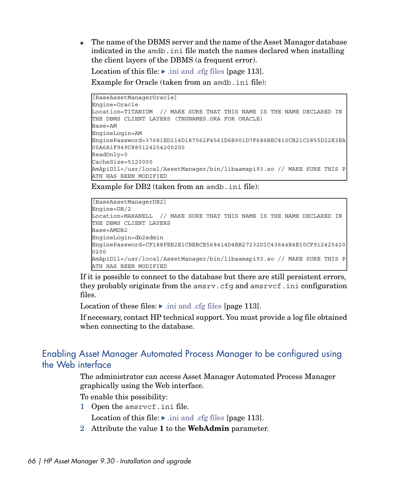n The name of the DBMS server and the name of the Asset Manager database indicated in the amdb.ini file match the names declared when installing the client layers of the DBMS (a frequent error).

Location of this file:  $\triangleright$  ini and .cfg files [page 113].

Example for Oracle (taken from an amdb.ini file):

```
[BaseAssetManagerOracle]
Engine=Oracle
Location=TITANIUM // MAKE SURE THAT THIS NAME IS THE NAME DECLARED IN
THE DBMS CLIENT LAYERS (TNSNAMES.ORA FOR ORACLE)
Base=AM
EngineLogin=AM
EnginePassword=37681ED114D187562F4561D6B901D7F686BEC410CB21C2855D22E3EA
00A6A1F949C885124254200200
ReadOnly=0
CacheSize=5120000
AmApiDll=/usr/local/AssetManager/bin/libaamapi93.so // MAKE SURE THIS P
ATH HAS BEEN MODIFIED
```
Example for DB2 (taken from an amdb. ini file):

```
[BaseAssetManagerDB2]
Engine=DB/2
Location=MARANELL // MAKE SURE THAT THIS NAME IS THE NAME DECLARED IN
THE DBMS CLIENT LAYERS
Base=AMDB2
EngineLogin=db2admin
EnginePassword=CF188FEB2E1CBEBCE568414D4BB27232D1C43644B4E10CF912425420
0200
AmApiDll=/usr/local/AssetManager/bin/libaamapi93.so // MAKE SURE THIS P
ATH HAS BEEN MODIFIED
```
If it is possible to connect to the database but there are still persistent errors, they probably originate from the amsrv.cfg and amsrvcf.ini configuration files.

<span id="page-65-0"></span>Location of these files:  $\triangleright$  ini and .cfg files [page 113].

If necessary, contact HP technical support. You must provide a log file obtained when connecting to the database.

#### Enabling Asset Manager Automated Process Manager to be configured using the Web interface

The administrator can access Asset Manager Automated Process Manager graphically using the Web interface.

To enable this possibility:

1 Open the amsrvcf.ini file.

Location of this file:  $\triangleright$  ini and .cfg files [page 113].

2 Attribute the value **1** to the **WebAdmin** parameter.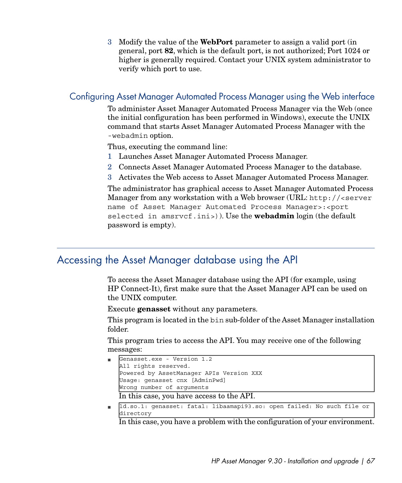<span id="page-66-0"></span>3 Modify the value of the **WebPort** parameter to assign a valid port (in general, port **82**, which is the default port, is not authorized; Port 1024 or higher is generally required. Contact your UNIX system administrator to verify which port to use.

#### Configuring Asset Manager Automated Process Manager using the Web interface

To administer Asset Manager Automated Process Manager via the Web (once the initial configuration has been performed in Windows), execute the UNIX command that starts Asset Manager Automated Process Manager with the -webadmin option.

Thus, executing the command line:

- 1 Launches Asset Manager Automated Process Manager.
- 2 Connects Asset Manager Automated Process Manager to the database.
- 3 Activates the Web access to Asset Manager Automated Process Manager.

The administrator has graphical access to Asset Manager Automated Process Manager from any workstation with a Web browser (URL: http://<server name of Asset Manager Automated Process Manager>:<port selected in amsrvcf.ini>)). Use the **webadmin** login (the default password is empty).

# Accessing the Asset Manager database using the API

To access the Asset Manager database using the API (for example, using HP Connect-It), first make sure that the Asset Manager API can be used on the UNIX computer.

Execute **genasset** without any parameters.

This program is located in the bin sub-folder of the Asset Manager installation folder.

This program tries to access the API. You may receive one of the following messages:

```
Genasset.exe - Version 1.2
All rights reserved.
Powered by AssetManager APIs Version XXX
Usage: genasset cnx [AdminPwd]
Wrong number of arguments
```
In this case, you have access to the API.

n ld.so.1: genasset: fatal: libaamapi93.so: open failed: No such file or directory

In this case, you have a problem with the configuration of your environment.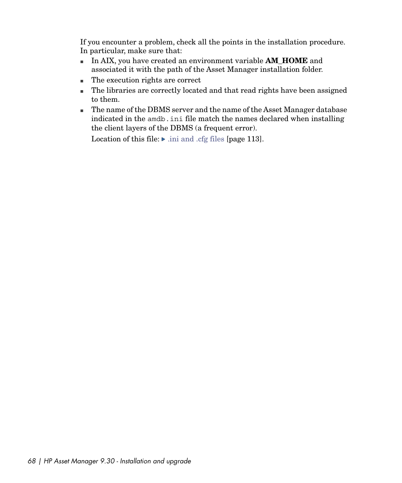If you encounter a problem, check all the points in the installation procedure. In particular, make sure that:

- n In AIX, you have created an environment variable **AM\_HOME** and associated it with the path of the Asset Manager installation folder.
- n The execution rights are correct
- <sup>n</sup> The libraries are correctly located and that read rights have been assigned to them.
- n The name of the DBMS server and the name of the Asset Manager database indicated in the amdb.ini file match the names declared when installing the client layers of the DBMS (a frequent error).

Location of this file:  $\triangleright$  ini and .cfg files [page 113].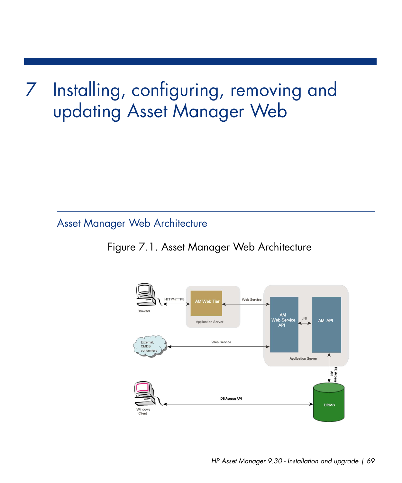# Installing, configuring, removing and 7updating Asset Manager Web

Asset Manager Web Architecture

Figure 7.1. Asset Manager Web Architecture

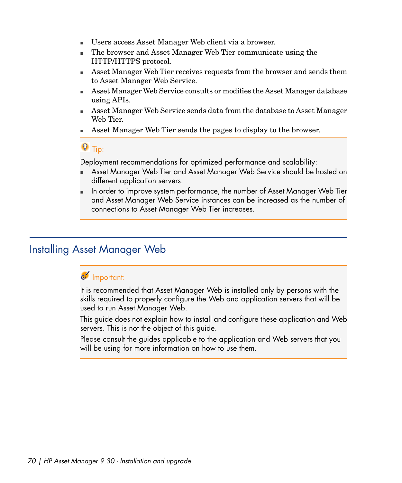- <sup>n</sup> Users access Asset Manager Web client via a browser.
- n The browser and Asset Manager Web Tier communicate using the HTTP/HTTPS protocol.
- **Example 3** Asset Manager Web Tier receives requests from the browser and sends them to Asset Manager Web Service.
- n Asset Manager Web Service consults or modifies the Asset Manager database using APIs.
- <sup>n</sup> Asset Manager Web Service sends data from the database to Asset Manager Web Tier.
- Asset Manager Web Tier sends the pages to display to the browser.

# $Q$  Tip:

Deployment recommendations for optimized performance and scalability:

- **n** Asset Manager Web Tier and Asset Manager Web Service should be hosted on different application servers.
- In order to improve system performance, the number of Asset Manager Web Tier and Asset Manager Web Service instances can be increased as the number of connections to Asset Manager Web Tier increases.

# Installing Asset Manager Web

### Important:

It is recommended that Asset Manager Web is installed only by persons with the skills required to properly configure the Web and application servers that will be used to run Asset Manager Web.

This guide does not explain how to install and configure these application and Web servers. This is not the object of this guide.

Please consult the guides applicable to the application and Web servers that you will be using for more information on how to use them.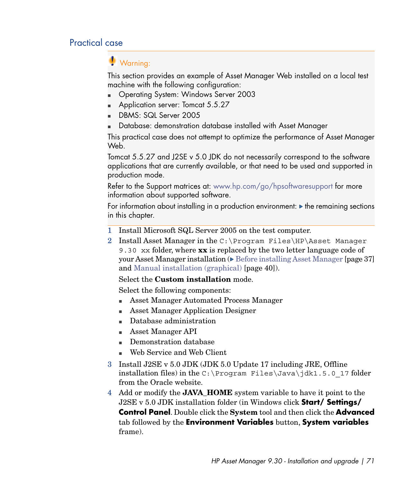### Practical case

Warning:

This section provides an example of Asset Manager Web installed on a local test machine with the following configuration:

- <sup>n</sup> Operating System: Windows Server 2003
- Application server: Tomcat 5.5.27
- DBMS: SQL Server 2005
- <sup>n</sup> Database: demonstration database installed with Asset Manager

This practical case does not attempt to optimize the performance of Asset Manager Web.

Tomcat 5.5.27 and J2SE v 5.0 JDK do not necessarily correspond to the software applications that are currently available, or that need to be used and supported in production mode.

Refer to the Support matrices at: <www.hp.com/go/hpsoftwaresupport>for more information about supported software.

For information about installing in a production environment:  $\blacktriangleright$  the remaining sections in this chapter.

- 1 Install Microsoft SQL Server 2005 on the test computer.
- 2 Install Asset Manager in the  $C:\Perogram$  Files\HP\Asset Manager 9.30 xx folder, where **xx** is replaced by the two letter language code of your Asset Manager installation  $\triangleright$  [Before installing Asset Manager](#page-36-0) [page 37] and [Manual installation \(graphical\)](#page-39-0) [page 40]).

Select the **Custom installation** mode.

Select the following components:

- <sup>n</sup> Asset Manager Automated Process Manager
- Asset Manager Application Designer
- Database administration
- Asset Manager API
- Demonstration database
- Web Service and Web Client
- 3 Install J2SE v 5.0 JDK (JDK 5.0 Update 17 including JRE, Offline installation files) in the C:  $\begin{array}{c}$  Files $\Java\idk1.5.0$  17 folder from the Oracle website.
- 4 Add or modify the **JAVA\_HOME** system variable to have it point to the J2SE v 5.0 JDK installation folder (in Windows click **Start/ Settings/ Control Panel**. Double click the **System** tool and then click the **Advanced** tab followed by the **Environment Variables** button, **System variables** frame).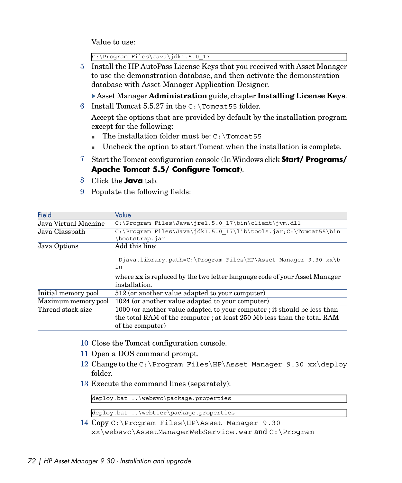Value to use:

C:\Program Files\Java\jdk1.5.0\_17

5 Install the HP AutoPass License Keys that you received with Asset Manager to use the demonstration database, and then activate the demonstration database with Asset Manager Application Designer.

Asset Manager **Administration** guide, chapter **Installing License Keys**.

6 Install Tomcat  $5.5.27$  in the C: \Tomcat55 folder.

Accept the options that are provided by default by the installation program except for the following:

- The installation folder must be:  $C: \Tomcat55$
- $\blacksquare$  Uncheck the option to start Tomcat when the installation is complete.
- 7 Start the Tomcat configuration console (In Windows click **Start/ Programs/ Apache Tomcat 5.5/ Configure Tomcat**).
- 8 Click the **Java** tab.
- 9 Populate the following fields:

| Field                | Value                                                                                                            |
|----------------------|------------------------------------------------------------------------------------------------------------------|
| Java Virtual Machine | C:\Proqram Files\Java\jre1.5.0 17\bin\client\jvm.dll                                                             |
| Java Classpath       | $C:\Program{Files\Java\idk1.5.0 17\lib\tools.jar;C:\Tomcat55\bin$                                                |
|                      | bootstrap.jar                                                                                                    |
| Java Options         | Add this line:                                                                                                   |
|                      | -Djava.library.path=C:\Program Files\HP\Asset Manager 9.30 xx\b<br>in                                            |
|                      | where $\mathbf{x} \mathbf{x}$ is replaced by the two letter language code of your Asset Manager<br>installation. |
| Initial memory pool  | 512 (or another value adapted to your computer)                                                                  |
| Maximum memory pool  | $1024$ (or another value adapted to your computer)                                                               |
| Thread stack size    | 1000 (or another value adapted to your computer; it should be less than                                          |
|                      | the total RAM of the computer; at least 250 Mb less than the total RAM                                           |
|                      | of the computer)                                                                                                 |
|                      |                                                                                                                  |

- 10 Close the Tomcat configuration console.
- 11 Open a DOS command prompt.
- 12 Change to the C:\Program Files\HP\Asset Manager 9.30 xx\deploy folder.
- 13 Execute the command lines (separately):

deploy.bat ..\websvc\package.properties

deploy.bat ..\webtier\package.properties

14 Copy C:\Program Files\HP\Asset Manager 9.30 xx\websvc\AssetManagerWebService.war and C:\Program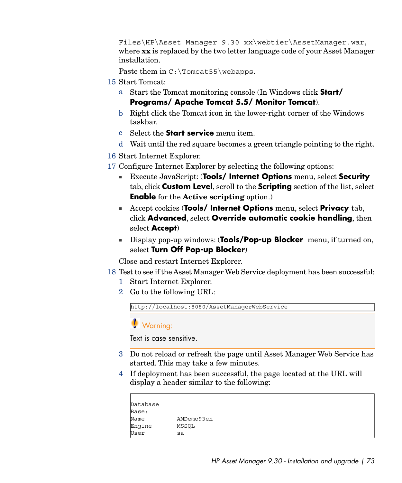Files\HP\Asset Manager 9.30 xx\webtier\AssetManager.war, where **xx** is replaced by the two letter language code of your Asset Manager installation.

Paste them in C: \Tomcat55\webapps.

- 15 Start Tomcat:
	- a Start the Tomcat monitoring console (In Windows click **Start/ Programs/ Apache Tomcat 5.5/ Monitor Tomcat**).
	- b Right click the Tomcat icon in the lower-right corner of the Windows taskbar.
	- c Select the **Start service** menu item.
	- d Wait until the red square becomes a green triangle pointing to the right.
- 16 Start Internet Explorer.
- 17 Configure Internet Explorer by selecting the following options:
	- <sup>n</sup> Execute JavaScript: (**Tools/ Internet Options** menu, select **Security** tab, click **Custom Level**, scroll to the **Scripting** section of the list, select **Enable** for the **Active scripting** option.)
	- <sup>n</sup> Accept cookies (**Tools/ Internet Options** menu, select **Privacy** tab, click **Advanced**, select **Override automatic cookie handling**, then select **Accept**)
	- <sup>n</sup> Display pop-up windows: (**Tools/Pop-up Blocker** menu, if turned on, select **Turn Off Pop-up Blocker**)

Close and restart Internet Explorer.

- 18 Test to see if the Asset Manager Web Service deployment has been successful:
	- 1 Start Internet Explorer.
	- 2 Go to the following URL:

http://localhost:8080/AssetManagerWebService

Warning:

Text is case sensitive.

- 3 Do not reload or refresh the page until Asset Manager Web Service has started. This may take a few minutes.
- 4 If deployment has been successful, the page located at the URL will display a header similar to the following:

```
Database
Base:
Name AMDemo93en
Engine MSSQL
User sa
```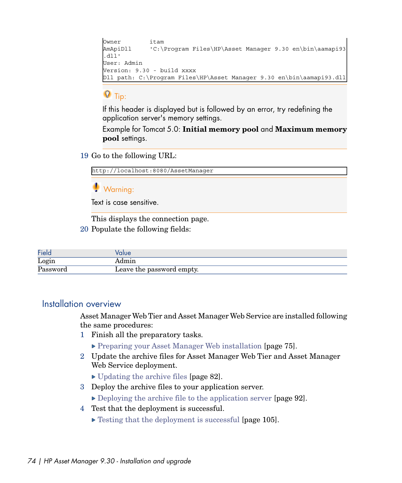```
Owner itam
AmApiDll 'C:\Program Files\HP\Asset Manager 9.30 en\bin\aamapi93
.dll'
User: Admin
Version: 9.30 - build xxxx
Dll path: C:\Program Files\HP\Asset Manager 9.30 en\bin\aamapi93.dll
```
# **Q** Tip:

If this header is displayed but is followed by an error, try redefining the application server's memory settings.

Example for Tomcat 5.0: **Initial memory pool** and **Maximum memory pool** settings.

19 Go to the following URL:



Warning:

Text is case sensitive.

This displays the connection page.

20 Populate the following fields:

| Field    | Value                     |
|----------|---------------------------|
| Login    | Admin                     |
| Password | Leave the password empty. |

### Installation overview

Asset Manager Web Tier and Asset Manager Web Service are installed following the same procedures:

- 1 Finish all the preparatory tasks.
	- **[Preparing your Asset Manager Web installation](#page-74-0) [page 75].**
- 2 Update the archive files for Asset Manager Web Tier and Asset Manager Web Service deployment.
	- ▶ [Updating the archive files](#page-81-0) [page 82].
- 3 Deploy the archive files to your application server.
	- [Deploying the archive file to the application server](#page-91-0) [page 92].
- 4 Test that the deployment is successful.
	- $\triangleright$  [Testing that the deployment is successful](#page-104-0) [page 105].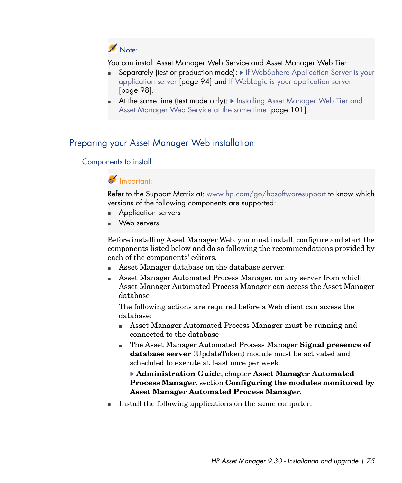# Note:

You can install Asset Manager Web Service and Asset Manager Web Tier:

- Separately (test or production mode): [If WebSphere Application Server is your](#page-93-0) [application server](#page-93-0) [page 94] and [If WebLogic is your application server](#page-97-0) [page 98].
- <span id="page-74-0"></span>At the same time (test mode only):  $\triangleright$  [Installing Asset Manager Web Tier and](#page-100-0) [Asset Manager Web Service at the same time](#page-100-0) [page 101].

### Preparing your Asset Manager Web installation

Components to install

## Important:

Refer to the Support Matrix at: <www.hp.com/go/hpsoftwaresupport>to know which versions of the following components are supported:

- Application servers
- Web servers

Before installing Asset Manager Web, you must install, configure and start the components listed below and do so following the recommendations provided by each of the components' editors.

- Asset Manager database on the database server.
- Asset Manager Automated Process Manager, on any server from which Asset Manager Automated Process Manager can access the Asset Manager database

The following actions are required before a Web client can access the database:

- **n** Asset Manager Automated Process Manager must be running and connected to the database
- <sup>n</sup> The Asset Manager Automated Process Manager **Signal presence of database server** (UpdateToken) module must be activated and scheduled to execute at least once per week.

#### **Administration Guide**, chapter **Asset Manager Automated Process Manager**, section **Configuring the modules monitored by Asset Manager Automated Process Manager**.

■ Install the following applications on the same computer: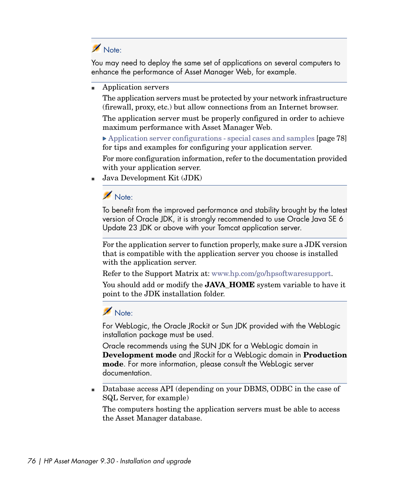# Note:

You may need to deploy the same set of applications on several computers to enhance the performance of Asset Manager Web, for example.

<sup>n</sup> Application servers

The application servers must be protected by your network infrastructure (firewall, proxy, etc.) but allow connections from an Internet browser.

The application server must be properly configured in order to achieve maximum performance with Asset Manager Web.

[Application server configurations - special cases and samples](#page-77-0) [page 78] for tips and examples for configuring your application server.

For more configuration information, refer to the documentation provided with your application server.

 $\blacksquare$  Java Development Kit (JDK)

## Note:

To benefit from the improved performance and stability brought by the latest version of Oracle JDK, it is strongly recommended to use Oracle Java SE 6 Update 23 JDK or above with your Tomcat application server.

For the application server to function properly, make sure a JDK version that is compatible with the application server you choose is installed with the application server.

Refer to the Support Matrix at: [www.hp.com/go/hpsoftwaresupport.](www.hp.com/go/hpsoftwaresupport)

You should add or modify the **JAVA HOME** system variable to have it point to the JDK installation folder.

# Note:

For WebLogic, the Oracle JRockit or Sun JDK provided with the WebLogic installation package must be used.

Oracle recommends using the SUN JDK for a WebLogic domain in **Development mode** and JRockit for a WebLogic domain in **Production mode**. For more information, please consult the WebLogic server documentation.

<sup>n</sup> Database access API (depending on your DBMS, ODBC in the case of SQL Server, for example)

The computers hosting the application servers must be able to access the Asset Manager database.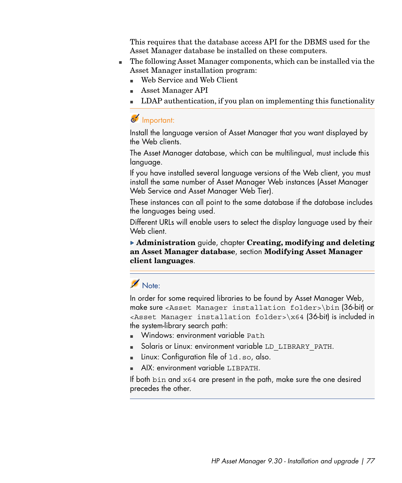This requires that the database access API for the DBMS used for the Asset Manager database be installed on these computers.

- $\blacksquare$  The following Asset Manager components, which can be installed via the Asset Manager installation program:
	- Web Service and Web Client
	- <sup>n</sup> Asset Manager API
	- LDAP authentication, if you plan on implementing this functionality

### Important:

Install the language version of Asset Manager that you want displayed by the Web clients.

The Asset Manager database, which can be multilingual, must include this language.

If you have installed several language versions of the Web client, you must install the same number of Asset Manager Web instances (Asset Manager Web Service and Asset Manager Web Tier).

These instances can all point to the same database if the database includes the languages being used.

Different URLs will enable users to select the display language used by their Web client.

**Administration** guide, chapter **Creating, modifying and deleting an Asset Manager database**, section **Modifying Asset Manager client languages**.

# Note:

In order for some required libraries to be found by Asset Manager Web, make sure <Asset Manager installation folder>\bin (36-bit) or <Asset Manager installation folder>\x64 (36-bit) is included in the system-library search path:

- **Nindows: environment variable Path**
- <sup>n</sup> Solaris or Linux: environment variable LD\_LIBRARY\_PATH.
- Linux: Configuration file of  $1d$ .so, also.
- AIX: environment variable LIBPATH.

If both bin and x64 are present in the path, make sure the one desired precedes the other.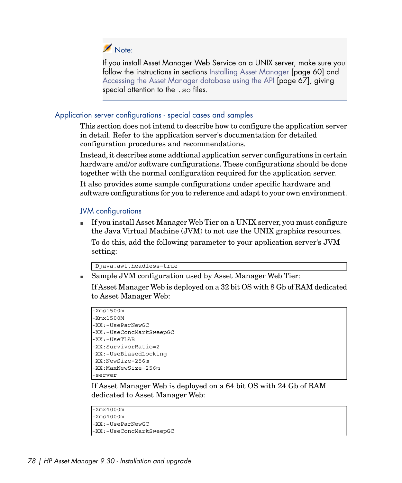# Note:

If you install Asset Manager Web Service on a UNIX server, make sure you follow the instructions in sections [Installing Asset Manager](#page-59-0) [page 60] and [Accessing the Asset Manager database using the API](#page-66-0) [page 67], giving special attention to the .so files.

### <span id="page-77-0"></span>Application server configurations - special cases and samples

This section does not intend to describe how to configure the application server in detail. Refer to the application server's documentation for detailed configuration procedures and recommendations.

Instead, it describes some addtional application server configurations in certain hardware and/or software configurations. These configurations should be done together with the normal configuration required for the application server.

It also provides some sample configurations under specific hardware and software configurations for you to reference and adapt to your own environment.

### JVM configurations

<sup>n</sup> If you install Asset Manager Web Tier on a UNIX server, you must configure the Java Virtual Machine (JVM) to not use the UNIX graphics resources.

To do this, add the following parameter to your application server's JVM setting:

-Djava.awt.headless=true

■ Sample JVM configuration used by Asset Manager Web Tier:

If Asset Manager Web is deployed on a 32 bit OS with 8 Gb of RAM dedicated to Asset Manager Web:

```
-Xms1500m-Xmx1500M
-XX:+UseParNewGC
-XX:+UseConcMarkSweepGC
-XX:+UseTLAB
-XX:SurvivorRatio=2
-XX:+UseBiasedLocking
-XX:NewSize=256m
-XX:MaxNewSize=256m
-server
```
If Asset Manager Web is deployed on a 64 bit OS with 24 Gb of RAM dedicated to Asset Manager Web:

```
-Wmx4000m-Xms4000m
-XX:+UseParNewGC
-XX:+UseConcMarkSweepGC
```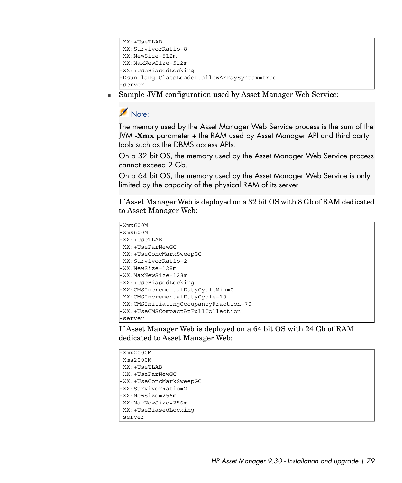```
-XX:+UseTLAB
-XX:SurvivorRatio=8
-XX:NewSize=512m
-XX:MaxNewSize=512m
-XX:+UseBiasedLocking
-Dsun.lang.ClassLoader.allowArraySyntax=true
-server
```
■ Sample JVM configuration used by Asset Manager Web Service:

# Note:

The memory used by the Asset Manager Web Service process is the sum of the JVM **-Xmx** parameter + the RAM used by Asset Manager API and third party tools such as the DBMS access APIs.

On a 32 bit OS, the memory used by the Asset Manager Web Service process cannot exceed 2 Gb.

On a 64 bit OS, the memory used by the Asset Manager Web Service is only limited by the capacity of the physical RAM of its server.

If Asset Manager Web is deployed on a 32 bit OS with 8 Gb of RAM dedicated to Asset Manager Web:

```
-xmx600M-Xms600M
-XX:+UseTLAB
-XX:+UseParNewGC
-XX:+UseConcMarkSweepGC
-XX:SurvivorRatio=2
-XX:NewSize=128m
-XX:MaxNewSize=128m
-XX:+UseBiasedLocking
-XX:CMSIncrementalDutyCycleMin=0
-XX:CMSIncrementalDutyCycle=10
-XX:CMSInitiatingOccupancyFraction=70
-XX:+UseCMSCompactAtFullCollection
-server
```
If Asset Manager Web is deployed on a 64 bit OS with 24 Gb of RAM dedicated to Asset Manager Web:

```
-Xmx2000M
-Xms2000M
-XX:+UseTLAB
-XX:+UseParNewGC
-XX:+UseConcMarkSweepGC
-XX:SurvivorRatio=2
-XX:NewSize=256m
-XX:MaxNewSize=256m
-XX:+UseBiasedLocking
-server
```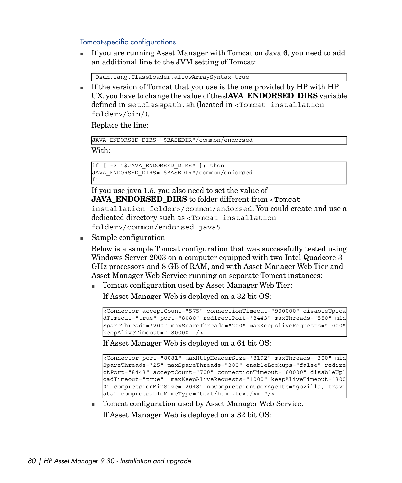#### Tomcat-specific configurations

<sup>n</sup> If you are running Asset Manager with Tomcat on Java 6, you need to add an additional line to the JVM setting of Tomcat:

-Dsun.lang.ClassLoader.allowArraySyntax=true

 $\blacksquare$  If the version of Tomcat that you use is the one provided by HP with HP UX, you have to change the value of the **JAVA\_ENDORSED\_DIRS** variable defined in setclasspath.sh (located in <Tomcat installation folder>/bin/).

Replace the line:

JAVA\_ENDORSED\_DIRS="\$BASEDIR"/common/endorsed

With:

```
if [ -z "$JAVA_ENDORSED_DIRS" ]; then
JAVA_ENDORSED_DIRS="$BASEDIR"/common/endorsed
fi
```
If you use java 1.5, you also need to set the value of **JAVA\_ENDORSED\_DIRS** to folder different from <Tomcat installation folder>/common/endorsed. You could create and use a dedicated directory such as <Tomcat installation folder>/common/endorsed\_java5.

 $\blacksquare$  Sample configuration

Below is a sample Tomcat configuration that was successfully tested using Windows Server 2003 on a computer equipped with two Intel Quadcore 3 GHz processors and 8 GB of RAM, and with Asset Manager Web Tier and Asset Manager Web Service running on separate Tomcat instances:

■ Tomcat configuration used by Asset Manager Web Tier:

If Asset Manager Web is deployed on a 32 bit OS:

```
<Connector acceptCount="575" connectionTimeout="900000" disableUploa
dTimeout="true" port="8080" redirectPort="8443" maxThreads="550" min
SpareThreads="200" maxSpareThreads="200" maxKeepAliveRequests="1000"
keepAliveTimeout="180000" />
```
If Asset Manager Web is deployed on a 64 bit OS:

```
<Connector port="8081" maxHttpHeaderSize="8192" maxThreads="300" min
SpareThreads="25" maxSpareThreads="300" enableLookups="false" redire
ctPort="8443" acceptCount="700" connectionTimeout="60000" disableUpl
oadTimeout="true" maxKeepAliveRequests="1000" keepAliveTimeout="300
0" compressionMinSize="2048" noCompressionUserAgents="gozilla, travi
ata" compressableMimeType="text/html,text/xml"/>
```
■ Tomcat configuration used by Asset Manager Web Service: If Asset Manager Web is deployed on a 32 bit OS: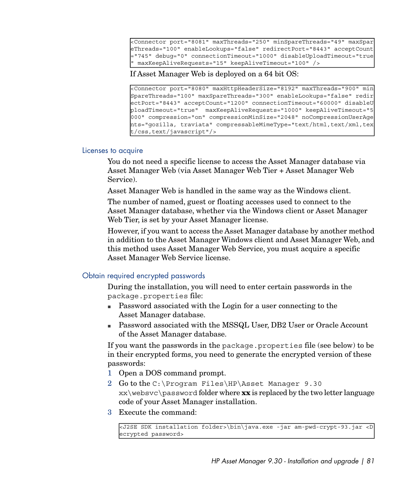```
<Connector port="8081" maxThreads="250" minSpareThreads="49" maxSpar
eThreads="100" enableLookups="false" redirectPort="8443" acceptCount
="745" debug="0" connectionTimeout="1000" disableUploadTimeout="true
" maxKeepAliveRequests="15" keepAliveTimeout="100" />
```
If Asset Manager Web is deployed on a 64 bit OS:

```
<Connector port="8080" maxHttpHeaderSize="8192" maxThreads="900" min
SpareThreads="100" maxSpareThreads="300" enableLookups="false" redir
ectPort="8443" acceptCount="1200" connectionTimeout="60000" disableU
ploadTimeout="true" maxKeepAliveRequests="1000" keepAliveTimeout="5
000" compression="on" compressionMinSize="2048" noCompressionUserAge
nts="gozilla, traviata" compressableMimeType="text/html,text/xml,tex
t/css,text/javascript"/>
```
#### Licenses to acquire

You do not need a specific license to access the Asset Manager database via Asset Manager Web (via Asset Manager Web Tier + Asset Manager Web Service).

Asset Manager Web is handled in the same way as the Windows client.

The number of named, guest or floating accesses used to connect to the Asset Manager database, whether via the Windows client or Asset Manager Web Tier, is set by your Asset Manager license.

However, if you want to access the Asset Manager database by another method in addition to the Asset Manager Windows client and Asset Manager Web, and this method uses Asset Manager Web Service, you must acquire a specific Asset Manager Web Service license.

#### Obtain required encrypted passwords

During the installation, you will need to enter certain passwords in the package.properties file:

- <sup>n</sup> Password associated with the Login for a user connecting to the Asset Manager database.
- n Password associated with the MSSQL User, DB2 User or Oracle Account of the Asset Manager database.

If you want the passwords in the package.properties file (see below) to be in their encrypted forms, you need to generate the encrypted version of these passwords:

- 1 Open a DOS command prompt.
- 2 Go to the C:\Program Files\HP\Asset Manager 9.30 xx\websvc\password folder where **xx** is replaced by the two letter language code of your Asset Manager installation.
- 3 Execute the command:

```
<J2SE SDK installation folder>\bin\java.exe -jar am-pwd-crypt-93.jar <D
ecrypted password>
```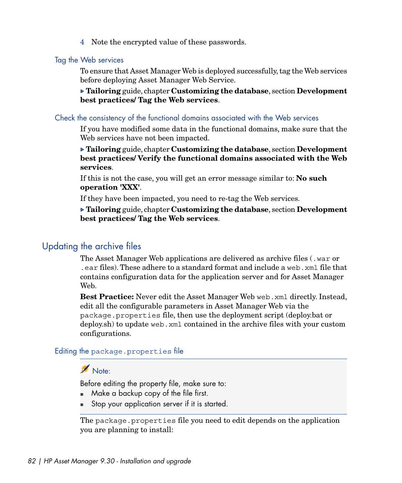4 Note the encrypted value of these passwords.

#### Tag the Web services

To ensure that Asset Manager Web is deployed successfully, tag the Web services before deploying Asset Manager Web Service.

**Tailoring** guide, chapter **Customizing the database**, section **Development best practices/ Tag the Web services**.

#### Check the consistency of the functional domains associated with the Web services

If you have modified some data in the functional domains, make sure that the Web services have not been impacted.

**Tailoring** guide, chapter **Customizing the database**, section **Development best practices/ Verify the functional domains associated with the Web services**.

If this is not the case, you will get an error message similar to: **No such operation 'XXX'**.

If they have been impacted, you need to re-tag the Web services.

<span id="page-81-0"></span>**Tailoring** guide, chapter **Customizing the database**, section **Development best practices/ Tag the Web services**.

### Updating the archive files

The Asset Manager Web applications are delivered as archive files (.war or .ear files). These adhere to a standard format and include a web.xml file that contains configuration data for the application server and for Asset Manager Web.

**Best Practice:** Never edit the Asset Manager Web web.xml directly. Instead, edit all the configurable parameters in Asset Manager Web via the package.properties file, then use the deployment script (deploy.bat or deploy.sh) to update web.xml contained in the archive files with your custom configurations.

### Editing the package.properties file

# Note:

Before editing the property file, make sure to:

- $\blacksquare$  Make a backup copy of the file first.
- **n** Stop your application server if it is started.

The package.properties file you need to edit depends on the application you are planning to install: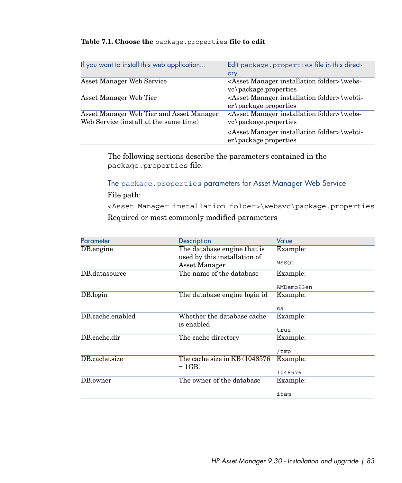### **Table 7.1. Choose the** package.properties **file to edit**

| If you want to install this web application | Edit package.properties file in this direct-                                                        |
|---------------------------------------------|-----------------------------------------------------------------------------------------------------|
|                                             | Ory                                                                                                 |
| <b>Asset Manager Web Service</b>            | <asset folder="" installation="" manager="">\webs-</asset>                                          |
|                                             | $vc\backslash package.properties$                                                                   |
| Asset Manager Web Tier                      | <asset folder="" installation="" manager="">\webti-</asset>                                         |
|                                             | $er$ \package.properties                                                                            |
| Asset Manager Web Tier and Asset Manager    | <asset folder="" installation="" manager="">\webs-</asset>                                          |
| Web Service (install at the same time)      | vc\package.properties                                                                               |
|                                             | <asset folder="" installation="" manager="">\webti-<br/><math>er</math> \package.properties</asset> |

<span id="page-82-0"></span>The following sections describe the parameters contained in the package.properties file.

The package.properties parameters for Asset Manager Web Service

File path:

<Asset Manager installation folder>\websvc\package.properties Required or most commonly modified parameters

| Parameter        | Description                                                 | Value      |
|------------------|-------------------------------------------------------------|------------|
| DB.engine        | The database engine that is<br>used by this installation of | Example:   |
|                  | Asset Manager                                               | MSSOL      |
| DB.datasource    | The name of the database                                    | Example:   |
|                  |                                                             | AMDemo93en |
| DB.login         | The database engine login id                                | Example:   |
|                  |                                                             | sa         |
| DB.cache.enabled | Whether the database cache<br>is enabled                    | Example:   |
|                  |                                                             | true       |
| DB.cache.dir     | The cache directory                                         | Example:   |
|                  |                                                             | /tmp       |
| DB.cache.size    | The cache size in KB (1048576)                              | Example:   |
|                  | $= 1GB$                                                     | 1048576    |
| DB.owner         | The owner of the database                                   | Example:   |
|                  |                                                             | itam       |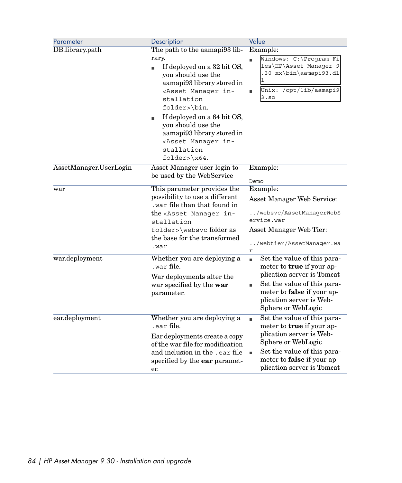| Parameter              | Description                                                                                                                                                                                                                                                                                                                                                                             | Value                                                                                                                                                                                                                                 |
|------------------------|-----------------------------------------------------------------------------------------------------------------------------------------------------------------------------------------------------------------------------------------------------------------------------------------------------------------------------------------------------------------------------------------|---------------------------------------------------------------------------------------------------------------------------------------------------------------------------------------------------------------------------------------|
| DB.library.path        | The path to the aamapi93 lib-<br>rary.<br>If deployed on a 32 bit OS,<br>٠<br>you should use the<br>aamapi93 library stored in<br><asset in-<br="" manager="">stallation<br/>folder&gt;\bin.<br/>If deployed on a 64 bit OS,<br/>٠<br/>you should use the<br/>aamapi93 library stored in<br/><asset in-<br="" manager="">stallation<br/>folder&gt;<math>\xi</math> x64.</asset></asset> | Example:<br>Windows: C: \Program Fi<br>les\HP\Asset Manager 9<br>.30 xx\bin\aamapi93.dl<br>Unix: /opt/lib/aamapi9<br>3.50                                                                                                             |
| AssetManager.UserLogin | Asset Manager user login to<br>be used by the WebService                                                                                                                                                                                                                                                                                                                                | Example:<br>Demo                                                                                                                                                                                                                      |
| war                    | This parameter provides the<br>possibility to use a different<br>war file than that found in .<br>the <asset in-<br="" manager="">stallation<br/>folder&gt;\websvcfolderas<br/>the base for the transformed<br/>.war</asset>                                                                                                                                                            | Example:<br>Asset Manager Web Service:<br>/websvc/AssetManagerWebS<br>ervice.war<br>Asset Manager Web Tier:<br>/webtier/AssetManager.wa<br>r                                                                                          |
| war.deployment         | Whether you are deploying a<br>.war file.<br>War deployments alter the<br>war specified by the war<br>parameter.                                                                                                                                                                                                                                                                        | Set the value of this para-<br>$\blacksquare$<br>meter to <b>true</b> if your ap-<br>plication server is Tomcat<br>Set the value of this para-<br>meter to <b>false</b> if your ap-<br>plication server is Web-<br>Sphere or WebLogic |
| ear.deployment         | Whether you are deploying a<br>. ear file.<br>Ear deployments create a copy<br>of the war file for modification<br>and inclusion in the .ear file<br>specified by the <b>ear</b> paramet-<br>er.                                                                                                                                                                                        | Set the value of this para-<br>٠<br>meter to true if your ap-<br>plication server is Web-<br>Sphere or WebLogic<br>Set the value of this para-<br>Ű.<br>meter to <b>false</b> if your ap-<br>plication server is Tomcat               |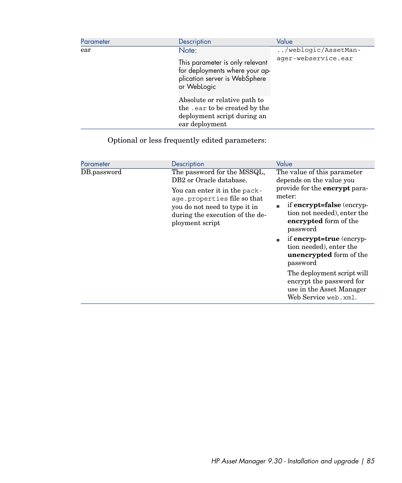| Parameter | Description                                                                                                                   | Value                                      |
|-----------|-------------------------------------------------------------------------------------------------------------------------------|--------------------------------------------|
| ear       | Note:<br>This parameter is only relevant<br>for deployments where your ap-<br>plication server is WebSphere                   | /weblogic/AssetMan-<br>ager-webservice.ear |
|           | or Weblogic<br>Absolute or relative path to<br>the .ear to be created by the<br>deployment script during an<br>ear deployment |                                            |

Optional or less frequently edited parameters:

| Parameter   | Description                                                                                                                                         | Value                                                                                                                                                                                                                                                                                                                 |
|-------------|-----------------------------------------------------------------------------------------------------------------------------------------------------|-----------------------------------------------------------------------------------------------------------------------------------------------------------------------------------------------------------------------------------------------------------------------------------------------------------------------|
| DB.password | The password for the MSSQL,<br>DB <sub>2</sub> or Oracle database.                                                                                  | The value of this parameter<br>depends on the value you                                                                                                                                                                                                                                                               |
|             | You can enter it in the pack-<br>age.properties file so that<br>you do not need to type it in<br>during the execution of the de-<br>ployment script | provide for the <b>encrypt</b> para-<br>meter:<br>if <b>encrypt=false</b> (encryp-<br>tion not needed), enter the<br>encrypted form of the<br>password<br>if encrypt=true (encryp-<br>tion needed), enter the<br><b>unencrypted</b> form of the<br>password<br>The deployment script will<br>encrypt the password for |
|             |                                                                                                                                                     | use in the Asset Manager<br>Web Service web.xml.                                                                                                                                                                                                                                                                      |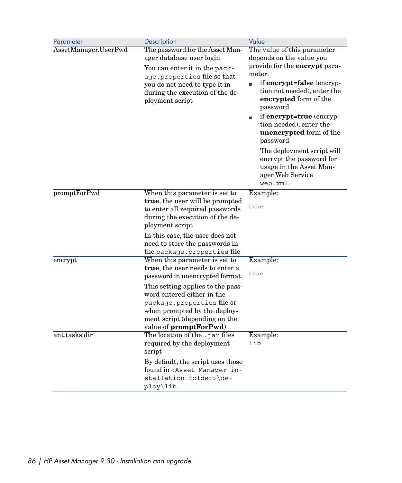| Parameter            | Description                                                                                                                                                                                      | Value                                                                                                                                                                                                                                                                                                                                                               |  |
|----------------------|--------------------------------------------------------------------------------------------------------------------------------------------------------------------------------------------------|---------------------------------------------------------------------------------------------------------------------------------------------------------------------------------------------------------------------------------------------------------------------------------------------------------------------------------------------------------------------|--|
| AssetManager.UserPwd | The password for the Asset Man-<br>ager database user login                                                                                                                                      | The value of this parameter<br>depends on the value you                                                                                                                                                                                                                                                                                                             |  |
|                      | You can enter it in the pack-<br>age.properties file so that<br>you do not need to type it in<br>during the execution of the de-<br>ployment script                                              | provide for the <b>encrypt</b> para-<br>meter:<br>if <b>encrypt=false</b> (encryp-<br>×.<br>tion not needed), enter the<br>encrypted form of the<br>password<br>if encrypt=true (encryp-<br>tion needed), enter the<br>unencrypted form of the<br>password<br>The deployment script will<br>encrypt the password for<br>usage in the Asset Man-<br>ager Web Service |  |
| promptForPwd         | When this parameter is set to<br>true, the user will be prompted<br>to enter all required passwords<br>during the execution of the de-<br>ployment script                                        | web.xml.<br>Example:<br>true                                                                                                                                                                                                                                                                                                                                        |  |
|                      | In this case, the user does not<br>need to store the passwords in<br>the package.properties file                                                                                                 |                                                                                                                                                                                                                                                                                                                                                                     |  |
| encrypt              | When this parameter is set to<br>true, the user needs to enter a<br>password in unencrypted format.                                                                                              | Example:<br>true                                                                                                                                                                                                                                                                                                                                                    |  |
|                      | This setting applies to the pass-<br>word entered either in the<br>package.properties file or<br>when prompted by the deploy-<br>ment script (depending on the<br>value of <b>promptForPwd</b> ) |                                                                                                                                                                                                                                                                                                                                                                     |  |
| ant.tasks.dir        | The location of the .jar files<br>required by the deployment<br>script                                                                                                                           | Example:<br>lib                                                                                                                                                                                                                                                                                                                                                     |  |
|                      | By default, the script uses those<br>found in <asset in-<br="" manager="">stallation folder&gt;\de-<br/>ploy\lib.</asset>                                                                        |                                                                                                                                                                                                                                                                                                                                                                     |  |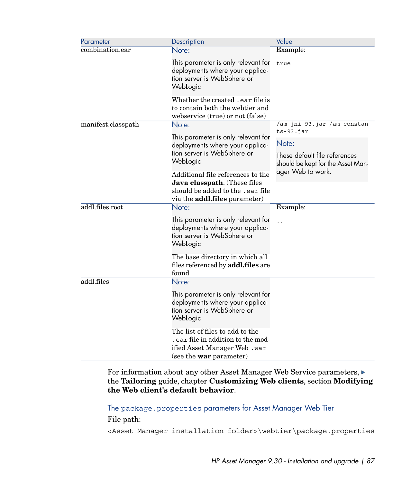| Parameter          | Description                                                                                                                          | Value                                                              |
|--------------------|--------------------------------------------------------------------------------------------------------------------------------------|--------------------------------------------------------------------|
| combination.ear    | Note:                                                                                                                                | Example:                                                           |
|                    | This parameter is only relevant for<br>deployments where your applica-<br>tion server is WebSphere or<br>WebLogic                    | true                                                               |
|                    | Whether the created . ear file is<br>to contain both the webtier and<br>webservice (true) or not (false)                             |                                                                    |
| manifest.classpath | Note:                                                                                                                                | /am-jni-93.jar /am-constan<br>$ts-93.jar$                          |
|                    | This parameter is only relevant for<br>deployments where your applica-                                                               | Note:                                                              |
|                    | tion server is WebSphere or<br>WebLogic                                                                                              | These default file references<br>should be kept for the Asset Man- |
|                    | Additional file references to the                                                                                                    | ager Web to work.                                                  |
|                    | Java classpath. (These files<br>should be added to the .ear file<br>via the <b>addl.files</b> parameter)                             |                                                                    |
| addl.files.root    | Note:                                                                                                                                | Example:                                                           |
|                    | This parameter is only relevant for<br>deployments where your applica-<br>tion server is WebSphere or<br>WebLogic                    | $\overline{a}$                                                     |
|                    | The base directory in which all<br>files referenced by addl.files are<br>found                                                       |                                                                    |
| addl.files         | Note:                                                                                                                                |                                                                    |
|                    | This parameter is only relevant for<br>deployments where your applica-<br>tion server is WebSphere or<br>WebLogic                    |                                                                    |
|                    | The list of files to add to the<br>ear file in addition to the mod-<br>ified Asset Manager Web.war<br>(see the <b>war</b> parameter) |                                                                    |

#### <span id="page-86-0"></span>For information about any other Asset Manager Web Service parameters, the **Tailoring** guide, chapter **Customizing Web clients**, section **Modifying the Web client's default behavior**.

The package.properties parameters for Asset Manager Web Tier

File path:

<Asset Manager installation folder>\webtier\package.properties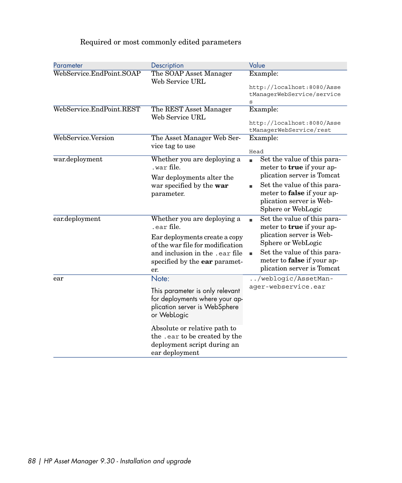|  |  |  |  | Required or most commonly edited parameters |
|--|--|--|--|---------------------------------------------|
|--|--|--|--|---------------------------------------------|

| Parameter                | Description                                                                                                                                                                                      | Value                                                                                                                                                                                                                                 |  |
|--------------------------|--------------------------------------------------------------------------------------------------------------------------------------------------------------------------------------------------|---------------------------------------------------------------------------------------------------------------------------------------------------------------------------------------------------------------------------------------|--|
| WebService.EndPoint.SOAP | The SOAP Asset Manager<br>Web Service URL                                                                                                                                                        | Example:<br>http://localhost:8080/Asse<br>tManagerWebService/service<br>S                                                                                                                                                             |  |
| WebService.EndPoint.REST | The REST Asset Manager<br>Web Service URL                                                                                                                                                        | Example:<br>http://localhost:8080/Asse<br>tManagerWebService/rest                                                                                                                                                                     |  |
| WebService.Version       | The Asset Manager Web Ser-<br>vice tag to use                                                                                                                                                    | Example:<br>Head                                                                                                                                                                                                                      |  |
| war.deployment           | Whether you are deploying a<br>.war file.<br>War deployments alter the<br>war specified by the war<br>parameter.                                                                                 | Set the value of this para-<br>٠<br>meter to <b>true</b> if your ap-<br>plication server is Tomcat<br>Set the value of this para-<br>٠<br>meter to <b>false</b> if your ap-<br>plication server is Web-<br>Sphere or WebLogic         |  |
| ear.deployment           | Whether you are deploying a<br>. ear file.<br>Ear deployments create a copy<br>of the war file for modification<br>and inclusion in the .ear file<br>specified by the <b>ear</b> paramet-<br>er. | Set the value of this para-<br>$\blacksquare$<br>meter to <b>true</b> if your ap-<br>plication server is Web-<br>Sphere or WebLogic<br>Set the value of this para-<br>meter to <b>false</b> if your ap-<br>plication server is Tomcat |  |
| ear                      | Note:<br>This parameter is only relevant<br>for deployments where your ap-<br>plication server is WebSphere<br>or WebLogic                                                                       | /weblogic/AssetMan-<br>ager-webservice.ear                                                                                                                                                                                            |  |
|                          | Absolute or relative path to<br>the . ear to be created by the<br>deployment script during an<br>ear deployment                                                                                  |                                                                                                                                                                                                                                       |  |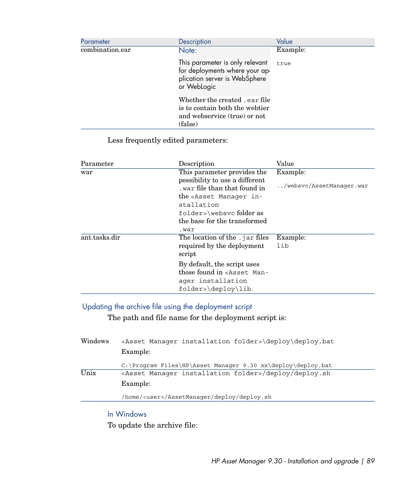| Parameter       | Description                                                                                                       | Value    |
|-----------------|-------------------------------------------------------------------------------------------------------------------|----------|
| combination.ear | Note:                                                                                                             | Example: |
|                 | This parameter is only relevant<br>for deployments where your ap-<br>plication server is WebSphere<br>or WebLogic | true     |
|                 | Whether the created . ear file<br>is to contain both the webtier<br>and webservice (true) or not<br>(false)       |          |

Less frequently edited parameters:

| Parameter     | Description                                                                                                                                                                                                                | Value                                |
|---------------|----------------------------------------------------------------------------------------------------------------------------------------------------------------------------------------------------------------------------|--------------------------------------|
| war           | This parameter provides the<br>possibility to use a different<br>war file than that found in<br>the <asset in-<br="" manager="">stallation<br/>folder&gt;\websvcfolderas<br/>the base for the transformed<br/>.war</asset> | Example:<br>/websvc/AssetManager.war |
| ant.tasks.dir | The location of the . jar files<br>required by the deployment<br>script<br>By default, the script uses<br>those found in <asset man-<br="">ager installation<br/>folder&gt;\deploy\lib.</asset>                            | Example:<br>lib                      |

<span id="page-88-0"></span>Updating the archive file using the deployment script

The path and file name for the deployment script is:

| Windows                                                                       | <asset folder="" installation="" manager="">\deploy\deploy.bat</asset> |
|-------------------------------------------------------------------------------|------------------------------------------------------------------------|
|                                                                               | Example:                                                               |
|                                                                               | C:\Proqram Files\HP\Asset Manaqer 9.30 xx\deploy\deploy.bat            |
| Unix<br><asset folder="" installation="" manager="">/deploy/deploy.sh</asset> |                                                                        |
|                                                                               | Example:                                                               |
|                                                                               | /home/ <user>/AssetManager/deploy/deploy.sh</user>                     |

In Windows

To update the archive file: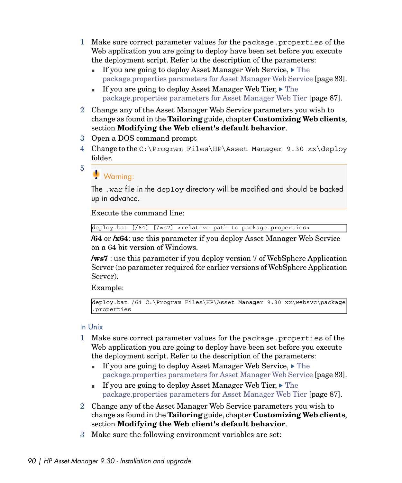- 1 Make sure correct parameter values for the package.properties of the Web application you are going to deploy have been set before you execute the deployment script. Refer to the description of the parameters:
	- **If you are going to deploy Asset Manager Web Service,**  $\blacktriangleright$  [The](#page-82-0) [package.properties parameters for Asset Manager Web Service](#page-82-0) [page 83].
	- **If you are going to deploy Asset Manager Web Tier,**  $\triangleright$  [The](#page-86-0) [package.properties parameters for Asset Manager Web Tier](#page-86-0) [page 87].
- 2 Change any of the Asset Manager Web Service parameters you wish to change as found in the **Tailoring** guide, chapter **Customizing Web clients**, section **Modifying the Web client's default behavior**.
- 3 Open a DOS command prompt
- 4 Change to the C:\Program Files\HP\Asset Manager 9.30 xx\deploy folder.
- 5

## Warning:

The .war file in the deploy directory will be modified and should be backed up in advance.

Execute the command line:

deploy.bat [/64] [/ws7] <relative path to package.properties>

**/64** or **/x64**: use this parameter if you deploy Asset Manager Web Service on a 64 bit version of Windows.

**/ws7** : use this parameter if you deploy version 7 of WebSphere Application Server (no parameter required for earlier versions of WebSphere Application Server).

Example:

```
deploy.bat /64 C:\Program Files\HP\Asset Manager 9.30 xx\websvc\package
.properties
```
### In Unix

- 1 Make sure correct parameter values for the package.properties of the Web application you are going to deploy have been set before you execute the deployment script. Refer to the description of the parameters:
	- **If you are going to deploy Asset Manager Web Service,**  $\blacktriangleright$  [The](#page-82-0) [package.properties parameters for Asset Manager Web Service](#page-82-0) [page 83].
	- **If you are going to deploy Asset Manager Web Tier,**  $\triangleright$  **[The](#page-86-0)** [package.properties parameters for Asset Manager Web Tier](#page-86-0) [page 87].
- 2 Change any of the Asset Manager Web Service parameters you wish to change as found in the **Tailoring** guide, chapter **Customizing Web clients**, section **Modifying the Web client's default behavior**.
- 3 Make sure the following environment variables are set: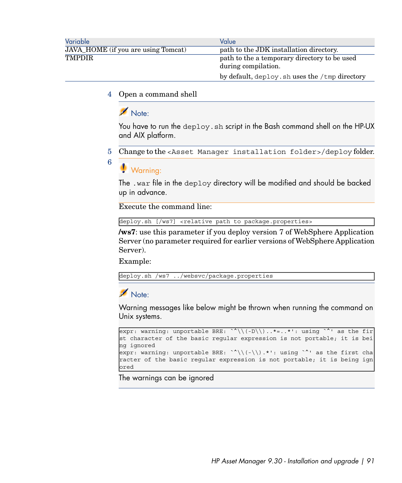| Variable                                   | Value                                                               |
|--------------------------------------------|---------------------------------------------------------------------|
| <b>JAVA_HOME</b> (if you are using Tomcat) | path to the JDK installation directory.                             |
| <b>TMPDIR</b>                              | path to the a temporary directory to be used<br>during compilation. |
|                                            | by default, deploy. sh uses the /tmp directory                      |

4 Open a command shell

## Note:

You have to run the deploy, sh script in the Bash command shell on the HP-UX and AIX platform.

5 Change to the <Asset Manager installation folder>/deploy folder.

Warning:

6

The .war file in the deploy directory will be modified and should be backed up in advance.

Execute the command line:

deploy.sh [/ws7] <relative path to package.properties>

**/ws7**: use this parameter if you deploy version 7 of WebSphere Application Server (no parameter required for earlier versions of WebSphere Application Server).

Example:

deploy.sh /ws7 ../websvc/package.properties

Note:

Warning messages like below might be thrown when running the command on Unix systems.

```
expr: warning: unportable BRE: `^\\(-D\\)..*=..*': using `^' as the fir
st character of the basic regular expression is not portable; it is bei
ng ignored
expr: warning: unportable BRE: \sqrt{\langle -\rangle}: ": using \gamma' as the first cha
racter of the basic regular expression is not portable; it is being ign
ored
```
The warnings can be ignored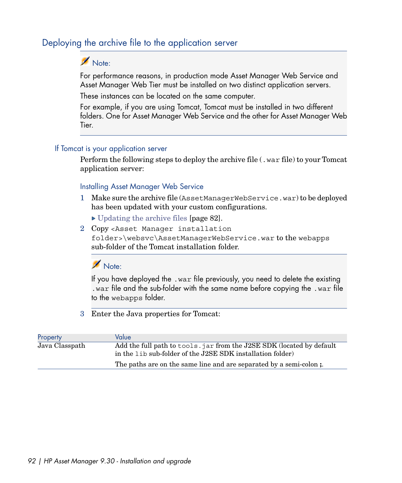### Deploying the archive file to the application server

# <span id="page-91-0"></span>Note:

For performance reasons, in production mode Asset Manager Web Service and Asset Manager Web Tier must be installed on two distinct application servers.

These instances can be located on the same computer.

For example, if you are using Tomcat, Tomcat must be installed in two different folders. One for Asset Manager Web Service and the other for Asset Manager Web Tier.

### If Tomcat is your application server

Perform the following steps to deploy the archive file (.war file) to your Tomcat application server:

#### Installing Asset Manager Web Service

- 1 Make sure the archive file (AssetManagerWebService.war) to be deployed has been updated with your custom configurations.
	- ▶ [Updating the archive files](#page-81-0) [page 82].
- 2 Copy <Asset Manager installation folder>\websvc\AssetManagerWebService.war to the webapps sub-folder of the Tomcat installation folder.

## Note:

If you have deployed the .war file previously, you need to delete the existing .war file and the sub-folder with the same name before copying the .war file to the webapps folder.

3 Enter the Java properties for Tomcat:

| Property       | Value                                                                                                                               |
|----------------|-------------------------------------------------------------------------------------------------------------------------------------|
| Java Classpath | Add the full path to tools. jar from the J2SE SDK (located by default<br>in the lib sub-folder of the J2SE SDK installation folder) |
|                | The paths are on the same line and are separated by a semi-colon :                                                                  |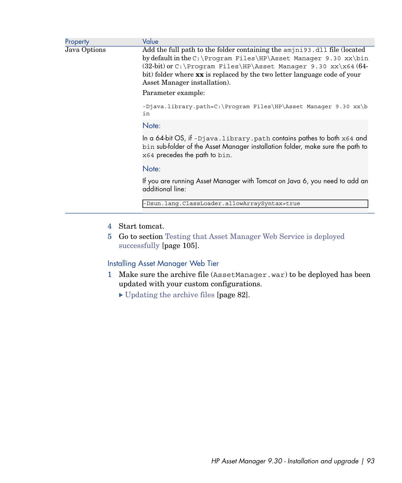| Property     | Value                                                                                                                                                                                                                                                                                                                                  |
|--------------|----------------------------------------------------------------------------------------------------------------------------------------------------------------------------------------------------------------------------------------------------------------------------------------------------------------------------------------|
| Java Options | Add the full path to the folder containing the aminity all file (located<br>by default in the C: \Program Files\HP\Asset Manager 9.30 xx\bin<br>$(32-bit)$ or C: Program Files HP asset Manager 9.30 xx \x64 $(64-$<br>bit) folder where <b>xx</b> is replaced by the two letter language code of your<br>Asset Manager installation). |
|              | Parameter example:                                                                                                                                                                                                                                                                                                                     |
|              | -Djava.library.path=C:\Program Files\HP\Asset Manager 9.30 xx\b<br>in                                                                                                                                                                                                                                                                  |
|              | Note:                                                                                                                                                                                                                                                                                                                                  |
|              | In a 64-bit OS, if -Djava. library. path contains pathes to both x64 and<br>bin sub-folder of the Asset Manager installation folder, make sure the path to<br>x64 precedes the path to bin.                                                                                                                                            |
|              | Note:                                                                                                                                                                                                                                                                                                                                  |
|              | If you are running Asset Manager with Tomcat on Java 6, you need to add an<br>additional line:                                                                                                                                                                                                                                         |
|              | -Dsun.lang.ClassLoader.allowArraySyntax=true                                                                                                                                                                                                                                                                                           |
|              |                                                                                                                                                                                                                                                                                                                                        |

- 4 Start tomcat.
- 5 Go to section [Testing that Asset Manager Web Service is deployed](#page-104-1) [successfully](#page-104-1) [page 105].

### Installing Asset Manager Web Tier

- 1 Make sure the archive file (AssetManager.war) to be deployed has been updated with your custom configurations.
	- ▶ [Updating the archive files](#page-81-0) [page 82].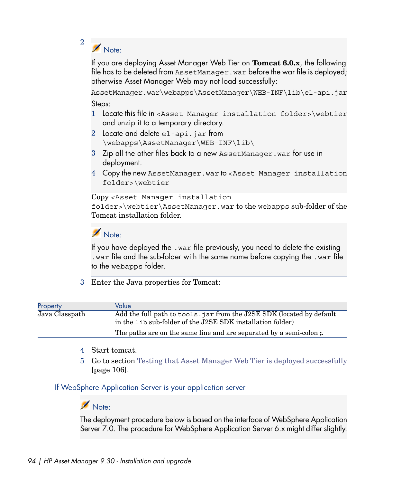### Note:

2

If you are deploying Asset Manager Web Tier on **Tomcat 6.0.x**, the following file has to be deleted from AssetManager.war before the war file is deployed; otherwise Asset Manager Web may not load successfully:

AssetManager.war\webapps\AssetManager\WEB-INF\lib\el-api.jar Steps:

- 1 Locate this file in <Asset Manager installation folder>\webtier and unzip it to a temporary directory.
- 2 Locate and delete el-api.jar from \webapps\AssetManager\WEB-INF\lib\
- 3 Zip all the other files back to a new AssetManager.war for use in deployment.
- 4 Copy the new AssetManager.war to <Asset Manager installation folder>\webtier

Copy <Asset Manager installation folder>\webtier\AssetManager.war to the webapps sub-folder of the Tomcat installation folder.

### Note:

If you have deployed the .war file previously, you need to delete the existing .war file and the sub-folder with the same name before copying the .war file to the webapps folder.

3 Enter the Java properties for Tomcat:

| Property       | Value                                                                                                                               |
|----------------|-------------------------------------------------------------------------------------------------------------------------------------|
| Java Classpath | Add the full path to tools. jar from the J2SE SDK (located by default<br>in the lib sub-folder of the J2SE SDK installation folder) |
|                | The paths are on the same line and are separated by a semi-colon :                                                                  |
|                |                                                                                                                                     |

- <span id="page-93-0"></span>4 Start tomcat.
- 5 Go to section [Testing that Asset Manager Web Tier is deployed successfully](#page-105-0) [page 106].

### If WebSphere Application Server is your application server

# Note:

The deployment procedure below is based on the interface of WebSphere Application Server 7.0. The procedure for WebSphere Application Server 6.x might differ slightly.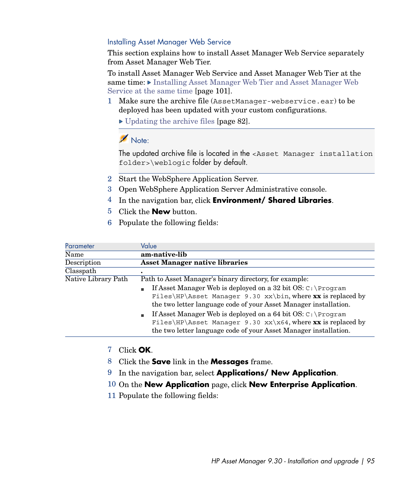#### Installing Asset Manager Web Service

This section explains how to install Asset Manager Web Service separately from Asset Manager Web Tier.

To install Asset Manager Web Service and Asset Manager Web Tier at the same time: [Installing Asset Manager Web Tier and Asset Manager Web](#page-100-0) [Service at the same time](#page-100-0) [page 101].

- 1 Make sure the archive file (AssetManager-webservice.ear) to be deployed has been updated with your custom configurations.
	- ▶ [Updating the archive files](#page-81-0) [page 82].

## Note:

The updated archive file is located in the <Asset Manager installation folder>\weblogic folder by default.

- 2 Start the WebSphere Application Server.
- 3 Open WebSphere Application Server Administrative console.
- 4 In the navigation bar, click **Environment/ Shared Libraries**.
- 5 Click the **New** button.
- 6 Populate the following fields:

| Parameter           | Value                                                                                                                                                                                                                                                                   |
|---------------------|-------------------------------------------------------------------------------------------------------------------------------------------------------------------------------------------------------------------------------------------------------------------------|
| Name                | am-native-lib                                                                                                                                                                                                                                                           |
| Description         | <b>Asset Manager native libraries</b>                                                                                                                                                                                                                                   |
| Classpath           | ٠                                                                                                                                                                                                                                                                       |
| Native Library Path | Path to Asset Manager's binary directory, for example:<br>If Asset Manager Web is deployed on a 32 bit OS: $C: \Per{\text{Program}}$<br>Files\HP\Asset Manager 9.30 xx\bin, where xx is replaced by<br>the two letter language code of your Asset Manager installation. |
|                     | If Asset Manager Web is deployed on a 64 bit OS: C: \Program<br>m.<br>Files\HP\Asset Manager 9.30 $xx\x64$ , where xx is replaced by<br>the two letter language code of your Asset Manager installation.                                                                |

7 Click **OK**.

- 8 Click the **Save** link in the **Messages** frame.
- 9 In the navigation bar, select **Applications/ New Application**.
- 10 On the **New Application** page, click **New Enterprise Application**.
- 11 Populate the following fields: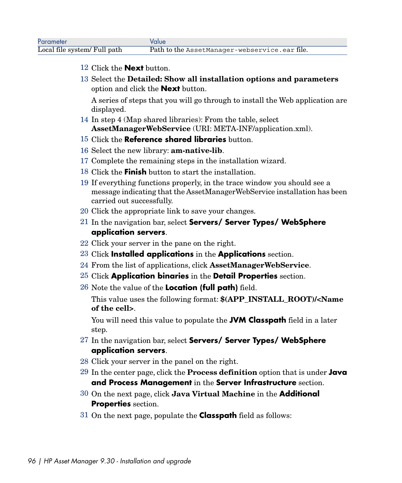- 12 Click the **Next** button.
- 13 Select the **Detailed: Show all installation options and parameters** option and click the **Next** button.

A series of steps that you will go through to install the Web application are displayed.

- 14 In step 4 (Map shared libraries): From the table, select **AssetManagerWebService** (URI: META-INF/application.xml).
- 15 Click the **Reference shared libraries** button.
- 16 Select the new library: **am-native-lib**.
- 17 Complete the remaining steps in the installation wizard.
- 18 Click the **Finish** button to start the installation.
- 19 If everything functions properly, in the trace window you should see a message indicating that the AssetManagerWebService installation has been carried out successfully.
- 20 Click the appropriate link to save your changes.
- 21 In the navigation bar, select **Servers/ Server Types/ WebSphere application servers**.
- 22 Click your server in the pane on the right.
- 23 Click **Installed applications** in the **Applications** section.
- 24 From the list of applications, click **AssetManagerWebService**.
- 25 Click **Application binaries** in the **Detail Properties** section.
- 26 Note the value of the **Location (full path)** field.

This value uses the following format: **\$(APP\_INSTALL\_ROOT)/<Name of the cell>**.

You will need this value to populate the **JVM Classpath** field in a later step.

- 27 In the navigation bar, select **Servers/ Server Types/ WebSphere application servers**.
- 28 Click your server in the panel on the right.
- 29 In the center page, click the **Process definition** option that is under **Java and Process Management** in the **Server Infrastructure** section.
- 30 On the next page, click **Java Virtual Machine** in the **Additional Properties** section.
- 31 On the next page, populate the **Classpath** field as follows: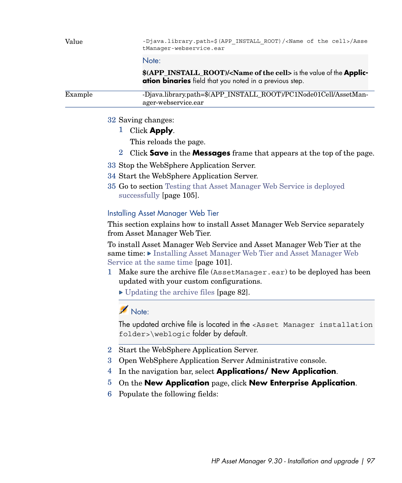|       | \$(APP_INSTALL_ROOT)/ <name cell="" of="" the=""> is the value of the Applic-</name>                          |
|-------|---------------------------------------------------------------------------------------------------------------|
|       | Note:                                                                                                         |
| Value | -Djava.library.path=\$(APP INSTALL ROOT)/ <name cell="" of="" the="">/Asse<br/>tManager-webservice.ear</name> |

**ation binaries** field that you noted in a previous step.

| Example | -Djava.library.path=\$(APP_INSTALL_ROOT)/PC1Node01Cell/AssetMan- |
|---------|------------------------------------------------------------------|
|         | ager-webservice.ear                                              |

#### 32 Saving changes:

- 1 Click **Apply**.
	- This reloads the page.
- 2 Click **Save** in the **Messages** frame that appears at the top of the page.
- 33 Stop the WebSphere Application Server.
- 34 Start the WebSphere Application Server.
- 35 Go to section [Testing that Asset Manager Web Service is deployed](#page-104-1) [successfully](#page-104-1) [page 105].

#### Installing Asset Manager Web Tier

This section explains how to install Asset Manager Web Service separately from Asset Manager Web Tier.

To install Asset Manager Web Service and Asset Manager Web Tier at the same time: [Installing Asset Manager Web Tier and Asset Manager Web](#page-100-0) [Service at the same time](#page-100-0) [page 101].

- 1 Make sure the archive file (AssetManager.ear) to be deployed has been updated with your custom configurations.
	- ▶ [Updating the archive files](#page-81-0) [page 82].

## Note:

The updated archive file is located in the <Asset Manager installation folder>\weblogic folder by default.

- 2 Start the WebSphere Application Server.
- 3 Open WebSphere Application Server Administrative console.
- 4 In the navigation bar, select **Applications/ New Application**.
- 5 On the **New Application** page, click **New Enterprise Application**.
- 6 Populate the following fields: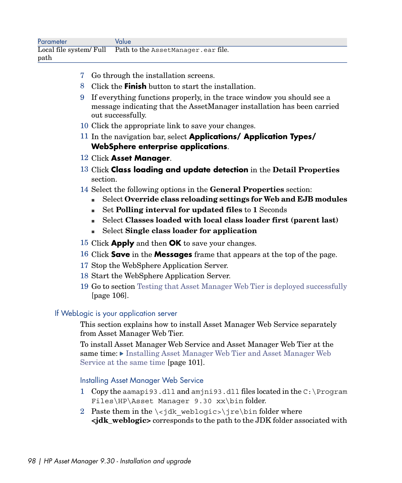- 7 Go through the installation screens.
- 8 Click the **Finish** button to start the installation.
- 9 If everything functions properly, in the trace window you should see a message indicating that the AssetManager installation has been carried out successfully.
- 10 Click the appropriate link to save your changes.
- 11 In the navigation bar, select **Applications/ Application Types/ WebSphere enterprise applications**.
- 12 Click **Asset Manager**.
- 13 Click **Class loading and update detection** in the **Detail Properties** section.
- 14 Select the following options in the **General Properties** section:
	- <sup>n</sup> Select **Override class reloading settings for Web and EJB modules**
	- <sup>n</sup> Set **Polling interval for updated files** to **1** Seconds
	- <sup>n</sup> Select **Classes loaded with local class loader first (parent last)**
	- <sup>n</sup> Select **Single class loader for application**

15 Click **Apply** and then **OK** to save your changes.

- 16 Click **Save** in the **Messages** frame that appears at the top of the page.
- 17 Stop the WebSphere Application Server.
- <span id="page-97-0"></span>18 Start the WebSphere Application Server.
- 19 Go to section [Testing that Asset Manager Web Tier is deployed successfully](#page-105-0) [page 106].

### If WebLogic is your application server

This section explains how to install Asset Manager Web Service separately from Asset Manager Web Tier.

To install Asset Manager Web Service and Asset Manager Web Tier at the same time: [Installing Asset Manager Web Tier and Asset Manager Web](#page-100-0) [Service at the same time](#page-100-0) [page 101].

Installing Asset Manager Web Service

- 1 Copy the aamapi93.dll and amjni93.dll files located in the C:\Program Files\HP\Asset Manager 9.30 xx\bin folder.
- 2 Paste them in the  $\langle\cdot\rangle$  weblogic> $\langle\cdot\rangle$  re $\langle\cdot\rangle$  folder where **<jdk\_weblogic>** corresponds to the path to the JDK folder associated with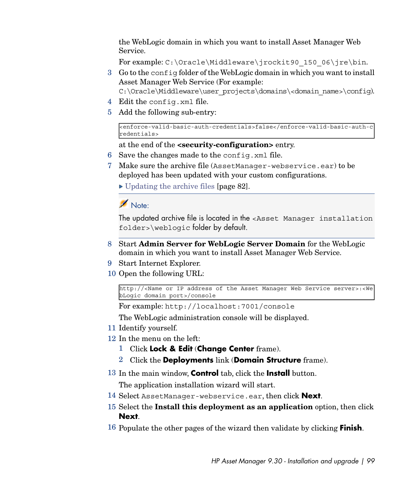the WebLogic domain in which you want to install Asset Manager Web Service.

For example: C:\Oracle\Middleware\jrockit90\_150\_06\jre\bin.

3 Go to the config folder of the WebLogic domain in which you want to install Asset Manager Web Service (For example:

C:\Oracle\Middleware\user\_projects\domains\<domain\_name>\config).

- 4 Edit the config.xml file.
- 5 Add the following sub-entry:

<enforce-valid-basic-auth-credentials>false</enforce-valid-basic-auth-c redentials>

at the end of the **<security-configuration>** entry.

- 6 Save the changes made to the config.xml file.
- 7 Make sure the archive file (AssetManager-webservice.ear) to be deployed has been updated with your custom configurations.

▶ [Updating the archive files](#page-81-0) [page 82].

Note:

The updated archive file is located in the <Asset Manager installation folder>\weblogic folder by default.

- 8 Start **Admin Server for WebLogic Server Domain** for the WebLogic domain in which you want to install Asset Manager Web Service.
- 9 Start Internet Explorer.
- 10 Open the following URL:

http://<Name or IP address of the Asset Manager Web Service server>:<We bLogic domain port>/console

For example: http://localhost:7001/console

The WebLogic administration console will be displayed.

- 11 Identify yourself.
- 12 In the menu on the left:
	- 1 Click **Lock & Edit** (**Change Center** frame).
	- 2 Click the **Deployments** link (**Domain Structure** frame).
- 13 In the main window, **Control** tab, click the **Install** button.

The application installation wizard will start.

- 14 Select AssetManager-webservice.ear, then click **Next**.
- 15 Select the **Install this deployment as an application** option, then click **Next**.
- 16 Populate the other pages of the wizard then validate by clicking **Finish**.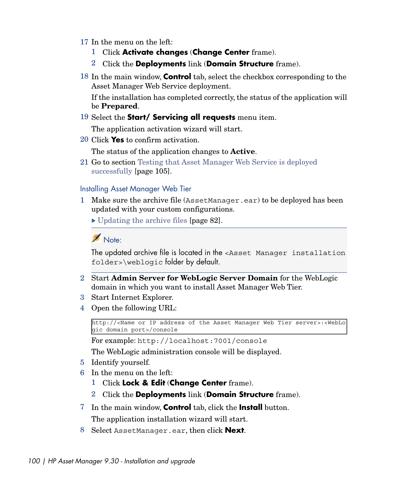- 17 In the menu on the left:
	- 1 Click **Activate changes** (**Change Center** frame).
	- 2 Click the **Deployments** link (**Domain Structure** frame).
- 18 In the main window, **Control** tab, select the checkbox corresponding to the Asset Manager Web Service deployment.

If the installation has completed correctly, the status of the application will be **Prepared**.

19 Select the **Start/ Servicing all requests** menu item.

The application activation wizard will start.

20 Click **Yes** to confirm activation.

The status of the application changes to **Active**.

<span id="page-99-0"></span>21 Go to section [Testing that Asset Manager Web Service is deployed](#page-104-1) [successfully](#page-104-1) [page 105].

#### Installing Asset Manager Web Tier

1 Make sure the archive file (AssetManager.ear) to be deployed has been updated with your custom configurations.

▶ [Updating the archive files](#page-81-0) [page 82].

Note:

The updated archive file is located in the <Asset Manager installation folder>\weblogic folder by default.

- 2 Start **Admin Server for WebLogic Server Domain** for the WebLogic domain in which you want to install Asset Manager Web Tier.
- 3 Start Internet Explorer.
- 4 Open the following URL:

```
http://<Name or IP address of the Asset Manager Web Tier server>:<WebLo
gic domain port>/console
```
For example: http://localhost:7001/console

The WebLogic administration console will be displayed.

- 5 Identify yourself.
- 6 In the menu on the left:
	- 1 Click **Lock & Edit** (**Change Center** frame).
	- 2 Click the **Deployments** link (**Domain Structure** frame).
- 7 In the main window, **Control** tab, click the **Install** button. The application installation wizard will start.
- 8 Select AssetManager.ear, then click **Next**.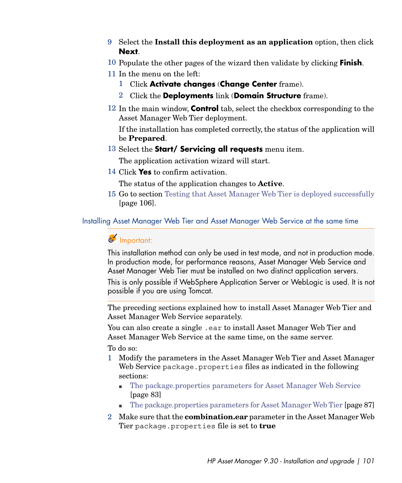- 9 Select the **Install this deployment as an application** option, then click **Next**.
- 10 Populate the other pages of the wizard then validate by clicking **Finish**.
- 11 In the menu on the left:
	- 1 Click **Activate changes** (**Change Center** frame).
	- 2 Click the **Deployments** link (**Domain Structure** frame).
- 12 In the main window, **Control** tab, select the checkbox corresponding to the Asset Manager Web Tier deployment.

If the installation has completed correctly, the status of the application will be **Prepared**.

13 Select the **Start/ Servicing all requests** menu item.

The application activation wizard will start.

14 Click **Yes** to confirm activation.

The status of the application changes to **Active**.

<span id="page-100-0"></span>15 Go to section [Testing that Asset Manager Web Tier is deployed successfully](#page-105-0) [page 106].

Installing Asset Manager Web Tier and Asset Manager Web Service at the same time

Important:

This installation method can only be used in test mode, and not in production mode. In production mode, for performance reasons, Asset Manager Web Service and Asset Manager Web Tier must be installed on two distinct application servers.

This is only possible if WebSphere Application Server or WebLogic is used. It is not possible if you are using Tomcat.

The preceding sections explained how to install Asset Manager Web Tier and Asset Manager Web Service separately.

You can also create a single .ear to install Asset Manager Web Tier and Asset Manager Web Service at the same time, on the same server.

To do so:

- 1 Modify the parameters in the Asset Manager Web Tier and Asset Manager Web Service package.properties files as indicated in the following sections:
	- <sup>n</sup> [The package.properties parameters for Asset Manager Web Service](#page-82-0) [page 83]
	- n [The package.properties parameters for Asset Manager Web Tier](#page-86-0) [page 87]
- 2 Make sure that the **combination.ear** parameter in the Asset Manager Web Tier package.properties file is set to **true**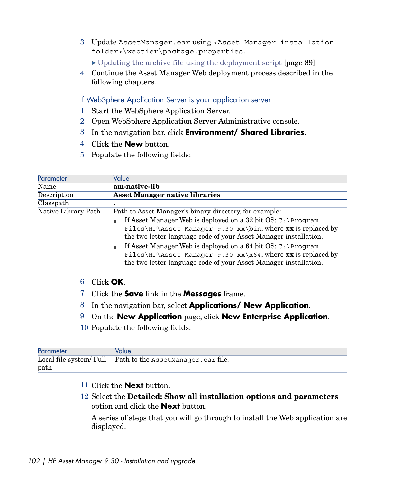- 3 Update AssetManager.ear using <Asset Manager installation folder>\webtier\package.properties.
	- $\triangleright$  [Updating the archive file using the deployment script](#page-88-0) [page 89]
- 4 Continue the Asset Manager Web deployment process described in the following chapters.

If WebSphere Application Server is your application server

- 1 Start the WebSphere Application Server.
- 2 Open WebSphere Application Server Administrative console.
- 3 In the navigation bar, click **Environment/ Shared Libraries**.
- 4 Click the **New** button.
- 5 Populate the following fields:

| Parameter           | Value                                                                                                                                                                                                                                                                                                                                                                                                           |
|---------------------|-----------------------------------------------------------------------------------------------------------------------------------------------------------------------------------------------------------------------------------------------------------------------------------------------------------------------------------------------------------------------------------------------------------------|
| Name                | am-native-lib                                                                                                                                                                                                                                                                                                                                                                                                   |
| Description         | <b>Asset Manager native libraries</b>                                                                                                                                                                                                                                                                                                                                                                           |
| Classpath           | $\bullet$                                                                                                                                                                                                                                                                                                                                                                                                       |
| Native Library Path | Path to Asset Manager's binary directory, for example:<br>If Asset Manager Web is deployed on a 32 bit OS: $C: \Per{\text{Program}}$<br>Files\HP\Asset Manager 9.30 $xx\binom{m}{x}$ is replaced by<br>the two letter language code of your Asset Manager installation.<br>If Asset Manager Web is deployed on a 64 bit OS: C: \Program<br>×.<br>Files\HP\Asset Manager 9.30 $xx\x64$ , where xx is replaced by |
|                     | the two letter language code of your Asset Manager installation.                                                                                                                                                                                                                                                                                                                                                |

### 6 Click **OK**.

- 7 Click the **Save** link in the **Messages** frame.
- 8 In the navigation bar, select **Applications/ New Application**.
- 9 On the **New Application** page, click **New Enterprise Application**.
- 10 Populate the following fields:

| Parameter | Value                                                      |
|-----------|------------------------------------------------------------|
|           | Local file system/ Full Path to the AssetManager.ear file. |
| path      |                                                            |

#### 11 Click the **Next** button.

12 Select the **Detailed: Show all installation options and parameters** option and click the **Next** button.

A series of steps that you will go through to install the Web application are displayed.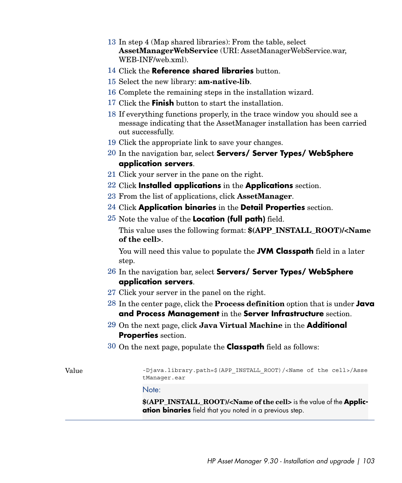- 13 In step 4 (Map shared libraries): From the table, select **AssetManagerWebService** (URI: AssetManagerWebService.war, WEB-INF/web.xml).
- 14 Click the **Reference shared libraries** button.
- 15 Select the new library: **am-native-lib**.
- 16 Complete the remaining steps in the installation wizard.
- 17 Click the **Finish** button to start the installation.
- 18 If everything functions properly, in the trace window you should see a message indicating that the AssetManager installation has been carried out successfully.
- 19 Click the appropriate link to save your changes.
- 20 In the navigation bar, select **Servers/ Server Types/ WebSphere application servers**.
- 21 Click your server in the pane on the right.
- 22 Click **Installed applications** in the **Applications** section.
- 23 From the list of applications, click **AssetManager**.
- 24 Click **Application binaries** in the **Detail Properties** section.
- 25 Note the value of the **Location (full path)** field.

This value uses the following format: **\$(APP\_INSTALL\_ROOT)/<Name of the cell>**.

You will need this value to populate the **JVM Classpath** field in a later step.

- 26 In the navigation bar, select **Servers/ Server Types/ WebSphere application servers**.
- 27 Click your server in the panel on the right.
- 28 In the center page, click the **Process definition** option that is under **Java and Process Management** in the **Server Infrastructure** section.
- 29 On the next page, click **Java Virtual Machine** in the **Additional Properties** section.
- 30 On the next page, populate the **Classpath** field as follows:

Value

-Djava.library.path=\$(APP\_INSTALL\_ROOT)/<Name of the cell>/Asse tManager.ear

Note:

**\$(APP\_INSTALL\_ROOT)/<Name of the cell>** is the value of the **Application binaries** field that you noted in a previous step.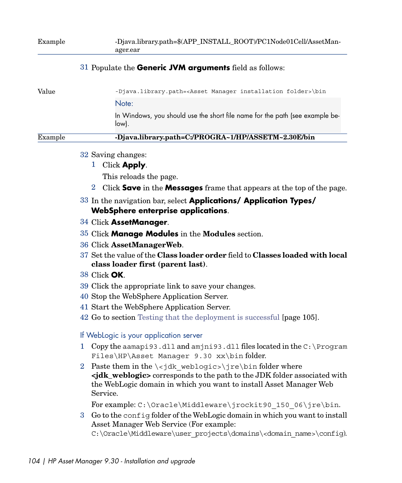#### 31 Populate the **Generic JVM arguments** field as follows:

| In Windows, you should use the short file name for the path (see example be-  |
|-------------------------------------------------------------------------------|
|                                                                               |
| -Djava.library.path= <asset folder="" installation="" manager="">\bin</asset> |
|                                                                               |

- 32 Saving changes:
	- 1 Click **Apply**.

This reloads the page.

- 2 Click **Save** in the **Messages** frame that appears at the top of the page.
- 33 In the navigation bar, select **Applications/ Application Types/ WebSphere enterprise applications**.
- 34 Click **AssetManager**.
- 35 Click **Manage Modules** in the **Modules** section.
- 36 Click **AssetManagerWeb**.
- 37 Set the value of the **Class loader order** field to **Classes loaded with local class loader first (parent last)**.
- 38 Click **OK**.
- 39 Click the appropriate link to save your changes.
- 40 Stop the WebSphere Application Server.
- 41 Start the WebSphere Application Server.
- 42 Go to section [Testing that the deployment is successful](#page-104-0) [page 105].

If WebLogic is your application server

- 1 Copy the aamapi93.dll and amjni93.dll files located in the C:\Program Files\HP\Asset Manager 9.30 xx\bin folder.
- 2 Paste them in the  $\langle\cdot\rangle$  weblogic> $\langle\cdot\rangle$  re $\langle\cdot\rangle$  folder where **<jdk\_weblogic>** corresponds to the path to the JDK folder associated with the WebLogic domain in which you want to install Asset Manager Web Service.

For example: C:\Oracle\Middleware\jrockit90\_150\_06\jre\bin.

3 Go to the config folder of the WebLogic domain in which you want to install Asset Manager Web Service (For example:

```
C:\Oracle\Middleware\user_projects\domains\<domain_name>\config).
```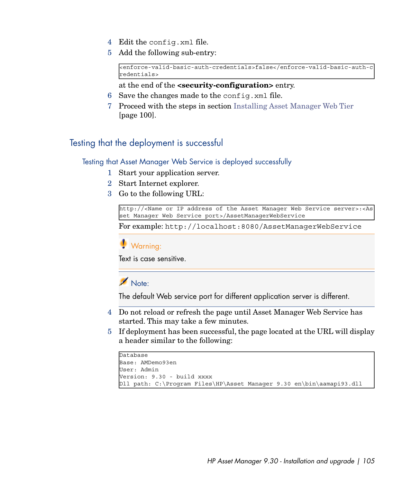- 4 Edit the config.xml file.
- 5 Add the following sub-entry:

```
<enforce-valid-basic-auth-credentials>false</enforce-valid-basic-auth-c
redentials>
```
at the end of the **<security-configuration>** entry.

- 6 Save the changes made to the config.xml file.
- <span id="page-104-0"></span>7 Proceed with the steps in section [Installing Asset Manager Web Tier](#page-99-0) [page 100].

### Testing that the deployment is successful

<span id="page-104-1"></span>Testing that Asset Manager Web Service is deployed successfully

- 1 Start your application server.
- 2 Start Internet explorer.
- 3 Go to the following URL:

http://<Name or IP address of the Asset Manager Web Service server>:<As set Manager Web Service port>/AssetManagerWebService

For example: http://localhost:8080/AssetManagerWebService

Warning:

Text is case sensitive.



The default Web service port for different application server is different.

- 4 Do not reload or refresh the page until Asset Manager Web Service has started. This may take a few minutes.
- 5 If deployment has been successful, the page located at the URL will display a header similar to the following:

```
Database
Base: AMDemo93en
User: Admin
Version: 9.30 - build xxxx
Dll path: C:\Program Files\HP\Asset Manager 9.30 en\bin\aamapi93.dll
```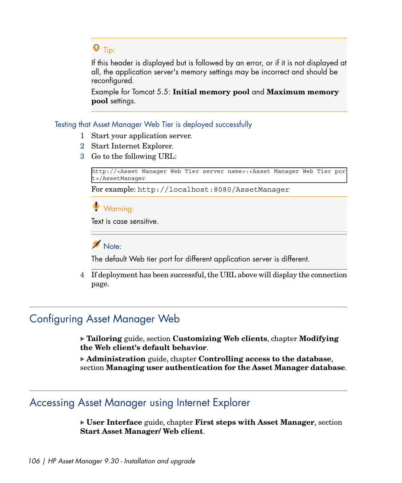# $Q$  Tip:

If this header is displayed but is followed by an error, or if it is not displayed at all, the application server's memory settings may be incorrect and should be reconfigured.

<span id="page-105-0"></span>Example for Tomcat 5.5: **Initial memory pool** and **Maximum memory pool** settings.

### Testing that Asset Manager Web Tier is deployed successfully

- 1 Start your application server.
- 2 Start Internet Explorer.
- 3 Go to the following URL:

http://<Asset Manager Web Tier server name>:<Asset Manager Web Tier por t>/AssetManager

For example: http://localhost:8080/AssetManager

Warning:

Text is case sensitive.

## Note:

The default Web tier port for different application server is different.

4 If deployment has been successful, the URL above will display the connection page.

# Configuring Asset Manager Web

**Tailoring** guide, section **Customizing Web clients**, chapter **Modifying the Web client's default behavior**.

**Administration** guide, chapter **Controlling access to the database**, section **Managing user authentication for the Asset Manager database**.

# Accessing Asset Manager using Internet Explorer

**User Interface** guide, chapter **First steps with Asset Manager**, section **Start Asset Manager/ Web client**.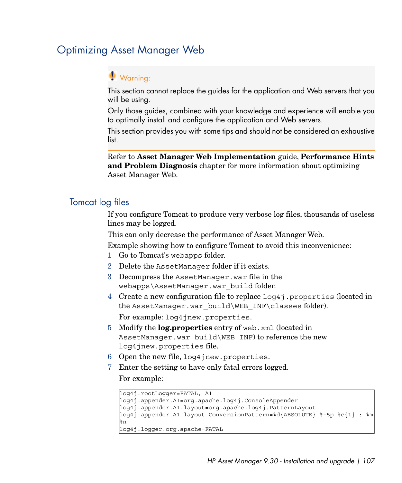# Optimizing Asset Manager Web

## Warning:

This section cannot replace the guides for the application and Web servers that you will be using.

Only those guides, combined with your knowledge and experience will enable you to optimally install and configure the application and Web servers.

This section provides you with some tips and should not be considered an exhaustive list.

Refer to **Asset Manager Web Implementation** guide, **Performance Hints and Problem Diagnosis** chapter for more information about optimizing Asset Manager Web.

### Tomcat log files

If you configure Tomcat to produce very verbose log files, thousands of useless lines may be logged.

This can only decrease the performance of Asset Manager Web.

Example showing how to configure Tomcat to avoid this inconvenience:

- 1 Go to Tomcat's webapps folder.
- 2 Delete the AssetManager folder if it exists.
- 3 Decompress the AssetManager.war file in the webapps\AssetManager.war\_build folder.
- 4 Create a new configuration file to replace log4j.properties (located in the AssetManager.war\_build\WEB\_INF\classes folder).

For example: log4jnew.properties.

- 5 Modify the **log.properties** entry of web.xml (located in AssetManager.war build\WEB\_INF) to reference the new log4jnew.properties file.
- 6 Open the new file, log4jnew.properties.
- 7 Enter the setting to have only fatal errors logged.

For example:

```
log4j.rootLogger=FATAL, A1
log4j.appender.A1=org.apache.log4j.ConsoleAppender
log4j.appender.A1.layout=org.apache.log4j.PatternLayout
log4j.appender.A1.layout.ConversionPattern=%d{ABSOLUTE} %-5p %c{1} : %m
%n
log4j.logger.org.apache=FATAL
```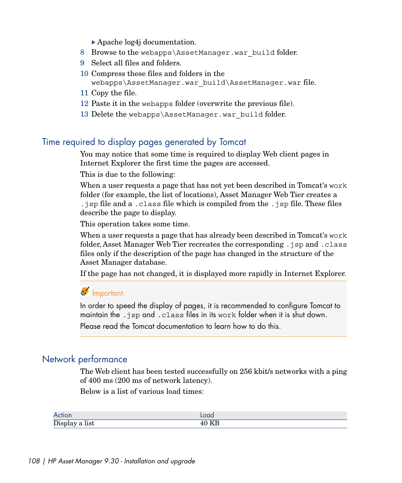Apache log4j documentation.

- 8 Browse to the webapps\AssetManager.war build folder.
- 9 Select all files and folders.
- 10 Compress these files and folders in the webapps\AssetManager.war build\AssetManager.war file.
- 11 Copy the file.
- 12 Paste it in the webapps folder (overwrite the previous file).
- 13 Delete the webapps\AssetManager.war\_build folder.

### Time required to display pages generated by Tomcat

You may notice that some time is required to display Web client pages in Internet Explorer the first time the pages are accessed.

This is due to the following:

When a user requests a page that has not yet been described in Tomcat's work folder (for example, the list of locations), Asset Manager Web Tier creates a .jsp file and a .class file which is compiled from the .jsp file. These files describe the page to display.

This operation takes some time.

When a user requests a page that has already been described in Tomcat's work folder, Asset Manager Web Tier recreates the corresponding .jsp and .class files only if the description of the page has changed in the structure of the Asset Manager database.

If the page has not changed, it is displayed more rapidly in Internet Explorer.

### Important:

In order to speed the display of pages, it is recommended to configure Tomcat to maintain the .jsp and .class files in its work folder when it is shut down. Please read the Tomcat documentation to learn how to do this.

### Network performance

The Web client has been tested successfully on 256 kbit/s networks with a ping of 400 ms (200 ms of network latency).

Below is a list of various load times:

| $\lambda$         |  |
|-------------------|--|
| Display a<br>list |  |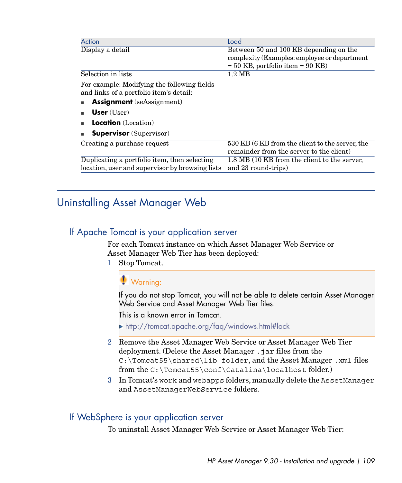| Action                                          | Load                                            |
|-------------------------------------------------|-------------------------------------------------|
| Display a detail                                | Between 50 and 100 KB depending on the          |
|                                                 | complexity (Examples: employee or department    |
|                                                 | $= 50$ KB, portfolio item $= 90$ KB)            |
| Selection in lists                              | $1.2 \text{ MB}$                                |
| For example: Modifying the following fields     |                                                 |
| and links of a portfolio item's detail:         |                                                 |
| <b>Assignment</b> (seAssignment)                |                                                 |
| User (User)                                     |                                                 |
| <b>Location</b> (Location)                      |                                                 |
| <b>Supervisor</b> (Supervisor)                  |                                                 |
| Creating a purchase request                     | 530 KB (6 KB from the client to the server, the |
|                                                 | remainder from the server to the client)        |
| Duplicating a portfolio item, then selecting    | 1.8 MB (10 KB from the client to the server,    |
| location, user and supervisor by browsing lists | and 23 round-trips)                             |
|                                                 |                                                 |

# <span id="page-108-1"></span><span id="page-108-0"></span>Uninstalling Asset Manager Web

## If Apache Tomcat is your application server

For each Tomcat instance on which Asset Manager Web Service or Asset Manager Web Tier has been deployed:

1 Stop Tomcat.

# **Warning:**

If you do not stop Tomcat, you will not be able to delete certain Asset Manager Web Service and Asset Manager Web Tier files.

This is a known error in Tomcat.

- <http://tomcat.apache.org/faq/windows.html#lock>
- 2 Remove the Asset Manager Web Service or Asset Manager Web Tier deployment. (Delete the Asset Manager .jar files from the C:\Tomcat55\shared\lib folder, and the Asset Manager .xml files from the  $C:\Tomcat55\conf\Catalina\locable.$
- 3 In Tomcat's work and webapps folders, manually delete the AssetManager and AssetManagerWebService folders.

## If WebSphere is your application server

To uninstall Asset Manager Web Service or Asset Manager Web Tier: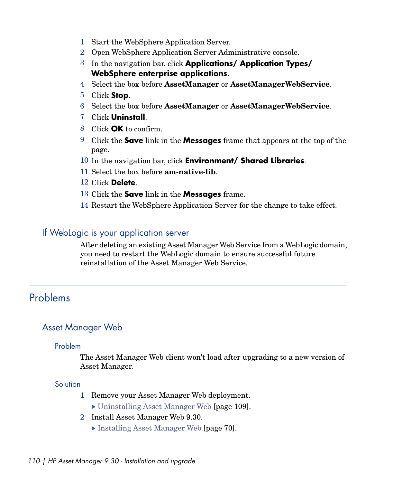- 1 Start the WebSphere Application Server.
- 2 Open WebSphere Application Server Administrative console.
- 3 In the navigation bar, click **Applications/ Application Types/ WebSphere enterprise applications**.
- 4 Select the box before **AssetManager** or **AssetManagerWebService**.
- 5 Click **Stop**.
- 6 Select the box before **AssetManager** or **AssetManagerWebService**.
- 7 Click **Uninstall**.
- 8 Click **OK** to confirm.
- 9 Click the **Save** link in the **Messages** frame that appears at the top of the page.
- 10 In the navigation bar, click **Environment/ Shared Libraries**.
- 11 Select the box before **am-native-lib**.
- 12 Click **Delete**.
- 13 Click the **Save** link in the **Messages** frame.
- 14 Restart the WebSphere Application Server for the change to take effect.

### If WebLogic is your application server

<span id="page-109-0"></span>After deleting an existing Asset Manager Web Service from a WebLogic domain, you need to restart the WebLogic domain to ensure successful future reinstallation of the Asset Manager Web Service.

# Problems

## Asset Manager Web

#### Problem

The Asset Manager Web client won't load after upgrading to a new version of Asset Manager.

#### **Solution**

- 1 Remove your Asset Manager Web deployment.
	- [Uninstalling Asset Manager Web](#page-108-0) [page 109].
- 2 Install Asset Manager Web 9.30.
	- [Installing Asset Manager Web](#page-69-0) [page 70].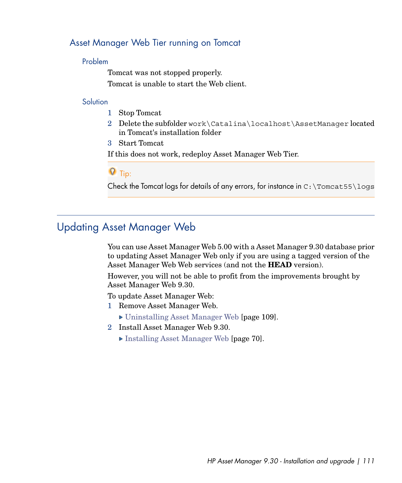## Asset Manager Web Tier running on Tomcat

#### Problem

Tomcat was not stopped properly.

Tomcat is unable to start the Web client.

#### **Solution**

- 1 Stop Tomcat
- 2 Delete the subfolder work\Catalina\localhost\AssetManager located in Tomcat's installation folder
- 3 Start Tomcat

If this does not work, redeploy Asset Manager Web Tier.

## $Q$  Tip:

Check the Tomcat logs for details of any errors, for instance in  $C:\Tomcat55\lozenge$ 

# Updating Asset Manager Web

<span id="page-110-0"></span>You can use Asset Manager Web 5.00 with a Asset Manager 9.30 database prior to updating Asset Manager Web only if you are using a tagged version of the Asset Manager Web Web services (and not the **HEAD** version).

However, you will not be able to profit from the improvements brought by Asset Manager Web 9.30.

To update Asset Manager Web:

- 1 Remove Asset Manager Web.
	- [Uninstalling Asset Manager Web](#page-108-0) [page 109].
- 2 Install Asset Manager Web 9.30.
	- ▶ [Installing Asset Manager Web](#page-69-0) [page 70].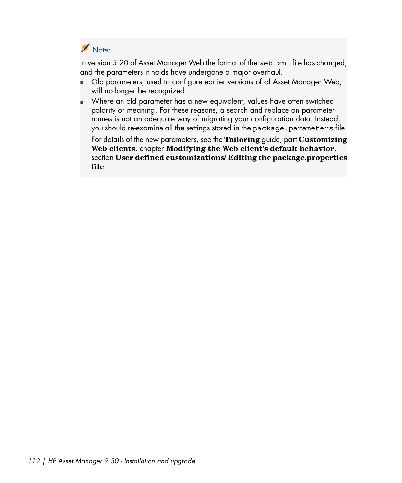# Note:

In version 5.20 of Asset Manager Web the format of the web. xml file has changed, and the parameters it holds have undergone a major overhaul.

- <sup>n</sup> Old parameters, used to configure earlier versions of of Asset Manager Web, will no longer be recognized.
- <sup>n</sup> Where an old parameter has a new equivalent, values have often switched polarity or meaning. For these reasons, a search and replace on parameter names is not an adequate way of migrating your configuration data. Instead, you should re-examine all the settings stored in the package.parameters file.

For details of the new parameters, see the **Tailoring** guide, part **Customizing Web clients**, chapter **Modifying the Web client's default behavior**, section **User defined customizations/ Editing the package.properties file**.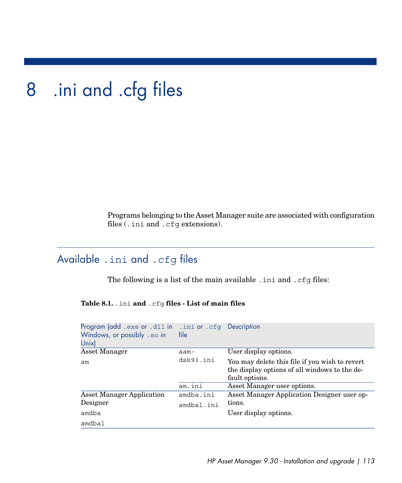# 8 .ini and .cfg files

Programs belonging to the Asset Manager suite are associated with configuration files (.ini and .cfg extensions).

# Available .ini and .cfg files

<span id="page-112-0"></span>The following is a list of the main available . ini and . cfg files:

**Table 8.1.** .ini **and** .cfg **files - List of main files**

| Program (add.exe or .dll in<br>Windows, or possibly . so in<br>Unix) | ini or .cfg Description.<br>file |                                                                                                                   |
|----------------------------------------------------------------------|----------------------------------|-------------------------------------------------------------------------------------------------------------------|
| Asset Manager                                                        | aam-                             | User display options.                                                                                             |
| am                                                                   | dsk93.ini                        | You may delete this file if you wish to revert<br>the display options of all windows to the de-<br>fault options. |
|                                                                      | am.ini                           | Asset Manager user options.                                                                                       |
| <b>Asset Manager Application</b>                                     | amdba.ini                        | Asset Manager Application Designer user op-                                                                       |
| Designer                                                             | amdbal.ini                       | tions.                                                                                                            |
| amdba                                                                |                                  | User display options.                                                                                             |
| amdbal                                                               |                                  |                                                                                                                   |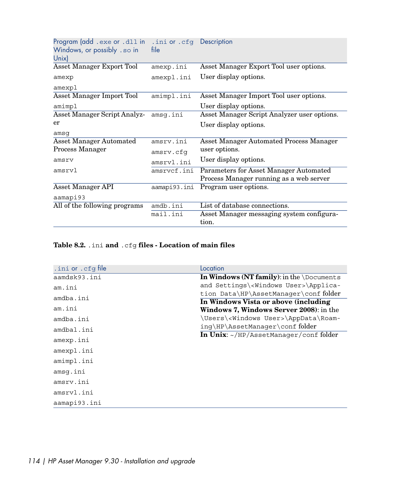| Program (add.exe or .dll in<br>Windows, or possibly . so in<br>Unix) | .ini or .cfq Description<br>file |                                                                                   |
|----------------------------------------------------------------------|----------------------------------|-----------------------------------------------------------------------------------|
| Asset Manager Export Tool                                            | amexp.ini                        | Asset Manager Export Tool user options.                                           |
| amexp                                                                | amexpl.ini                       | User display options.                                                             |
| amexpl                                                               |                                  |                                                                                   |
| Asset Manager Import Tool                                            | amimpl.ini                       | Asset Manager Import Tool user options.                                           |
| amimpl                                                               |                                  | User display options.                                                             |
| Asset Manager Script Analyz-                                         | amsq.ini                         | Asset Manager Script Analyzer user options.                                       |
| er                                                                   |                                  | User display options.                                                             |
| amsq                                                                 |                                  |                                                                                   |
| <b>Asset Manager Automated</b>                                       | amsrv.ini                        | Asset Manager Automated Process Manager                                           |
| Process Manager                                                      | amsrv.cfg                        | user options.                                                                     |
| amsrv                                                                | amsrvl.ini                       | User display options.                                                             |
| amsrvl                                                               | amsrvcf.ini                      | Parameters for Asset Manager Automated<br>Process Manager running as a web server |
| Asset Manager API                                                    | aamapi93.ini                     | Program user options.                                                             |
| aamapi93                                                             |                                  |                                                                                   |
| All of the following programs                                        | amdb.ini                         | List of database connections.                                                     |
|                                                                      | mail.ini                         | Asset Manager messaging system configura-<br>tion.                                |

#### **Table 8.2.** .ini **and** .cfg **files - Location of main files**

| .ini or .cfg file | Location                                                                      |
|-------------------|-------------------------------------------------------------------------------|
| aamdsk93.ini      | In Windows (NT family): in the $\Delta$ Documents                             |
| am.ini            | and Settings\ <windows user="">\Applica-</windows>                            |
| amdba.ini         | tion Data\HP\AssetManager\conf folder<br>In Windows Vista or above (including |
| am.ini            | Windows 7, Windows Server 2008): in the                                       |
| amdba.ini         | \Users\ <windows user="">\AppData\Roam-</windows>                             |
| amdbal.ini        | ing\HP\AssetManager\conf folder                                               |
| amexp.ini         | In Unix: $\sim$ /HP/AssetManager/conf folder                                  |
| amexpl.ini        |                                                                               |
| amimpl.ini        |                                                                               |
| amsq.ini          |                                                                               |
| amsrv.ini         |                                                                               |
| amsrvl.ini        |                                                                               |
| aamapi93.ini      |                                                                               |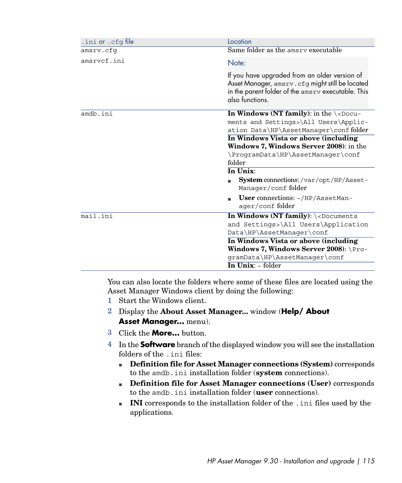| ini or .cfg file. | Location                                                                                                                                                                   |
|-------------------|----------------------------------------------------------------------------------------------------------------------------------------------------------------------------|
| amsrv.cfq         | Same folder as the amsry executable                                                                                                                                        |
| amsrvcf.ini       | Note:                                                                                                                                                                      |
|                   | If you have upgraded from an older version of<br>Asset Manager, amsrv. cfg might still be located<br>in the parent folder of the amsrv executable. This<br>also functions. |
| amdb.ini          | In Windows (NT family): in the $\csc 2$                                                                                                                                    |
|                   | ments and Settings>\All Users\Applic-<br>ation Data\HP\AssetManager\conf folder                                                                                            |
|                   | In Windows Vista or above (including                                                                                                                                       |
|                   | Windows 7, Windows Server 2008): in the                                                                                                                                    |
|                   | \ProgramData\HP\AssetManager\conf<br>folder                                                                                                                                |
|                   | In Unix:                                                                                                                                                                   |
|                   | System connections: /var/opt/HP/Asset-<br>Manager/conf folder                                                                                                              |
|                   | <b>User</b> connections: $\sim$ /HP/AssetMan-<br>ager/conf folder                                                                                                          |
| mail.ini          | In Windows (NT family): \ <documents< th=""></documents<>                                                                                                                  |
|                   | and Settings>\All Users\Application                                                                                                                                        |
|                   | Data\HP\AssetManager\conf                                                                                                                                                  |
|                   | In Windows Vista or above (including                                                                                                                                       |
|                   | Windows 7, Windows Server 2008): \Pro-                                                                                                                                     |
|                   | gramData\HP\AssetManager\conf                                                                                                                                              |
|                   | In Unix: ~ folder                                                                                                                                                          |

You can also locate the folders where some of these files are located using the Asset Manager Windows client by doing the following:

- 1 Start the Windows client.
- 2 Display the **About Asset Manager...** window (**Help/ About Asset Manager...** menu).
- 3 Click the **More...** button.
- 4 In the **Software** branch of the displayed window you will see the installation folders of the .ini files:
	- <sup>n</sup> **Definition file for Asset Manager connections (System)** corresponds to the amdb.ini installation folder (**system** connections).
	- <sup>n</sup> **Definition file for Asset Manager connections (User)** corresponds to the amdb.ini installation folder (**user** connections).
	- **NI** corresponds to the installation folder of the . ini files used by the applications.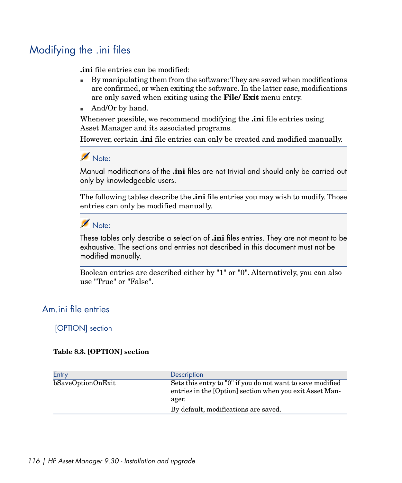# Modifying the .ini files

<span id="page-115-0"></span>**.ini** file entries can be modified:

- $\blacksquare$  By manipulating them from the software: They are saved when modifications are confirmed, or when exiting the software. In the latter case, modifications are only saved when exiting using the **File/ Exit** menu entry.
- $And/Or$  by hand.

Whenever possible, we recommend modifying the **.ini** file entries using Asset Manager and its associated programs.

However, certain **.ini** file entries can only be created and modified manually.

## Note:

Manual modifications of the **.ini** files are not trivial and should only be carried out only by knowledgeable users.

The following tables describe the **.ini** file entries you may wish to modify. Those entries can only be modified manually.

## Note:

These tables only describe a selection of **.ini** files entries. They are not meant to be exhaustive. The sections and entries not described in this document must not be modified manually.

Boolean entries are described either by "1" or "0". Alternatively, you can also use "True" or "False".

## Am.ini file entries

#### [OPTION] section

#### **Table 8.3. [OPTION] section**

| Entry             | Description                                                                                                                     |
|-------------------|---------------------------------------------------------------------------------------------------------------------------------|
| bSaveOptionOnExit | Sets this entry to "0" if you do not want to save modified<br>entries in the [Option] section when you exit Asset Man-<br>ager. |
|                   | By default, modifications are saved.                                                                                            |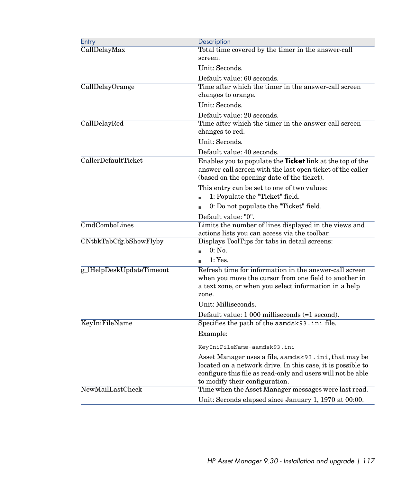| Entry                             | Description                                                                                                                                                                       |
|-----------------------------------|-----------------------------------------------------------------------------------------------------------------------------------------------------------------------------------|
| CallDelayMax                      | Total time covered by the timer in the answer-call                                                                                                                                |
|                                   | screen.                                                                                                                                                                           |
|                                   | Unit: Seconds.                                                                                                                                                                    |
|                                   | Default value: 60 seconds.                                                                                                                                                        |
| CallDelayOrange                   | Time after which the timer in the answer-call screen                                                                                                                              |
|                                   | changes to orange.                                                                                                                                                                |
|                                   | Unit: Seconds.                                                                                                                                                                    |
|                                   | Default value: 20 seconds.                                                                                                                                                        |
| CallDelayRed                      | Time after which the timer in the answer-call screen                                                                                                                              |
|                                   | changes to red.                                                                                                                                                                   |
|                                   | Unit: Seconds.                                                                                                                                                                    |
|                                   | Default value: 40 seconds.                                                                                                                                                        |
| CallerDefaultTicket               | Enables you to populate the Ticket link at the top of the<br>answer-call screen with the last open ticket of the caller<br>(based on the opening date of the ticket).             |
|                                   | This entry can be set to one of two values:                                                                                                                                       |
|                                   | 1: Populate the "Ticket" field.                                                                                                                                                   |
|                                   | 0: Do not populate the "Ticket" field.                                                                                                                                            |
|                                   | Default value: "0".                                                                                                                                                               |
| $\overline{\text{CmdCombolines}}$ | Limits the number of lines displayed in the views and                                                                                                                             |
|                                   | actions lists you can access via the toolbar.                                                                                                                                     |
| CNtbkTabCfg.bShowFlyby            | Displays ToolTips for tabs in detail screens:                                                                                                                                     |
|                                   | $0:$ No.                                                                                                                                                                          |
|                                   | 1:Yes.                                                                                                                                                                            |
| g_lHelpDeskUpdateTimeout          | Refresh time for information in the answer-call screen<br>when you move the cursor from one field to another in<br>a text zone, or when you select information in a help<br>zone. |
|                                   | Unit: Milliseconds.                                                                                                                                                               |
|                                   | Default value: 1 000 milliseconds (=1 second).                                                                                                                                    |
| KeyIniFileName                    | Specifies the path of the aamdsk93. ini file.                                                                                                                                     |
|                                   | Example:                                                                                                                                                                          |
|                                   | KeyIniFileName=aamdsk93.ini                                                                                                                                                       |
|                                   | Asset Manager uses a file, aamdsk93.ini, that may be                                                                                                                              |
|                                   | located on a network drive. In this case, it is possible to<br>configure this file as read-only and users will not be able<br>to modify their configuration.                      |
| NewMailLastCheck                  | Time when the Asset Manager messages were last read.                                                                                                                              |
|                                   | Unit: Seconds elapsed since January 1, 1970 at 00:00.                                                                                                                             |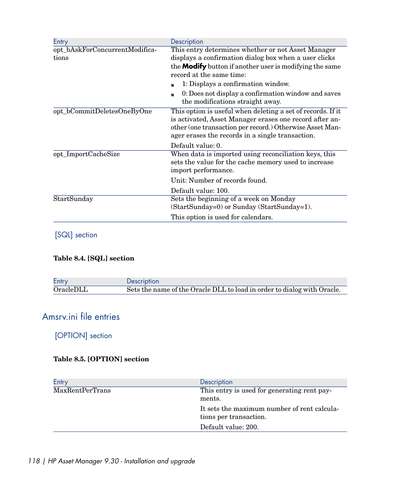| Entry                                   | Description                                                                                                                                                                                                                                                                                            |
|-----------------------------------------|--------------------------------------------------------------------------------------------------------------------------------------------------------------------------------------------------------------------------------------------------------------------------------------------------------|
| opt_bAskForConcurrentModifica-<br>tions | This entry determines whether or not Asset Manager<br>displays a confirmation dialog box when a user clicks<br>the <b>Modify</b> button if another user is modifying the same<br>record at the same time:<br>1: Displays a confirmation window.<br>0: Does not display a confirmation window and saves |
| opt_bCommitDeletesOneByOne              | the modifications straight away.<br>This option is useful when deleting a set of records. If it<br>is activated, Asset Manager erases one record after an-<br>other (one transaction per record.) Otherwise Asset Man-<br>ager erases the records in a single transaction.                             |
| opt_ImportCacheSize                     | Default value: 0.<br>When data is imported using reconciliation keys, this<br>sets the value for the cache memory used to increase<br>import performance.                                                                                                                                              |
| StartSunday                             | Unit: Number of records found.<br>Default value: 100.<br>Sets the beginning of a week on Monday<br>(StartSunday=0) or Sunday (StartSunday=1).                                                                                                                                                          |
|                                         | This option is used for calendars.                                                                                                                                                                                                                                                                     |

#### [SQL] section

#### **Table 8.4. [SQL] section**

Entry Description<br>OracleDLL Sets the na Sets the name of the Oracle DLL to load in order to dialog with Oracle.

## Amsrv.ini file entries

#### [OPTION] section

#### **Table 8.5. [OPTION] section**

| <b>Description</b>                                                    |
|-----------------------------------------------------------------------|
| This entry is used for generating rent pay-<br>ments.                 |
| It sets the maximum number of rent calcula-<br>tions per transaction. |
| Default value: 200.                                                   |
|                                                                       |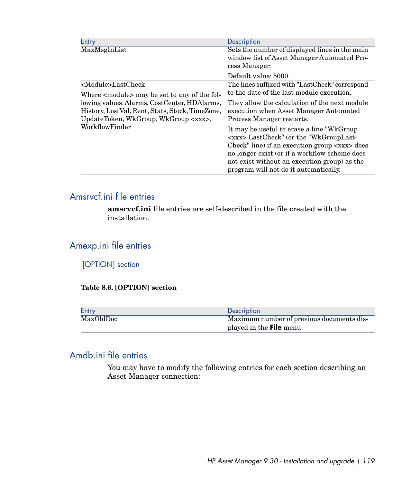| Entry                                                                                                                                                                                                                                                                                                      | Description                                                                                                                                                                                                                                                                                    |
|------------------------------------------------------------------------------------------------------------------------------------------------------------------------------------------------------------------------------------------------------------------------------------------------------------|------------------------------------------------------------------------------------------------------------------------------------------------------------------------------------------------------------------------------------------------------------------------------------------------|
| MaxMsgInList<br><module>LastCheck<br/>Where <math>\langle</math> module <math>\rangle</math> may be set to any of the fol-<br/>lowing values: Alarms, CostCenter, HDAlarms,<br/>History, LostVal, Rent, Stats, Stock, TimeZone,<br/>UpdateToken, WkGroup, WkGroup <xxx>,<br/>WorkflowFinder</xxx></module> | Sets the number of displayed lines in the main<br>window list of Asset Manager Automated Pro-<br>cess Manager.                                                                                                                                                                                 |
|                                                                                                                                                                                                                                                                                                            | Default value: 5000.<br>The lines suffixed with "LastCheck" correspond<br>to the date of the last module execution.                                                                                                                                                                            |
|                                                                                                                                                                                                                                                                                                            | They allow the calculation of the next module<br>execution when Asset Manager Automated<br>Process Manager restarts.                                                                                                                                                                           |
|                                                                                                                                                                                                                                                                                                            | It may be useful to erase a line "WkGroup"<br><xxx>LastCheck" (or the "WkGroupLast-<br/>Check" line) if an execution group <xxx> does<br/>no longer exist (or if a workflow scheme does<br/>not exist without an execution group) as the<br/>program will not do it automatically.</xxx></xxx> |

## Amsrvcf.ini file entries

**amsrvcf.ini** file entries are self-described in the file created with the installation.

## Amexp.ini file entries

### [OPTION] section

#### **Table 8.6. [OPTION] section**

| Entry     | <b>Description</b>                        |
|-----------|-------------------------------------------|
| MaxOldDoc | Maximum number of previous documents dis- |
|           | played in the <b>File</b> menu.           |

## Amdb.ini file entries

You may have to modify the following entries for each section describing an Asset Manager connection: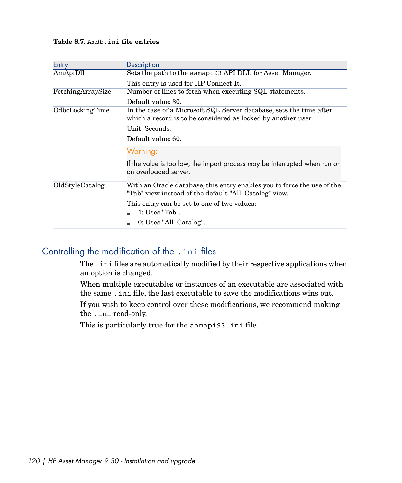#### **Table 8.7.** Amdb.ini **file entries**

| Entry                          | Description                                                                                                                          |
|--------------------------------|--------------------------------------------------------------------------------------------------------------------------------------|
| AmApiDll                       | Sets the path to the aamapi93 API DLL for Asset Manager.                                                                             |
|                                | This entry is used for HP Connect-It.                                                                                                |
| FetchingArraySize              | Number of lines to fetch when executing SQL statements.                                                                              |
|                                | Default value: 30.                                                                                                                   |
| OdbcLockingTime                | In the case of a Microsoft SQL Server database, sets the time after<br>which a record is to be considered as locked by another user. |
|                                | Unit: Seconds.                                                                                                                       |
| Default value: 60.<br>Warning: |                                                                                                                                      |
|                                |                                                                                                                                      |
| OldStyleCatalog                | With an Oracle database, this entry enables you to force the use of the<br>"Tab" view instead of the default "All_Catalog" view.     |
|                                | This entry can be set to one of two values:                                                                                          |
|                                | $1:$ Uses "Tab".                                                                                                                     |
|                                | 0: Uses "All_Catalog".                                                                                                               |

## Controlling the modification of the .ini files

The .ini files are automatically modified by their respective applications when an option is changed.

When multiple executables or instances of an executable are associated with the same .ini file, the last executable to save the modifications wins out.

If you wish to keep control over these modifications, we recommend making the .ini read-only.

This is particularly true for the aamapi93.ini file.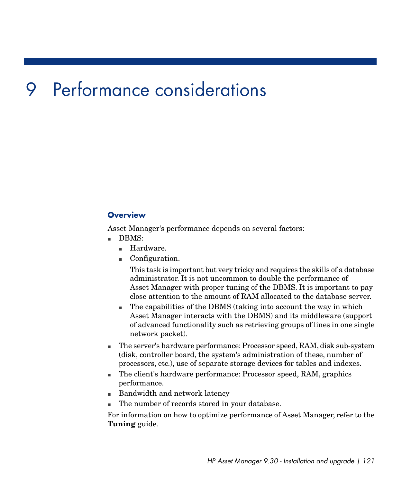# 9 Performance considerations

#### <span id="page-120-0"></span>**Overview**

Asset Manager's performance depends on several factors:

- $\blacksquare$  DBMS:
	- Hardware.
	- $\blacksquare$  Configuration.

This task is important but very tricky and requires the skills of a database administrator. It is not uncommon to double the performance of Asset Manager with proper tuning of the DBMS. It is important to pay close attention to the amount of RAM allocated to the database server.

- $\blacksquare$  The capabilities of the DBMS (taking into account the way in which Asset Manager interacts with the DBMS) and its middleware (support of advanced functionality such as retrieving groups of lines in one single network packet).
- n The server's hardware performance: Processor speed, RAM, disk sub-system (disk, controller board, the system's administration of these, number of processors, etc.), use of separate storage devices for tables and indexes.
- n The client's hardware performance: Processor speed, RAM, graphics performance.
- Bandwidth and network latency
- The number of records stored in your database.

For information on how to optimize performance of Asset Manager, refer to the **Tuning** guide.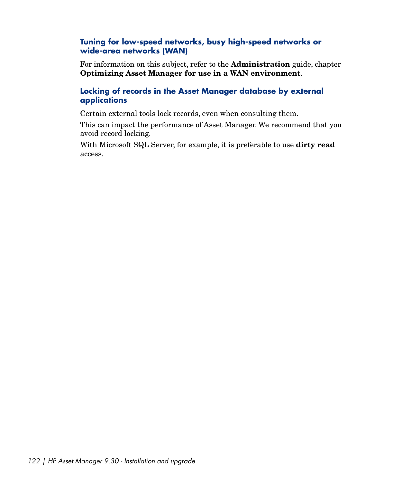#### **Tuning for low-speed networks, busy high-speed networks or wide-area networks (WAN)**

<span id="page-121-1"></span>For information on this subject, refer to the **Administration** guide, chapter **Optimizing Asset Manager for use in a WAN environment**.

#### <span id="page-121-2"></span>**Locking of records in the Asset Manager database by external applications**

Certain external tools lock records, even when consulting them.

<span id="page-121-0"></span>This can impact the performance of Asset Manager. We recommend that you avoid record locking.

With Microsoft SQL Server, for example, it is preferable to use **dirty read** access.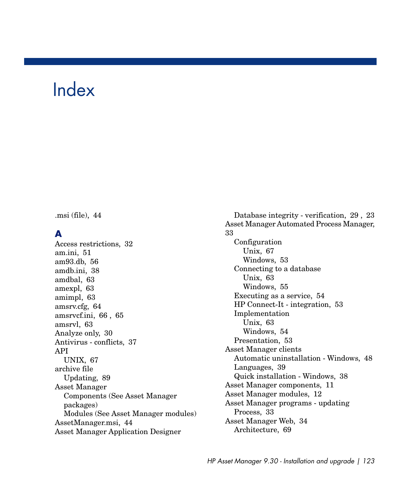# Index

.msi (file), [44](#page-43-0)

## **A**

Access restrictions, [32](#page-31-0) am.ini, [51](#page-50-0) am93.db, [56](#page-55-0) amdb.ini, [38](#page-37-0) amdbal, [63](#page-62-0) amexpl, [63](#page-62-0) amimpl, [63](#page-62-0) amsrv.cfg, [64](#page-63-0) amsrvcf.ini, [66](#page-65-0) , [65](#page-64-0) amsrvl, [63](#page-62-1) Analyze only, [30](#page-29-0) Antivirus - conflicts, [37](#page-36-0) API UNIX, [67](#page-66-0) archive file Updating, [89](#page-88-0) Asset Manager Components (See Asset Manager packages) Modules (See Asset Manager modules) AssetManager.msi, [44](#page-43-0) Asset Manager Application Designer

Database integrity - verification, [29](#page-28-0) , [23](#page-22-0) Asset Manager Automated Process Manager, [33](#page-32-0) Configuration Unix, [67](#page-66-1) Windows, [53](#page-52-0) Connecting to a database Unix, [63](#page-62-2) Windows, [55](#page-54-0) Executing as a service, [54](#page-53-0) HP Connect-It - integration, [53](#page-52-1) Implementation Unix, [63](#page-62-3) Windows, [54](#page-53-1) Presentation, [53](#page-52-0) Asset Manager clients Automatic uninstallation - Windows, [48](#page-47-0) Languages, [39](#page-38-0) Quick installation - Windows, [38](#page-37-0) Asset Manager components, [11](#page-10-0) Asset Manager modules, [12](#page-11-0) Asset Manager programs - updating Process, [33](#page-32-1) Asset Manager Web, [34](#page-33-0) Architecture, [69](#page-68-0)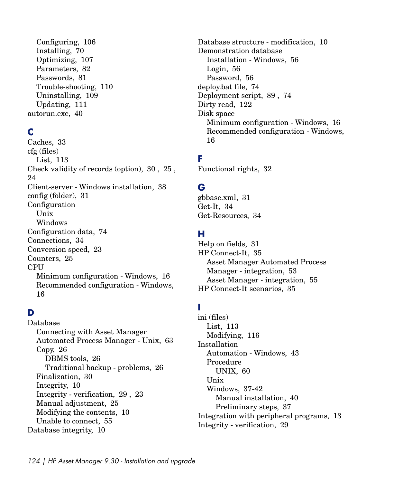Configuring, [106](#page-105-0) Installing, [70](#page-69-1) Optimizing, [107](#page-106-0) Parameters, [82](#page-81-0) Passwords, [81](#page-80-0) Trouble-shooting, [110](#page-109-0) Uninstalling, [109](#page-108-1) Updating, [111](#page-110-0) autorun.exe, [40](#page-39-0)

## **C**

Caches, [33](#page-32-2) cfg (files) List, [113](#page-112-0) Check validity of records (option), [30](#page-29-1) , [25](#page-24-0) , [24](#page-23-0) Client-server - Windows installation, [38](#page-37-1) config (folder), [31](#page-30-0) Configuration Unix Windows Configuration data, [74](#page-73-0) Connections, [34](#page-33-1) Conversion speed, [23](#page-22-1) Counters, [25](#page-24-1) CPU Minimum configuration - Windows, [16](#page-15-0) Recommended configuration - Windows, [16](#page-15-1)

## **D**

Database Connecting with Asset Manager Automated Process Manager - Unix, [63](#page-62-2) Copy, [26](#page-25-0) DBMS tools, [26](#page-25-1) Traditional backup - problems, [26](#page-25-2) Finalization, [30](#page-29-2) Integrity, [10](#page-9-0) Integrity - verification, [29](#page-28-0) , [23](#page-22-0) Manual adjustment, [25](#page-24-2) Modifying the contents, [10](#page-9-1) Unable to connect, [55](#page-54-0) Database integrity, [10](#page-9-0)

Database structure - modification, [10](#page-9-2) Demonstration database Installation - Windows, [56](#page-55-0) Login, [56](#page-55-0) Password, [56](#page-55-0) deploy.bat file, [74](#page-73-0) Deployment script, [89](#page-88-0) , [74](#page-73-0) Dirty read, [122](#page-121-0) Disk space Minimum configuration - Windows, [16](#page-15-0) Recommended configuration - Windows, [16](#page-15-1)

## **F**

Functional rights, [32](#page-31-0)

## **G**

gbbase.xml, [31](#page-30-0) Get-It, [34](#page-33-2) Get-Resources, [34](#page-33-3)

## **H**

Help on fields, [31](#page-30-1) HP Connect-It, [35](#page-34-0) Asset Manager Automated Process Manager - integration, [53](#page-52-1) Asset Manager - integration, [55](#page-54-1) HP Connect-It scenarios, [35](#page-34-0)

## **I**

ini (files) List, [113](#page-112-0) Modifying, [116](#page-115-0) Installation Automation - Windows, [43](#page-42-0) Procedure UNIX, [60](#page-59-0) Unix Windows, [37-42](#page-36-1) Manual installation, [40](#page-39-1) Preliminary steps, [37](#page-36-2) Integration with peripheral programs, [13](#page-12-0) Integrity - verification, [29](#page-28-0)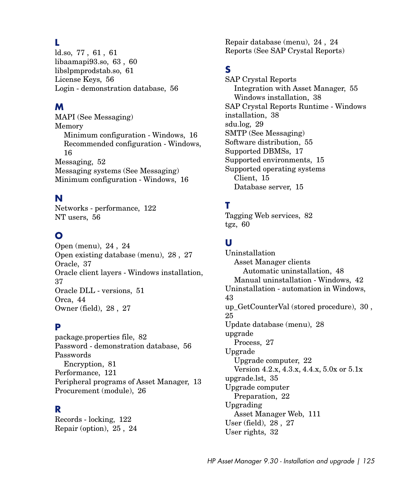## **L**

ld.so, [77 ,](#page-76-0) [61 ,](#page-60-0) [61](#page-60-1) libaamapi93.so, [63](#page-62-0) , [60](#page-59-1) libslpmprodstab.so, [61](#page-60-2) License Keys, [56](#page-55-0) Login - demonstration database, [56](#page-55-0)

## **M**

MAPI (See Messaging) Memory Minimum configuration - Windows, [16](#page-15-0) Recommended configuration - Windows, [16](#page-15-1) Messaging, [52](#page-51-0) Messaging systems (See Messaging) Minimum configuration - Windows, [16](#page-15-0)

## **N**

Networks - performance, [122](#page-121-1) NT users, [56](#page-55-1)

## **O**

Open (menu), [24 ,](#page-23-1) [24](#page-23-2) Open existing database (menu), [28](#page-27-0) , [27](#page-26-0) Oracle, [37](#page-36-3) Oracle client layers - Windows installation, [37](#page-36-3) Oracle DLL - versions, [51](#page-50-1) Orca, [44](#page-43-0) Owner (field), [28](#page-27-1) , [27](#page-26-1)

## **P**

package.properties file, [82](#page-81-1) Password - demonstration database, [56](#page-55-0) Passwords Encryption, [81](#page-80-0) Performance, [121](#page-120-0) Peripheral programs of Asset Manager, [13](#page-12-0) Procurement (module), [26](#page-25-3)

## **R**

Records - locking, [122](#page-121-2) Repair (option), [25](#page-24-3) , [24](#page-23-3) Repair database (menu), [24](#page-23-4) , [24](#page-23-5) Reports (See SAP Crystal Reports)

## **S**

SAP Crystal Reports Integration with Asset Manager, [55](#page-54-2) Windows installation, [38](#page-37-2) SAP Crystal Reports Runtime - Windows installation, [38](#page-37-2) sdu.log, [29](#page-28-1) SMTP (See Messaging) Software distribution, [55](#page-54-3) Supported DBMSs, [17](#page-16-0) Supported environments, [15](#page-14-0) Supported operating systems Client, [15](#page-14-1) Database server, [15](#page-14-2)

## **T**

Tagging Web services, [82](#page-81-2) tgz, [60](#page-59-2)

## **U**

Uninstallation Asset Manager clients Automatic uninstallation, [48](#page-47-0) Manual uninstallation - Windows, [42](#page-41-0) Uninstallation - automation in Windows, [43](#page-42-0) up\_GetCounterVal (stored procedure), [30](#page-29-3) , [25](#page-24-1) Update database (menu), [28](#page-27-2) upgrade Process, [27](#page-26-2) Upgrade Upgrade computer, [22](#page-21-0) Version 4.2.x, 4.3.x, 4.4.x, 5.0x or 5.1x upgrade.lst, [35](#page-34-1) Upgrade computer Preparation, [22](#page-21-0) Upgrading Asset Manager Web, [111](#page-110-0) User (field), [28](#page-27-3) , [27](#page-26-3) User rights, [32](#page-31-0)